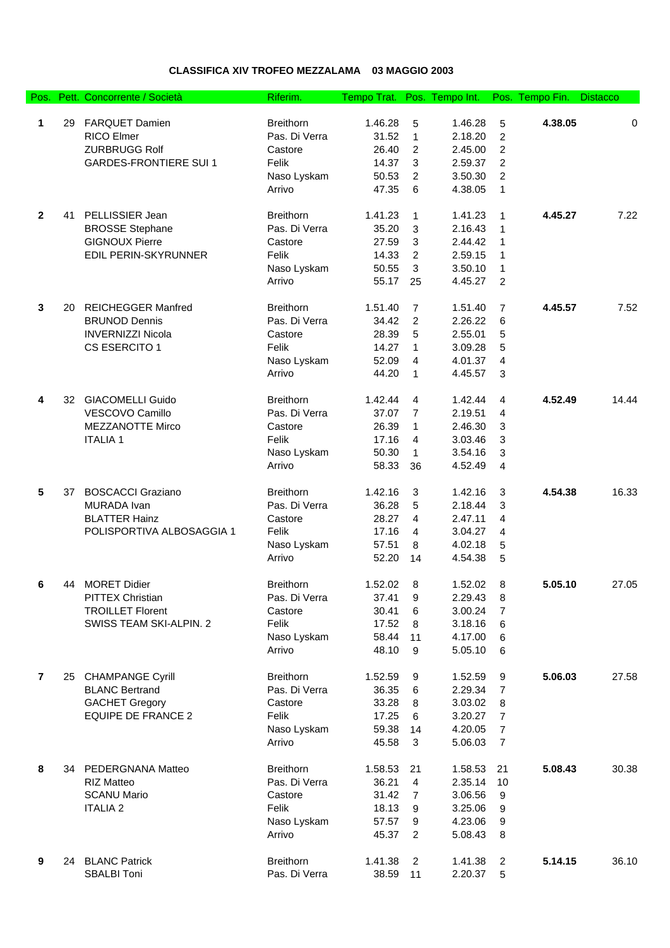## **CLASSIFICA XIV TROFEO MEZZALAMA 03 MAGGIO 2003**

| Pos.            |    | Pett. Concorrente / Società  | Riferim.         | Tempo Trat. Pos. Tempo Int. |                |         |                         | Pos. Tempo Fin. | <b>Distacco</b> |
|-----------------|----|------------------------------|------------------|-----------------------------|----------------|---------|-------------------------|-----------------|-----------------|
|                 |    |                              |                  |                             |                |         |                         |                 |                 |
| 1               | 29 | <b>FARQUET Damien</b>        | <b>Breithorn</b> | 1.46.28                     | 5              | 1.46.28 | 5                       | 4.38.05         | 0               |
|                 |    | <b>RICO Elmer</b>            | Pas. Di Verra    | 31.52                       | $\mathbf{1}$   | 2.18.20 | $\overline{2}$          |                 |                 |
|                 |    | <b>ZURBRUGG Rolf</b>         | Castore          | 26.40                       | $\overline{c}$ | 2.45.00 | $\overline{c}$          |                 |                 |
|                 |    | <b>GARDES-FRONTIERE SUI1</b> | Felik            | 14.37                       | 3              | 2.59.37 | $\overline{c}$          |                 |                 |
|                 |    |                              | Naso Lyskam      | 50.53                       | $\overline{c}$ | 3.50.30 | $\overline{c}$          |                 |                 |
|                 |    |                              | Arrivo           | 47.35                       | 6              | 4.38.05 | 1                       |                 |                 |
| $\overline{2}$  | 41 | PELLISSIER Jean              | <b>Breithorn</b> | 1.41.23                     | 1              | 1.41.23 | 1                       | 4.45.27         | 7.22            |
|                 |    | <b>BROSSE Stephane</b>       | Pas. Di Verra    | 35.20                       | 3              | 2.16.43 | 1                       |                 |                 |
|                 |    | <b>GIGNOUX Pierre</b>        | Castore          | 27.59                       | 3              | 2.44.42 | 1                       |                 |                 |
|                 |    | EDIL PERIN-SKYRUNNER         | Felik            | 14.33                       | 2              | 2.59.15 | 1                       |                 |                 |
|                 |    |                              | Naso Lyskam      | 50.55                       | 3              | 3.50.10 | 1                       |                 |                 |
|                 |    |                              | Arrivo           | 55.17                       | 25             | 4.45.27 | 2                       |                 |                 |
|                 |    |                              |                  |                             |                |         |                         |                 |                 |
| $\mathbf{3}$    | 20 | <b>REICHEGGER Manfred</b>    | <b>Breithorn</b> | 1.51.40                     | 7              | 1.51.40 | 7                       | 4.45.57         | 7.52            |
|                 |    | <b>BRUNOD Dennis</b>         | Pas. Di Verra    | 34.42                       | $\overline{c}$ | 2.26.22 | 6                       |                 |                 |
|                 |    | <b>INVERNIZZI Nicola</b>     | Castore          | 28.39                       | 5              | 2.55.01 | 5                       |                 |                 |
|                 |    | CS ESERCITO 1                | Felik            | 14.27                       | 1              | 3.09.28 | 5                       |                 |                 |
|                 |    |                              | Naso Lyskam      | 52.09                       | 4              | 4.01.37 | $\overline{\mathbf{4}}$ |                 |                 |
|                 |    |                              | Arrivo           | 44.20                       | 1              | 4.45.57 | 3                       |                 |                 |
| 4               |    | 32 GIACOMELLI Guido          | <b>Breithorn</b> | 1.42.44                     | 4              | 1.42.44 | 4                       | 4.52.49         | 14.44           |
|                 |    | VESCOVO Camillo              | Pas. Di Verra    | 37.07                       | $\overline{7}$ | 2.19.51 | 4                       |                 |                 |
|                 |    | <b>MEZZANOTTE Mirco</b>      | Castore          | 26.39                       | 1              | 2.46.30 | 3                       |                 |                 |
|                 |    | <b>ITALIA1</b>               | Felik            | 17.16                       | 4              | 3.03.46 | 3                       |                 |                 |
|                 |    |                              | Naso Lyskam      | 50.30                       | $\mathbf{1}$   | 3.54.16 | 3                       |                 |                 |
|                 |    |                              | Arrivo           | 58.33                       |                | 4.52.49 | 4                       |                 |                 |
|                 |    |                              |                  |                             | 36             |         |                         |                 |                 |
| $5\phantom{.0}$ | 37 | <b>BOSCACCI Graziano</b>     | <b>Breithorn</b> | 1.42.16                     | 3              | 1.42.16 | 3                       | 4.54.38         | 16.33           |
|                 |    | MURADA Ivan                  | Pas. Di Verra    | 36.28                       | 5              | 2.18.44 | 3                       |                 |                 |
|                 |    | <b>BLATTER Hainz</b>         | Castore          | 28.27                       | 4              | 2.47.11 | 4                       |                 |                 |
|                 |    | POLISPORTIVA ALBOSAGGIA 1    | Felik            | 17.16                       | 4              | 3.04.27 | 4                       |                 |                 |
|                 |    |                              | Naso Lyskam      | 57.51                       | 8              | 4.02.18 | 5                       |                 |                 |
|                 |    |                              | Arrivo           | 52.20                       | 14             | 4.54.38 | 5                       |                 |                 |
|                 |    |                              |                  |                             |                |         |                         |                 |                 |
| 6               | 44 | <b>MORET Didier</b>          | <b>Breithorn</b> | 1.52.02                     | 8              | 1.52.02 | 8                       | 5.05.10         | 27.05           |
|                 |    | <b>PITTEX Christian</b>      | Pas. Di Verra    | 37.41                       | 9              | 2.29.43 | 8                       |                 |                 |
|                 |    | <b>TROILLET Florent</b>      | Castore          | 30.41                       | 6              | 3.00.24 | $\overline{7}$          |                 |                 |
|                 |    | SWISS TEAM SKI-ALPIN. 2      | Felik            | 17.52                       | 8              | 3.18.16 | 6                       |                 |                 |
|                 |    |                              | Naso Lyskam      | 58.44                       | 11             | 4.17.00 | 6                       |                 |                 |
|                 |    |                              | Arrivo           | 48.10                       | 9              | 5.05.10 | 6                       |                 |                 |
| $\overline{7}$  |    | 25 CHAMPANGE Cyrill          | <b>Breithorn</b> | 1.52.59                     | 9              | 1.52.59 | 9                       | 5.06.03         | 27.58           |
|                 |    | <b>BLANC Bertrand</b>        | Pas. Di Verra    | 36.35                       | 6              | 2.29.34 | $\overline{7}$          |                 |                 |
|                 |    | <b>GACHET Gregory</b>        | Castore          | 33.28                       | 8              | 3.03.02 | 8                       |                 |                 |
|                 |    | <b>EQUIPE DE FRANCE 2</b>    | Felik            | 17.25                       | 6              | 3.20.27 | $\overline{7}$          |                 |                 |
|                 |    |                              | Naso Lyskam      | 59.38                       | 14             | 4.20.05 | $\overline{7}$          |                 |                 |
|                 |    |                              | Arrivo           | 45.58                       | 3              | 5.06.03 | $\overline{7}$          |                 |                 |
|                 |    |                              |                  |                             |                |         |                         |                 |                 |
| 8               |    | 34 PEDERGNANA Matteo         | <b>Breithorn</b> | 1.58.53                     | 21             | 1.58.53 | 21                      | 5.08.43         | 30.38           |
|                 |    | <b>RIZ Matteo</b>            | Pas. Di Verra    | 36.21                       | 4              | 2.35.14 | 10                      |                 |                 |
|                 |    | <b>SCANU Mario</b>           | Castore          | 31.42                       | 7              | 3.06.56 | 9                       |                 |                 |
|                 |    | <b>ITALIA 2</b>              | Felik            | 18.13                       | 9              | 3.25.06 | 9                       |                 |                 |
|                 |    |                              | Naso Lyskam      | 57.57                       | 9              | 4.23.06 | 9                       |                 |                 |
|                 |    |                              | Arrivo           | 45.37                       | 2              | 5.08.43 | 8                       |                 |                 |
| 9               |    | 24 BLANC Patrick             | <b>Breithorn</b> | 1.41.38                     | $\overline{2}$ | 1.41.38 | $\overline{c}$          | 5.14.15         | 36.10           |
|                 |    | <b>SBALBI Toni</b>           | Pas. Di Verra    | 38.59                       | 11             | 2.20.37 | 5                       |                 |                 |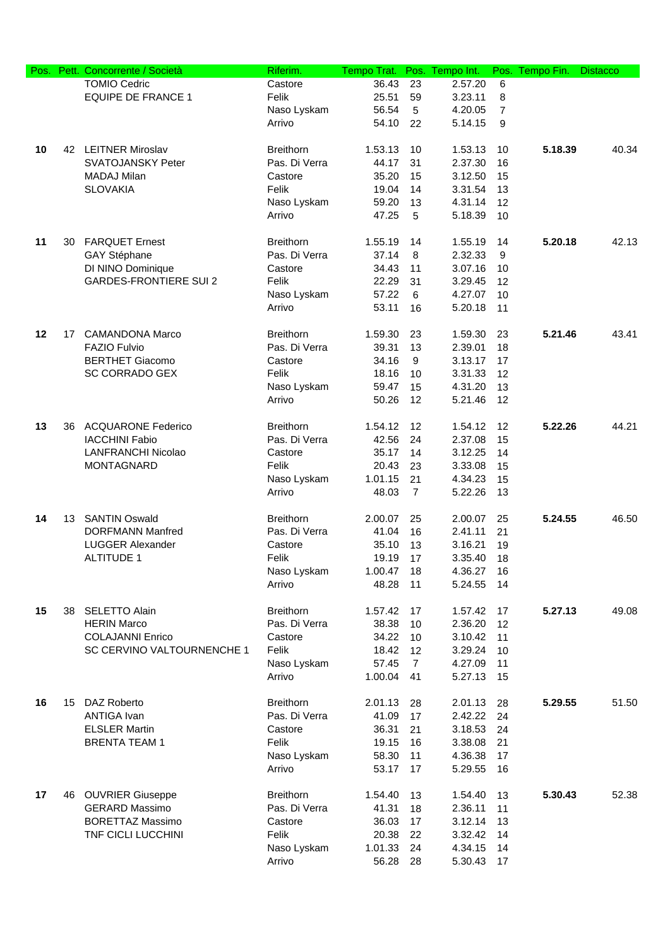| Pos. | Pett. | Concorrente / Società         | Riferim.         | Tempo Trat. | Pos.           | Tempo Int. | Pos.           | Tempo Fin. | <b>Distacco</b> |
|------|-------|-------------------------------|------------------|-------------|----------------|------------|----------------|------------|-----------------|
|      |       | <b>TOMIO Cedric</b>           | Castore          | 36.43       | 23             | 2.57.20    | 6              |            |                 |
|      |       | <b>EQUIPE DE FRANCE 1</b>     | Felik            | 25.51       | 59             | 3.23.11    | 8              |            |                 |
|      |       |                               | Naso Lyskam      | 56.54       | 5              | 4.20.05    | $\overline{7}$ |            |                 |
|      |       |                               | Arrivo           | 54.10       | 22             | 5.14.15    | 9              |            |                 |
|      |       |                               |                  |             |                |            |                |            |                 |
| 10   |       | 42 LEITNER Miroslav           | <b>Breithorn</b> | 1.53.13     | 10             | 1.53.13    | 10             | 5.18.39    | 40.34           |
|      |       | <b>SVATOJANSKY Peter</b>      | Pas. Di Verra    | 44.17       | 31             | 2.37.30    | 16             |            |                 |
|      |       | MADAJ Milan                   | Castore          | 35.20       | 15             | 3.12.50    | 15             |            |                 |
|      |       | <b>SLOVAKIA</b>               | Felik            | 19.04       | 14             | 3.31.54    | 13             |            |                 |
|      |       |                               | Naso Lyskam      | 59.20       | 13             | 4.31.14    | 12             |            |                 |
|      |       |                               | Arrivo           | 47.25       | 5              | 5.18.39    | 10             |            |                 |
|      |       |                               |                  |             |                |            |                |            |                 |
| 11   | 30    | <b>FARQUET Ernest</b>         | <b>Breithorn</b> | 1.55.19     | 14             | 1.55.19    | 14             | 5.20.18    | 42.13           |
|      |       | GAY Stéphane                  | Pas. Di Verra    | 37.14       | 8              | 2.32.33    | 9              |            |                 |
|      |       | DI NINO Dominique             | Castore          | 34.43       | 11             | 3.07.16    | 10             |            |                 |
|      |       | <b>GARDES-FRONTIERE SUI 2</b> | Felik            | 22.29       | 31             | 3.29.45    | 12             |            |                 |
|      |       |                               | Naso Lyskam      | 57.22       | 6              | 4.27.07    | 10             |            |                 |
|      |       |                               | Arrivo           | 53.11       | 16             | 5.20.18    | 11             |            |                 |
|      |       |                               |                  |             |                |            |                |            |                 |
| 12   | 17    | <b>CAMANDONA Marco</b>        | <b>Breithorn</b> | 1.59.30     | 23             | 1.59.30    | 23             | 5.21.46    | 43.41           |
|      |       | <b>FAZIO Fulvio</b>           | Pas. Di Verra    | 39.31       | 13             | 2.39.01    | 18             |            |                 |
|      |       | <b>BERTHET Giacomo</b>        | Castore          | 34.16       | 9              | 3.13.17    | 17             |            |                 |
|      |       | <b>SC CORRADO GEX</b>         | Felik            | 18.16       | 10             | 3.31.33    | 12             |            |                 |
|      |       |                               | Naso Lyskam      | 59.47       | 15             | 4.31.20    | 13             |            |                 |
|      |       |                               | Arrivo           | 50.26       | 12             | 5.21.46    | 12             |            |                 |
|      |       |                               |                  |             |                |            |                |            |                 |
| 13   |       | 36 ACQUARONE Federico         | <b>Breithorn</b> | 1.54.12     | 12             | 1.54.12    | 12             | 5.22.26    | 44.21           |
|      |       | <b>IACCHINI Fabio</b>         | Pas. Di Verra    | 42.56       | 24             | 2.37.08    | 15             |            |                 |
|      |       | <b>LANFRANCHI Nicolao</b>     | Castore          | 35.17       | 14             | 3.12.25    | 14             |            |                 |
|      |       | <b>MONTAGNARD</b>             | Felik            | 20.43       | 23             | 3.33.08    | 15             |            |                 |
|      |       |                               | Naso Lyskam      | 1.01.15     | 21             | 4.34.23    | 15             |            |                 |
|      |       |                               | Arrivo           | 48.03       | $\overline{7}$ | 5.22.26    | 13             |            |                 |
| 14   |       | 13 SANTIN Oswald              | <b>Breithorn</b> | 2.00.07     | 25             | 2.00.07    | 25             | 5.24.55    | 46.50           |
|      |       | <b>DORFMANN Manfred</b>       | Pas. Di Verra    | 41.04       | 16             | 2.41.11    | 21             |            |                 |
|      |       | <b>LUGGER Alexander</b>       | Castore          | 35.10       | 13             | 3.16.21    | 19             |            |                 |
|      |       | <b>ALTITUDE 1</b>             |                  |             |                |            |                |            |                 |
|      |       |                               | Felik            | 19.19       | 17             | 3.35.40    | 18             |            |                 |
|      |       |                               | Naso Lyskam      | 1.00.47     | 18             | 4.36.27    | 16             |            |                 |
|      |       |                               | Arrivo           | 48.28       | 11             | 5.24.55    | 14             |            |                 |
| 15   | 38    | <b>SELETTO Alain</b>          | <b>Breithorn</b> | 1.57.42     | 17             | 1.57.42    | 17             | 5.27.13    | 49.08           |
|      |       | <b>HERIN Marco</b>            | Pas. Di Verra    | 38.38       | 10             | 2.36.20    | 12             |            |                 |
|      |       | <b>COLAJANNI Enrico</b>       | Castore          | 34.22       | 10             | 3.10.42    | 11             |            |                 |
|      |       | SC CERVINO VALTOURNENCHE 1    | Felik            | 18.42       | 12             | 3.29.24    | 10             |            |                 |
|      |       |                               | Naso Lyskam      | 57.45       | $\overline{7}$ | 4.27.09    | 11             |            |                 |
|      |       |                               | Arrivo           | 1.00.04     | 41             | 5.27.13    | 15             |            |                 |
|      |       |                               |                  |             |                |            |                |            |                 |
| 16   |       | 15 DAZ Roberto                | <b>Breithorn</b> | 2.01.13     | 28             | 2.01.13    | 28             | 5.29.55    | 51.50           |
|      |       | ANTIGA Ivan                   | Pas. Di Verra    | 41.09       | 17             | 2.42.22    | 24             |            |                 |
|      |       | <b>ELSLER Martin</b>          | Castore          | 36.31       | 21             | 3.18.53    | 24             |            |                 |
|      |       | <b>BRENTA TEAM 1</b>          | Felik            | 19.15       | 16             | 3.38.08    | 21             |            |                 |
|      |       |                               | Naso Lyskam      | 58.30       | 11             | 4.36.38    | 17             |            |                 |
|      |       |                               | Arrivo           | 53.17       | 17             | 5.29.55    | 16             |            |                 |
|      |       |                               |                  |             |                |            |                |            |                 |
| 17   | 46    | <b>OUVRIER Giuseppe</b>       | <b>Breithorn</b> | 1.54.40     | 13             | 1.54.40    | 13             | 5.30.43    | 52.38           |
|      |       | <b>GERARD Massimo</b>         | Pas. Di Verra    | 41.31       | 18             | 2.36.11    | 11             |            |                 |
|      |       | <b>BORETTAZ Massimo</b>       | Castore          | 36.03       | 17             | 3.12.14    | 13             |            |                 |
|      |       | TNF CICLI LUCCHINI            | Felik            | 20.38       | 22             | 3.32.42    | 14             |            |                 |
|      |       |                               | Naso Lyskam      | 1.01.33     | 24             | 4.34.15    | 14             |            |                 |
|      |       |                               | Arrivo           | 56.28       | 28             | 5.30.43    | 17             |            |                 |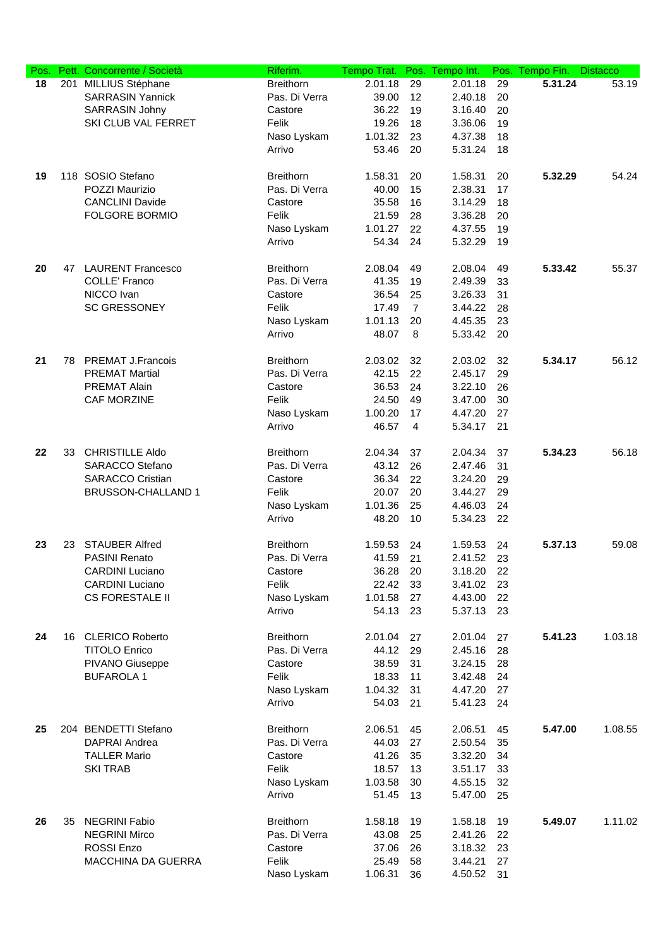| Pos. |    | Pett. Concorrente / Società | Riferim.              | Tempo Trat. | Pos.           | Tempo Int. | Pos. | Tempo Fin. | <b>Distacco</b> |
|------|----|-----------------------------|-----------------------|-------------|----------------|------------|------|------------|-----------------|
| 18   |    | 201 MILLIUS Stéphane        | <b>Breithorn</b>      | 2.01.18     | 29             | 2.01.18    | 29   | 5.31.24    | 53.19           |
|      |    | <b>SARRASIN Yannick</b>     | Pas. Di Verra         | 39.00       | 12             | 2.40.18    | 20   |            |                 |
|      |    | <b>SARRASIN Johny</b>       | Castore               | 36.22       | 19             | 3.16.40    | 20   |            |                 |
|      |    | SKI CLUB VAL FERRET         | Felik                 | 19.26       | 18             | 3.36.06    | 19   |            |                 |
|      |    |                             | Naso Lyskam           | 1.01.32     | 23             | 4.37.38    | 18   |            |                 |
|      |    |                             | Arrivo                | 53.46       | 20             | 5.31.24    | 18   |            |                 |
|      |    |                             |                       |             |                |            |      |            |                 |
| 19   |    | 118 SOSIO Stefano           | <b>Breithorn</b>      | 1.58.31     | 20             | 1.58.31    | 20   | 5.32.29    | 54.24           |
|      |    | POZZI Maurizio              | Pas. Di Verra         | 40.00       | 15             | 2.38.31    | 17   |            |                 |
|      |    | <b>CANCLINI Davide</b>      | Castore               | 35.58       | 16             | 3.14.29    | 18   |            |                 |
|      |    | <b>FOLGORE BORMIO</b>       | Felik                 | 21.59       | 28             | 3.36.28    | 20   |            |                 |
|      |    |                             | Naso Lyskam           | 1.01.27     | 22             | 4.37.55    | 19   |            |                 |
|      |    |                             | Arrivo                | 54.34       | 24             | 5.32.29    | 19   |            |                 |
|      |    |                             |                       |             |                |            |      |            |                 |
| 20   | 47 | <b>LAURENT Francesco</b>    | <b>Breithorn</b>      | 2.08.04     | 49             | 2.08.04    | 49   | 5.33.42    | 55.37           |
|      |    | <b>COLLE' Franco</b>        | Pas. Di Verra         | 41.35       | 19             | 2.49.39    | 33   |            |                 |
|      |    | NICCO Ivan                  | Castore               | 36.54       | 25             | 3.26.33    | 31   |            |                 |
|      |    | <b>SC GRESSONEY</b>         | Felik                 | 17.49       | $\overline{7}$ | 3.44.22    | 28   |            |                 |
|      |    |                             | Naso Lyskam           | 1.01.13     | 20             | 4.45.35    | 23   |            |                 |
|      |    |                             | Arrivo                | 48.07       | 8              | 5.33.42    | 20   |            |                 |
|      |    |                             |                       |             |                |            |      |            |                 |
| 21   | 78 | <b>PREMAT J.Francois</b>    | <b>Breithorn</b>      | 2.03.02     | 32             | 2.03.02    | 32   | 5.34.17    | 56.12           |
|      |    | <b>PREMAT Martial</b>       | Pas. Di Verra         | 42.15       | 22             | 2.45.17    | 29   |            |                 |
|      |    | PREMAT Alain                | Castore               | 36.53       | 24             | 3.22.10    | 26   |            |                 |
|      |    | CAF MORZINE                 | Felik                 | 24.50       | 49             | 3.47.00    | 30   |            |                 |
|      |    |                             | Naso Lyskam           | 1.00.20     | 17             | 4.47.20    | 27   |            |                 |
|      |    |                             | Arrivo                | 46.57       | $\overline{4}$ | 5.34.17    | 21   |            |                 |
|      |    |                             |                       |             |                |            |      |            |                 |
| 22   | 33 | <b>CHRISTILLE Aldo</b>      | <b>Breithorn</b>      | 2.04.34     | 37             | 2.04.34    | 37   | 5.34.23    | 56.18           |
|      |    | <b>SARACCO Stefano</b>      | Pas. Di Verra         | 43.12       | 26             | 2.47.46    | 31   |            |                 |
|      |    | <b>SARACCO Cristian</b>     | Castore               | 36.34       | 22             | 3.24.20    | 29   |            |                 |
|      |    | BRUSSON-CHALLAND 1          | Felik                 | 20.07       | 20             | 3.44.27    | 29   |            |                 |
|      |    |                             |                       | 1.01.36     | 25             | 4.46.03    | 24   |            |                 |
|      |    |                             | Naso Lyskam<br>Arrivo | 48.20       |                | 5.34.23    |      |            |                 |
|      |    |                             |                       |             | 10             |            | 22   |            |                 |
| 23   | 23 | <b>STAUBER Alfred</b>       | <b>Breithorn</b>      | 1.59.53     | 24             | 1.59.53    | 24   | 5.37.13    | 59.08           |
|      |    | <b>PASINI Renato</b>        | Pas. Di Verra         | 41.59       | 21             | 2.41.52    | 23   |            |                 |
|      |    | <b>CARDINI Luciano</b>      | Castore               | 36.28       | 20             | 3.18.20    | 22   |            |                 |
|      |    | <b>CARDINI Luciano</b>      | Felik                 | 22.42       | 33             | 3.41.02    | 23   |            |                 |
|      |    | <b>CS FORESTALE II</b>      | Naso Lyskam           | 1.01.58     | 27             | 4.43.00    | 22   |            |                 |
|      |    |                             | Arrivo                | 54.13       | 23             | 5.37.13    | 23   |            |                 |
|      |    |                             |                       |             |                |            |      |            |                 |
| 24   |    | 16 CLERICO Roberto          | <b>Breithorn</b>      | 2.01.04     | 27             | 2.01.04    | 27   | 5.41.23    | 1.03.18         |
|      |    | <b>TITOLO Enrico</b>        | Pas. Di Verra         | 44.12       | 29             | 2.45.16    | 28   |            |                 |
|      |    | PIVANO Giuseppe             | Castore               | 38.59       | 31             | 3.24.15    | 28   |            |                 |
|      |    | <b>BUFAROLA1</b>            | Felik                 | 18.33       | 11             | 3.42.48    | 24   |            |                 |
|      |    |                             | Naso Lyskam           | 1.04.32     | 31             | 4.47.20    | 27   |            |                 |
|      |    |                             | Arrivo                | 54.03       | 21             | 5.41.23    | 24   |            |                 |
|      |    |                             |                       |             |                |            |      |            |                 |
| 25   |    | 204 BENDETTI Stefano        | <b>Breithorn</b>      | 2.06.51     | 45             | 2.06.51    | 45   | 5.47.00    | 1.08.55         |
|      |    | <b>DAPRAI Andrea</b>        | Pas. Di Verra         | 44.03       | 27             | 2.50.54    | 35   |            |                 |
|      |    | <b>TALLER Mario</b>         | Castore               | 41.26       | 35             | 3.32.20    | 34   |            |                 |
|      |    | <b>SKI TRAB</b>             | Felik                 | 18.57       | 13             | 3.51.17    | 33   |            |                 |
|      |    |                             | Naso Lyskam           | 1.03.58     | 30             | 4.55.15    | 32   |            |                 |
|      |    |                             | Arrivo                | 51.45       | 13             | 5.47.00    | 25   |            |                 |
|      |    |                             |                       |             |                |            |      |            |                 |
| 26   | 35 | <b>NEGRINI Fabio</b>        | <b>Breithorn</b>      | 1.58.18     | 19             | 1.58.18    | 19   | 5.49.07    | 1.11.02         |
|      |    | <b>NEGRINI Mirco</b>        | Pas. Di Verra         | 43.08       | 25             | 2.41.26    | 22   |            |                 |
|      |    | <b>ROSSI Enzo</b>           | Castore               | 37.06       | 26             | 3.18.32    | 23   |            |                 |
|      |    | MACCHINA DA GUERRA          | Felik                 | 25.49       | 58             | 3.44.21    | 27   |            |                 |
|      |    |                             | Naso Lyskam           | 1.06.31     | 36             | 4.50.52    | 31   |            |                 |
|      |    |                             |                       |             |                |            |      |            |                 |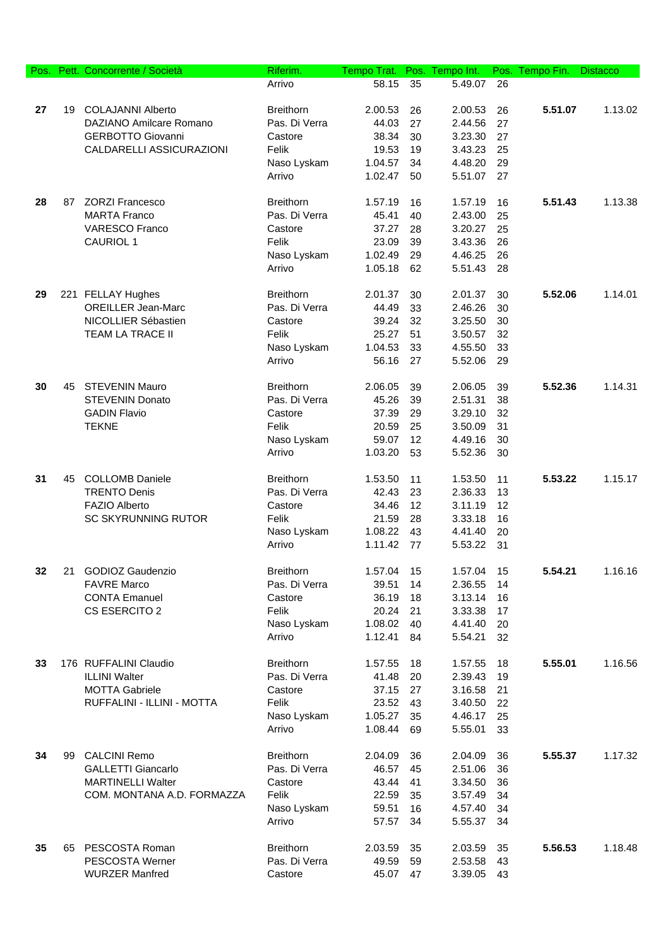| Pos. |    | Pett. Concorrente / Società                   | Riferim.                          | Tempo Trat.      | Pos.     | Tempo Int.         |          | Pos. Tempo Fin. | <b>Distacco</b> |
|------|----|-----------------------------------------------|-----------------------------------|------------------|----------|--------------------|----------|-----------------|-----------------|
|      |    |                                               | Arrivo                            | 58.15            | 35       | 5.49.07            | 26       |                 |                 |
|      |    |                                               |                                   |                  |          |                    |          |                 |                 |
| 27   | 19 | <b>COLAJANNI Alberto</b>                      | <b>Breithorn</b>                  | 2.00.53          | 26       | 2.00.53            | 26       | 5.51.07         | 1.13.02         |
|      |    | DAZIANO Amilcare Romano                       | Pas. Di Verra                     | 44.03            | 27       | 2.44.56            | 27       |                 |                 |
|      |    | <b>GERBOTTO Giovanni</b>                      | Castore                           | 38.34            | 30       | 3.23.30            | 27       |                 |                 |
|      |    | CALDARELLI ASSICURAZIONI                      | Felik                             | 19.53            | 19       | 3.43.23            | 25       |                 |                 |
|      |    |                                               | Naso Lyskam                       | 1.04.57          | 34       | 4.48.20            | 29       |                 |                 |
|      |    |                                               | Arrivo                            | 1.02.47          | 50       | 5.51.07            | 27       |                 |                 |
| 28   | 87 | <b>ZORZI Francesco</b>                        | <b>Breithorn</b>                  | 1.57.19          | 16       | 1.57.19            | 16       | 5.51.43         | 1.13.38         |
|      |    | <b>MARTA Franco</b>                           | Pas. Di Verra                     | 45.41            | 40       | 2.43.00            | 25       |                 |                 |
|      |    | <b>VARESCO Franco</b>                         | Castore                           | 37.27            | 28       | 3.20.27            | 25       |                 |                 |
|      |    | <b>CAURIOL 1</b>                              | Felik                             | 23.09            | 39       | 3.43.36            | 26       |                 |                 |
|      |    |                                               | Naso Lyskam                       | 1.02.49          | 29       | 4.46.25            | 26       |                 |                 |
|      |    |                                               | Arrivo                            | 1.05.18          | 62       | 5.51.43            | 28       |                 |                 |
|      |    |                                               |                                   |                  |          |                    |          |                 |                 |
| 29   |    | 221 FELLAY Hughes                             | <b>Breithorn</b>                  | 2.01.37          | 30       | 2.01.37            | 30       | 5.52.06         | 1.14.01         |
|      |    | <b>OREILLER Jean-Marc</b>                     | Pas. Di Verra                     | 44.49            | 33       | 2.46.26            | 30       |                 |                 |
|      |    | NICOLLIER Sébastien                           | Castore                           | 39.24            | 32       | 3.25.50            | 30       |                 |                 |
|      |    | <b>TEAM LA TRACE II</b>                       | Felik                             | 25.27            | 51       | 3.50.57            | 32       |                 |                 |
|      |    |                                               | Naso Lyskam                       | 1.04.53          | 33       | 4.55.50            | 33       |                 |                 |
|      |    |                                               | Arrivo                            | 56.16            | 27       | 5.52.06            | 29       |                 |                 |
| 30   |    | 45 STEVENIN Mauro                             | <b>Breithorn</b>                  | 2.06.05          | 39       | 2.06.05            | 39       | 5.52.36         | 1.14.31         |
|      |    | <b>STEVENIN Donato</b>                        | Pas. Di Verra                     | 45.26            | 39       | 2.51.31            | 38       |                 |                 |
|      |    | <b>GADIN Flavio</b>                           | Castore                           | 37.39            | 29       | 3.29.10            | 32       |                 |                 |
|      |    | <b>TEKNE</b>                                  | Felik                             | 20.59            | 25       | 3.50.09            | 31       |                 |                 |
|      |    |                                               | Naso Lyskam                       | 59.07            | 12       | 4.49.16            | 30       |                 |                 |
|      |    |                                               | Arrivo                            | 1.03.20          | 53       | 5.52.36            | 30       |                 |                 |
|      |    |                                               |                                   |                  |          |                    |          |                 |                 |
| 31   | 45 | <b>COLLOMB Daniele</b>                        | <b>Breithorn</b>                  | 1.53.50          | 11       | 1.53.50            | 11       | 5.53.22         | 1.15.17         |
|      |    | <b>TRENTO Denis</b>                           | Pas. Di Verra                     | 42.43            | 23       | 2.36.33            | 13       |                 |                 |
|      |    | <b>FAZIO Alberto</b>                          | Castore                           | 34.46            | 12       | 3.11.19            | 12       |                 |                 |
|      |    | <b>SC SKYRUNNING RUTOR</b>                    | Felik                             | 21.59            | 28       | 3.33.18            | 16       |                 |                 |
|      |    |                                               | Naso Lyskam                       | 1.08.22          | 43       | 4.41.40            | 20       |                 |                 |
|      |    |                                               | Arrivo                            | 1.11.42          | 77       | 5.53.22            | 31       |                 |                 |
|      |    |                                               |                                   |                  |          |                    |          |                 |                 |
| 32   | 21 | <b>GODIOZ Gaudenzio</b><br><b>FAVRE Marco</b> | <b>Breithorn</b><br>Pas. Di Verra | 1.57.04<br>39.51 | 15       | 1.57.04<br>2.36.55 | 15       | 5.54.21         | 1.16.16         |
|      |    | <b>CONTA Emanuel</b>                          | Castore                           | 36.19            | 14<br>18 | 3.13.14            | 14<br>16 |                 |                 |
|      |    | CS ESERCITO 2                                 | Felik                             | 20.24            | 21       | 3.33.38            | 17       |                 |                 |
|      |    |                                               | Naso Lyskam                       | 1.08.02          | 40       | 4.41.40            | 20       |                 |                 |
|      |    |                                               | Arrivo                            | 1.12.41          | 84       | 5.54.21            | 32       |                 |                 |
|      |    |                                               |                                   |                  |          |                    |          |                 |                 |
| 33   |    | 176 RUFFALINI Claudio                         | <b>Breithorn</b>                  | 1.57.55          | 18       | 1.57.55            | 18       | 5.55.01         | 1.16.56         |
|      |    | <b>ILLINI Walter</b>                          | Pas. Di Verra                     | 41.48            | 20       | 2.39.43            | 19       |                 |                 |
|      |    | <b>MOTTA Gabriele</b>                         | Castore                           | 37.15            | 27       | 3.16.58            | 21       |                 |                 |
|      |    | RUFFALINI - ILLINI - MOTTA                    | Felik                             | 23.52            | 43       | 3.40.50            | 22       |                 |                 |
|      |    |                                               | Naso Lyskam                       | 1.05.27          | 35       | 4.46.17            | 25       |                 |                 |
|      |    |                                               | Arrivo                            | 1.08.44          | 69       | 5.55.01            | 33       |                 |                 |
|      |    |                                               |                                   |                  |          |                    |          |                 |                 |
| 34   | 99 | <b>CALCINI Remo</b>                           | <b>Breithorn</b>                  | 2.04.09          | 36       | 2.04.09            | 36       | 5.55.37         | 1.17.32         |
|      |    | <b>GALLETTI Giancarlo</b>                     | Pas. Di Verra                     | 46.57            | 45       | 2.51.06            | 36       |                 |                 |
|      |    | <b>MARTINELLI Walter</b>                      | Castore                           | 43.44            | 41       | 3.34.50            | 36       |                 |                 |
|      |    | COM. MONTANA A.D. FORMAZZA                    | Felik                             | 22.59            | 35       | 3.57.49            | 34       |                 |                 |
|      |    |                                               | Naso Lyskam                       | 59.51            | 16       | 4.57.40            | 34       |                 |                 |
|      |    |                                               | Arrivo                            | 57.57            | 34       | 5.55.37            | 34       |                 |                 |
| 35   |    | 65 PESCOSTA Roman                             | <b>Breithorn</b>                  | 2.03.59          | 35       | 2.03.59            | 35       | 5.56.53         | 1.18.48         |
|      |    | PESCOSTA Werner                               | Pas. Di Verra                     | 49.59            | 59       | 2.53.58            | 43       |                 |                 |
|      |    | <b>WURZER Manfred</b>                         | Castore                           | 45.07            | 47       | 3.39.05            | 43       |                 |                 |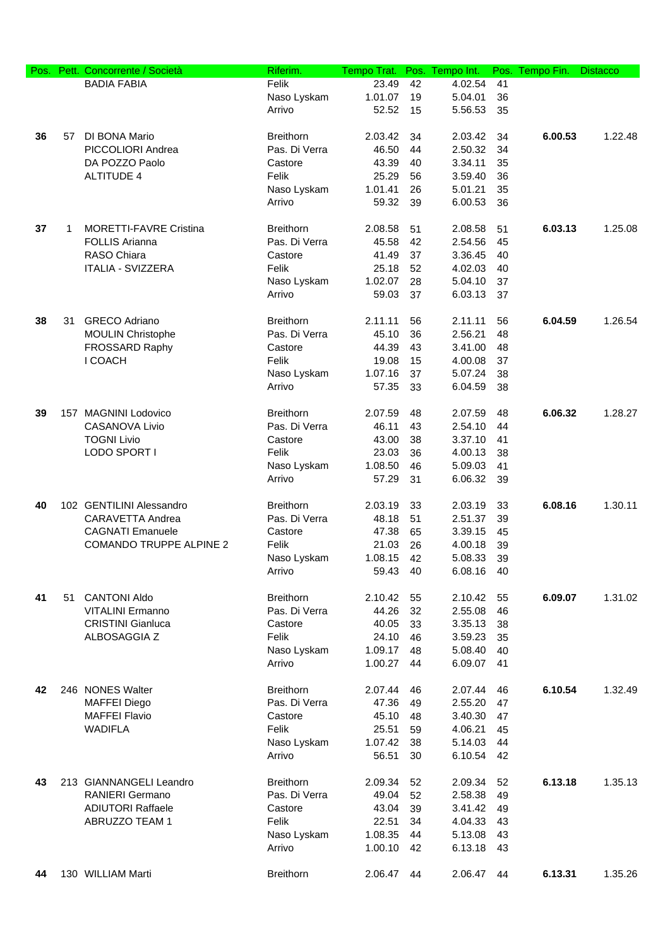| Pos. | Pett. | Concorrente / Società          | Riferim.         | Tempo Trat. | Pos. | Tempo Int. | Pos. | Tempo Fin. | <b>Distacco</b> |
|------|-------|--------------------------------|------------------|-------------|------|------------|------|------------|-----------------|
|      |       | <b>BADIA FABIA</b>             | Felik            | 23.49       | 42   | 4.02.54    | 41   |            |                 |
|      |       |                                | Naso Lyskam      | 1.01.07     | 19   | 5.04.01    | 36   |            |                 |
|      |       |                                | Arrivo           | 52.52       | 15   | 5.56.53    | 35   |            |                 |
|      |       |                                |                  |             |      |            |      |            |                 |
| 36   | 57    | DI BONA Mario                  | <b>Breithorn</b> | 2.03.42     | 34   | 2.03.42    | 34   | 6.00.53    | 1.22.48         |
|      |       | PICCOLIORI Andrea              | Pas. Di Verra    | 46.50       | 44   | 2.50.32    | 34   |            |                 |
|      |       |                                |                  |             |      |            |      |            |                 |
|      |       | DA POZZO Paolo                 | Castore          | 43.39       | 40   | 3.34.11    | 35   |            |                 |
|      |       | <b>ALTITUDE 4</b>              | Felik            | 25.29       | 56   | 3.59.40    | 36   |            |                 |
|      |       |                                | Naso Lyskam      | 1.01.41     | 26   | 5.01.21    | 35   |            |                 |
|      |       |                                | Arrivo           | 59.32       | 39   | 6.00.53    | 36   |            |                 |
|      |       |                                |                  |             |      |            |      |            |                 |
| 37   | 1     | <b>MORETTI-FAVRE Cristina</b>  | <b>Breithorn</b> | 2.08.58     | 51   | 2.08.58    | 51   | 6.03.13    | 1.25.08         |
|      |       | <b>FOLLIS Arianna</b>          | Pas. Di Verra    | 45.58       | 42   | 2.54.56    | 45   |            |                 |
|      |       | RASO Chiara                    | Castore          | 41.49       | 37   | 3.36.45    | 40   |            |                 |
|      |       | <b>ITALIA - SVIZZERA</b>       | Felik            | 25.18       | 52   | 4.02.03    | 40   |            |                 |
|      |       |                                | Naso Lyskam      | 1.02.07     | 28   | 5.04.10    | 37   |            |                 |
|      |       |                                | Arrivo           | 59.03       | 37   | 6.03.13    | 37   |            |                 |
|      |       |                                |                  |             |      |            |      |            |                 |
| 38   | 31    | <b>GRECO Adriano</b>           | <b>Breithorn</b> | 2.11.11     | 56   | 2.11.11    | 56   | 6.04.59    | 1.26.54         |
|      |       | <b>MOULIN Christophe</b>       | Pas. Di Verra    | 45.10       | 36   | 2.56.21    | 48   |            |                 |
|      |       |                                |                  |             |      |            |      |            |                 |
|      |       | FROSSARD Raphy                 | Castore          | 44.39       | 43   | 3.41.00    | 48   |            |                 |
|      |       | I COACH                        | Felik            | 19.08       | 15   | 4.00.08    | 37   |            |                 |
|      |       |                                | Naso Lyskam      | 1.07.16     | 37   | 5.07.24    | 38   |            |                 |
|      |       |                                | Arrivo           | 57.35       | 33   | 6.04.59    | 38   |            |                 |
|      |       |                                |                  |             |      |            |      |            |                 |
| 39   |       | 157 MAGNINI Lodovico           | <b>Breithorn</b> | 2.07.59     | 48   | 2.07.59    | 48   | 6.06.32    | 1.28.27         |
|      |       | <b>CASANOVA Livio</b>          | Pas. Di Verra    | 46.11       | 43   | 2.54.10    | 44   |            |                 |
|      |       | <b>TOGNI Livio</b>             | Castore          | 43.00       | 38   | 3.37.10    | 41   |            |                 |
|      |       | LODO SPORT I                   | Felik            | 23.03       | 36   | 4.00.13    | 38   |            |                 |
|      |       |                                | Naso Lyskam      | 1.08.50     | 46   | 5.09.03    | 41   |            |                 |
|      |       |                                | Arrivo           | 57.29       | 31   | 6.06.32    | 39   |            |                 |
|      |       |                                |                  |             |      |            |      |            |                 |
| 40   |       | 102 GENTILINI Alessandro       | <b>Breithorn</b> | 2.03.19     | 33   | 2.03.19    | 33   | 6.08.16    | 1.30.11         |
|      |       | CARAVETTA Andrea               | Pas. Di Verra    | 48.18       | 51   | 2.51.37    |      |            |                 |
|      |       |                                |                  |             |      |            | 39   |            |                 |
|      |       | <b>CAGNATI Emanuele</b>        | Castore          | 47.38       | 65   | 3.39.15    | 45   |            |                 |
|      |       | <b>COMANDO TRUPPE ALPINE 2</b> | Felik            | 21.03       | 26   | 4.00.18    | 39   |            |                 |
|      |       |                                | Naso Lyskam      | 1.08.15     | 42   | 5.08.33    | 39   |            |                 |
|      |       |                                | Arrivo           | 59.43       | 40   | 6.08.16    | 40   |            |                 |
|      |       |                                |                  |             |      |            |      |            |                 |
| 41   | 51    | <b>CANTONI Aldo</b>            | <b>Breithorn</b> | 2.10.42     | 55   | 2.10.42    | 55   | 6.09.07    | 1.31.02         |
|      |       | <b>VITALINI Ermanno</b>        | Pas. Di Verra    | 44.26       | 32   | 2.55.08    | 46   |            |                 |
|      |       | <b>CRISTINI Gianluca</b>       | Castore          | 40.05       | 33   | 3.35.13    | 38   |            |                 |
|      |       | ALBOSAGGIA Z                   | Felik            | 24.10       | 46   | 3.59.23    | 35   |            |                 |
|      |       |                                | Naso Lyskam      | 1.09.17     | 48   | 5.08.40    | 40   |            |                 |
|      |       |                                | Arrivo           | 1.00.27     | 44   | 6.09.07    | 41   |            |                 |
|      |       |                                |                  |             |      |            |      |            |                 |
| 42   |       | 246 NONES Walter               | <b>Breithorn</b> | 2.07.44     | 46   | 2.07.44    | 46   | 6.10.54    | 1.32.49         |
|      |       | <b>MAFFEI Diego</b>            | Pas. Di Verra    | 47.36       | 49   | 2.55.20    | 47   |            |                 |
|      |       | <b>MAFFEI Flavio</b>           | Castore          | 45.10       | 48   | 3.40.30    | 47   |            |                 |
|      |       |                                |                  |             |      |            |      |            |                 |
|      |       | <b>WADIFLA</b>                 | Felik            | 25.51       | 59   | 4.06.21    | 45   |            |                 |
|      |       |                                | Naso Lyskam      | 1.07.42     | 38   | 5.14.03    | 44   |            |                 |
|      |       |                                | Arrivo           | 56.51       | 30   | 6.10.54    | 42   |            |                 |
|      |       |                                |                  |             |      |            |      |            |                 |
| 43   |       | 213 GIANNANGELI Leandro        | <b>Breithorn</b> | 2.09.34     | 52   | 2.09.34    | 52   | 6.13.18    | 1.35.13         |
|      |       | <b>RANIERI Germano</b>         | Pas. Di Verra    | 49.04       | 52   | 2.58.38    | 49   |            |                 |
|      |       | <b>ADIUTORI Raffaele</b>       | Castore          | 43.04       | 39   | 3.41.42    | 49   |            |                 |
|      |       | ABRUZZO TEAM 1                 | Felik            | 22.51       | 34   | 4.04.33    | 43   |            |                 |
|      |       |                                | Naso Lyskam      | 1.08.35     | 44   | 5.13.08    | 43   |            |                 |
|      |       |                                | Arrivo           | 1.00.10     | 42   | 6.13.18    | 43   |            |                 |
|      |       |                                |                  |             |      |            |      |            |                 |
| 44   |       | 130 WILLIAM Marti              | <b>Breithorn</b> | 2.06.47     | 44   | 2.06.47    | 44   | 6.13.31    | 1.35.26         |
|      |       |                                |                  |             |      |            |      |            |                 |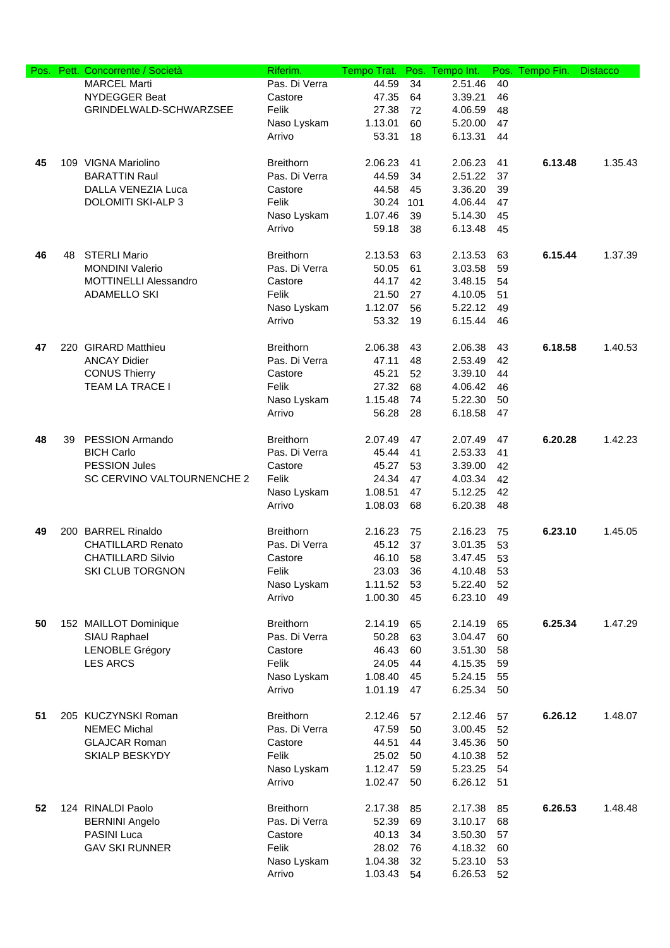|    |    | Pos. Pett. Concorrente / Società | Riferim.         | Tempo Trat. | Pos. | Tempo Int. |    | Pos. Tempo Fin. | <b>Distacco</b> |
|----|----|----------------------------------|------------------|-------------|------|------------|----|-----------------|-----------------|
|    |    | <b>MARCEL Marti</b>              | Pas. Di Verra    | 44.59       | 34   | 2.51.46    | 40 |                 |                 |
|    |    | <b>NYDEGGER Beat</b>             | Castore          | 47.35       | 64   | 3.39.21    | 46 |                 |                 |
|    |    | GRINDELWALD-SCHWARZSEE           | Felik            | 27.38       | 72   | 4.06.59    | 48 |                 |                 |
|    |    |                                  | Naso Lyskam      | 1.13.01     | 60   | 5.20.00    | 47 |                 |                 |
|    |    |                                  | Arrivo           | 53.31       | 18   | 6.13.31    | 44 |                 |                 |
|    |    |                                  |                  |             |      |            |    |                 |                 |
| 45 |    | 109 VIGNA Mariolino              | <b>Breithorn</b> | 2.06.23     | 41   | 2.06.23    | 41 | 6.13.48         | 1.35.43         |
|    |    | <b>BARATTIN Raul</b>             | Pas. Di Verra    | 44.59       | 34   | 2.51.22    | 37 |                 |                 |
|    |    | <b>DALLA VENEZIA Luca</b>        | Castore          | 44.58       | 45   | 3.36.20    | 39 |                 |                 |
|    |    | <b>DOLOMITI SKI-ALP 3</b>        | Felik            | 30.24       | 101  | 4.06.44    | 47 |                 |                 |
|    |    |                                  | Naso Lyskam      | 1.07.46     | 39   | 5.14.30    | 45 |                 |                 |
|    |    |                                  | Arrivo           | 59.18       | 38   | 6.13.48    | 45 |                 |                 |
|    |    |                                  |                  |             |      |            |    |                 |                 |
| 46 | 48 | <b>STERLI Mario</b>              | <b>Breithorn</b> | 2.13.53     | 63   | 2.13.53    | 63 | 6.15.44         | 1.37.39         |
|    |    | <b>MONDINI Valerio</b>           | Pas. Di Verra    | 50.05       | 61   | 3.03.58    | 59 |                 |                 |
|    |    | <b>MOTTINELLI Alessandro</b>     | Castore          | 44.17       |      | 3.48.15    |    |                 |                 |
|    |    |                                  | Felik            |             | 42   |            | 54 |                 |                 |
|    |    | <b>ADAMELLO SKI</b>              |                  | 21.50       | 27   | 4.10.05    | 51 |                 |                 |
|    |    |                                  | Naso Lyskam      | 1.12.07     | 56   | 5.22.12    | 49 |                 |                 |
|    |    |                                  | Arrivo           | 53.32       | 19   | 6.15.44    | 46 |                 |                 |
|    |    |                                  |                  |             |      |            |    |                 |                 |
| 47 |    | 220 GIRARD Matthieu              | <b>Breithorn</b> | 2.06.38     | 43   | 2.06.38    | 43 | 6.18.58         | 1.40.53         |
|    |    | <b>ANCAY Didier</b>              | Pas. Di Verra    | 47.11       | 48   | 2.53.49    | 42 |                 |                 |
|    |    | <b>CONUS Thierry</b>             | Castore          | 45.21       | 52   | 3.39.10    | 44 |                 |                 |
|    |    | TEAM LA TRACE I                  | Felik            | 27.32       | 68   | 4.06.42    | 46 |                 |                 |
|    |    |                                  | Naso Lyskam      | 1.15.48     | 74   | 5.22.30    | 50 |                 |                 |
|    |    |                                  | Arrivo           | 56.28       | 28   | 6.18.58    | 47 |                 |                 |
|    |    |                                  |                  |             |      |            |    |                 |                 |
| 48 | 39 | <b>PESSION Armando</b>           | <b>Breithorn</b> | 2.07.49     | 47   | 2.07.49    | 47 | 6.20.28         | 1.42.23         |
|    |    | <b>BICH Carlo</b>                | Pas. Di Verra    | 45.44       | 41   | 2.53.33    | 41 |                 |                 |
|    |    | <b>PESSION Jules</b>             | Castore          | 45.27       | 53   | 3.39.00    | 42 |                 |                 |
|    |    | SC CERVINO VALTOURNENCHE 2       | Felik            | 24.34       | 47   | 4.03.34    | 42 |                 |                 |
|    |    |                                  | Naso Lyskam      | 1.08.51     | 47   | 5.12.25    | 42 |                 |                 |
|    |    |                                  | Arrivo           | 1.08.03     | 68   | 6.20.38    | 48 |                 |                 |
|    |    |                                  |                  |             |      |            |    |                 |                 |
| 49 |    | 200 BARREL Rinaldo               | <b>Breithorn</b> | 2.16.23     | 75   | 2.16.23    | 75 | 6.23.10         | 1.45.05         |
|    |    | <b>CHATILLARD Renato</b>         | Pas. Di Verra    | 45.12       | 37   | 3.01.35    | 53 |                 |                 |
|    |    | <b>CHATILLARD Silvio</b>         | Castore          | 46.10       | 58   | 3.47.45    | 53 |                 |                 |
|    |    | <b>SKI CLUB TORGNON</b>          | Felik            | 23.03       | 36   | 4.10.48    | 53 |                 |                 |
|    |    |                                  | Naso Lyskam      | 1.11.52     | 53   | 5.22.40    | 52 |                 |                 |
|    |    |                                  | Arrivo           | 1.00.30     | 45   | 6.23.10    | 49 |                 |                 |
|    |    |                                  |                  |             |      |            |    |                 |                 |
| 50 |    | 152 MAILLOT Dominique            | <b>Breithorn</b> | 2.14.19     | 65   | 2.14.19    | 65 | 6.25.34         | 1.47.29         |
|    |    | SIAU Raphael                     | Pas. Di Verra    | 50.28       | 63   | 3.04.47    | 60 |                 |                 |
|    |    | <b>LENOBLE Grégory</b>           | Castore          | 46.43       | 60   | 3.51.30    | 58 |                 |                 |
|    |    | <b>LES ARCS</b>                  | Felik            | 24.05       | 44   | 4.15.35    | 59 |                 |                 |
|    |    |                                  | Naso Lyskam      | 1.08.40     | 45   | 5.24.15    | 55 |                 |                 |
|    |    |                                  | Arrivo           | 1.01.19     | 47   | 6.25.34    | 50 |                 |                 |
|    |    |                                  |                  |             |      |            |    |                 |                 |
| 51 |    | 205 KUCZYNSKI Roman              | <b>Breithorn</b> | 2.12.46     | 57   | 2.12.46    | 57 | 6.26.12         | 1.48.07         |
|    |    | <b>NEMEC Michal</b>              | Pas. Di Verra    | 47.59       | 50   | 3.00.45    | 52 |                 |                 |
|    |    | <b>GLAJCAR Roman</b>             | Castore          | 44.51       | 44   | 3.45.36    | 50 |                 |                 |
|    |    | <b>SKIALP BESKYDY</b>            | Felik            | 25.02       | 50   | 4.10.38    | 52 |                 |                 |
|    |    |                                  |                  | 1.12.47     |      |            |    |                 |                 |
|    |    |                                  | Naso Lyskam      |             | 59   | 5.23.25    | 54 |                 |                 |
|    |    |                                  | Arrivo           | 1.02.47     | 50   | 6.26.12    | 51 |                 |                 |
|    |    |                                  |                  |             |      |            |    |                 |                 |
| 52 |    | 124 RINALDI Paolo                | <b>Breithorn</b> | 2.17.38     | 85   | 2.17.38    | 85 | 6.26.53         | 1.48.48         |
|    |    | <b>BERNINI Angelo</b>            | Pas. Di Verra    | 52.39       | 69   | 3.10.17    | 68 |                 |                 |
|    |    | PASINI Luca                      | Castore          | 40.13       | 34   | 3.50.30    | 57 |                 |                 |
|    |    | <b>GAV SKI RUNNER</b>            | Felik            | 28.02       | 76   | 4.18.32    | 60 |                 |                 |
|    |    |                                  | Naso Lyskam      | 1.04.38     | 32   | 5.23.10    | 53 |                 |                 |
|    |    |                                  | Arrivo           | 1.03.43     | 54   | 6.26.53    | 52 |                 |                 |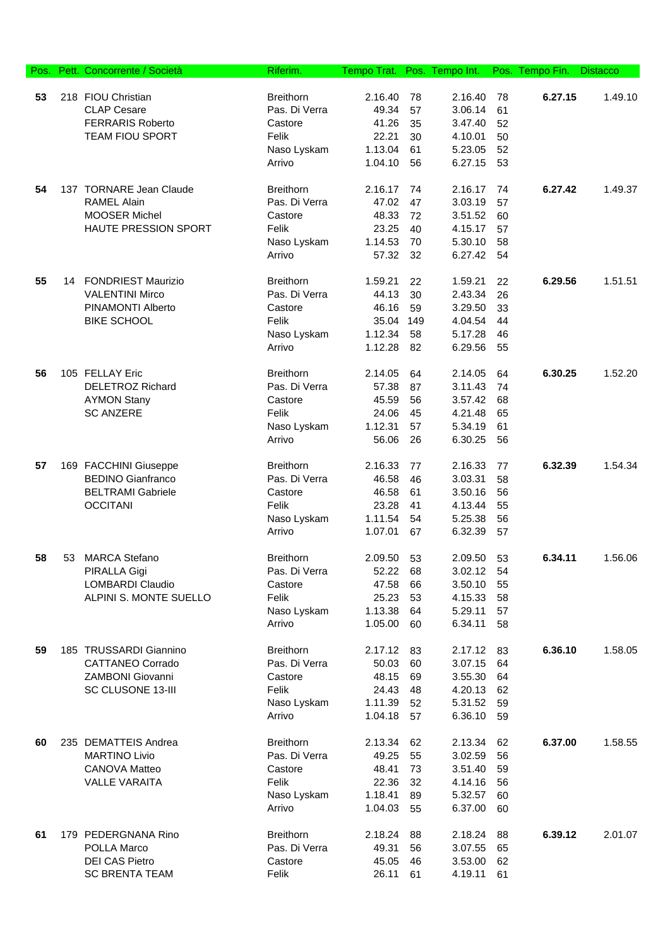| Pos. |    | Pett. Concorrente / Società | Riferim.         | Tempo Trat. |     | Pos. Tempo Int. |    | Pos. Tempo Fin. | <b>Distacco</b> |
|------|----|-----------------------------|------------------|-------------|-----|-----------------|----|-----------------|-----------------|
|      |    |                             |                  |             |     |                 |    |                 |                 |
| 53   |    | 218 FIOU Christian          | <b>Breithorn</b> | 2.16.40     | 78  | 2.16.40         | 78 | 6.27.15         | 1.49.10         |
|      |    | <b>CLAP Cesare</b>          | Pas. Di Verra    | 49.34       | 57  | 3.06.14         | 61 |                 |                 |
|      |    | <b>FERRARIS Roberto</b>     | Castore          | 41.26       | 35  | 3.47.40         | 52 |                 |                 |
|      |    | <b>TEAM FIOU SPORT</b>      | Felik            | 22.21       | 30  | 4.10.01         | 50 |                 |                 |
|      |    |                             | Naso Lyskam      | 1.13.04     | 61  | 5.23.05         | 52 |                 |                 |
|      |    |                             | Arrivo           | 1.04.10     | 56  | 6.27.15         | 53 |                 |                 |
| 54   |    | 137 TORNARE Jean Claude     | <b>Breithorn</b> | 2.16.17     | 74  | 2.16.17         | 74 | 6.27.42         | 1.49.37         |
|      |    | <b>RAMEL Alain</b>          | Pas. Di Verra    | 47.02       | 47  | 3.03.19         | 57 |                 |                 |
|      |    | <b>MOOSER Michel</b>        | Castore          | 48.33       | 72  | 3.51.52         | 60 |                 |                 |
|      |    | HAUTE PRESSION SPORT        | Felik            | 23.25       | 40  | 4.15.17         | 57 |                 |                 |
|      |    |                             | Naso Lyskam      | 1.14.53     | 70  | 5.30.10         | 58 |                 |                 |
|      |    |                             | Arrivo           | 57.32       | 32  | 6.27.42         | 54 |                 |                 |
| 55   | 14 | <b>FONDRIEST Maurizio</b>   | <b>Breithorn</b> | 1.59.21     | 22  | 1.59.21         | 22 | 6.29.56         | 1.51.51         |
|      |    | <b>VALENTINI Mirco</b>      | Pas. Di Verra    | 44.13       | 30  | 2.43.34         | 26 |                 |                 |
|      |    | PINAMONTI Alberto           | Castore          | 46.16       | 59  | 3.29.50         | 33 |                 |                 |
|      |    | <b>BIKE SCHOOL</b>          | Felik            | 35.04       | 149 | 4.04.54         | 44 |                 |                 |
|      |    |                             | Naso Lyskam      | 1.12.34     | 58  | 5.17.28         | 46 |                 |                 |
|      |    |                             | Arrivo           | 1.12.28     | 82  | 6.29.56         | 55 |                 |                 |
|      |    | 105 FELLAY Eric             | <b>Breithorn</b> |             |     |                 |    |                 | 1.52.20         |
| 56   |    |                             |                  | 2.14.05     | 64  | 2.14.05         | 64 | 6.30.25         |                 |
|      |    | <b>DELETROZ Richard</b>     | Pas. Di Verra    | 57.38       | 87  | 3.11.43         | 74 |                 |                 |
|      |    | <b>AYMON Stany</b>          | Castore          | 45.59       | 56  | 3.57.42         | 68 |                 |                 |
|      |    | <b>SC ANZERE</b>            | Felik            | 24.06       | 45  | 4.21.48         | 65 |                 |                 |
|      |    |                             | Naso Lyskam      | 1.12.31     | 57  | 5.34.19         | 61 |                 |                 |
|      |    |                             | Arrivo           | 56.06       | 26  | 6.30.25         | 56 |                 |                 |
| 57   |    | 169 FACCHINI Giuseppe       | <b>Breithorn</b> | 2.16.33     | 77  | 2.16.33         | 77 | 6.32.39         | 1.54.34         |
|      |    | <b>BEDINO Gianfranco</b>    | Pas. Di Verra    | 46.58       | 46  | 3.03.31         | 58 |                 |                 |
|      |    | <b>BELTRAMI Gabriele</b>    | Castore          | 46.58       | 61  | 3.50.16         | 56 |                 |                 |
|      |    | <b>OCCITANI</b>             | Felik            | 23.28       | 41  | 4.13.44         | 55 |                 |                 |
|      |    |                             | Naso Lyskam      | 1.11.54     | 54  | 5.25.38         | 56 |                 |                 |
|      |    |                             | Arrivo           | 1.07.01     | 67  | 6.32.39         | 57 |                 |                 |
| 58   | 53 | <b>MARCA Stefano</b>        | <b>Breithorn</b> | 2.09.50     | 53  | 2.09.50         | 53 | 6.34.11         | 1.56.06         |
|      |    | PIRALLA Gigi                | Pas. Di Verra    | 52.22       | 68  | 3.02.12         | 54 |                 |                 |
|      |    | <b>LOMBARDI Claudio</b>     | Castore          | 47.58       | 66  | 3.50.10         | 55 |                 |                 |
|      |    | ALPINI S. MONTE SUELLO      | Felik            | 25.23       | 53  | 4.15.33         | 58 |                 |                 |
|      |    |                             | Naso Lyskam      | 1.13.38     | 64  | 5.29.11         | 57 |                 |                 |
|      |    |                             | Arrivo           | 1.05.00     | 60  | 6.34.11         | 58 |                 |                 |
|      |    |                             |                  |             |     |                 |    |                 |                 |
| 59   |    | 185 TRUSSARDI Giannino      | <b>Breithorn</b> | 2.17.12     | 83  | 2.17.12         | 83 | 6.36.10         | 1.58.05         |
|      |    | <b>CATTANEO Corrado</b>     | Pas. Di Verra    | 50.03       | 60  | 3.07.15         | 64 |                 |                 |
|      |    | ZAMBONI Giovanni            | Castore          | 48.15       | 69  | 3.55.30         | 64 |                 |                 |
|      |    | SC CLUSONE 13-III           | Felik            | 24.43       | 48  | 4.20.13         | 62 |                 |                 |
|      |    |                             | Naso Lyskam      | 1.11.39     | 52  | 5.31.52         | 59 |                 |                 |
|      |    |                             | Arrivo           | 1.04.18     | 57  | 6.36.10         | 59 |                 |                 |
| 60   |    | 235 DEMATTEIS Andrea        | <b>Breithorn</b> | 2.13.34     | 62  | 2.13.34         | 62 | 6.37.00         | 1.58.55         |
|      |    | <b>MARTINO Livio</b>        | Pas. Di Verra    | 49.25       | 55  | 3.02.59         | 56 |                 |                 |
|      |    | <b>CANOVA Matteo</b>        | Castore          | 48.41       | 73  | 3.51.40         | 59 |                 |                 |
|      |    | <b>VALLE VARAITA</b>        | Felik            | 22.36       | 32  | 4.14.16         | 56 |                 |                 |
|      |    |                             | Naso Lyskam      | 1.18.41     | 89  | 5.32.57         | 60 |                 |                 |
|      |    |                             | Arrivo           | 1.04.03     | 55  | 6.37.00         | 60 |                 |                 |
| 61   |    | 179 PEDERGNANA Rino         | <b>Breithorn</b> | 2.18.24     | 88  | 2.18.24         | 88 | 6.39.12         | 2.01.07         |
|      |    | POLLA Marco                 | Pas. Di Verra    | 49.31       | 56  | 3.07.55         | 65 |                 |                 |
|      |    | <b>DEI CAS Pietro</b>       | Castore          | 45.05       | 46  | 3.53.00         | 62 |                 |                 |
|      |    | <b>SC BRENTA TEAM</b>       | Felik            | 26.11       | 61  | 4.19.11         | 61 |                 |                 |
|      |    |                             |                  |             |     |                 |    |                 |                 |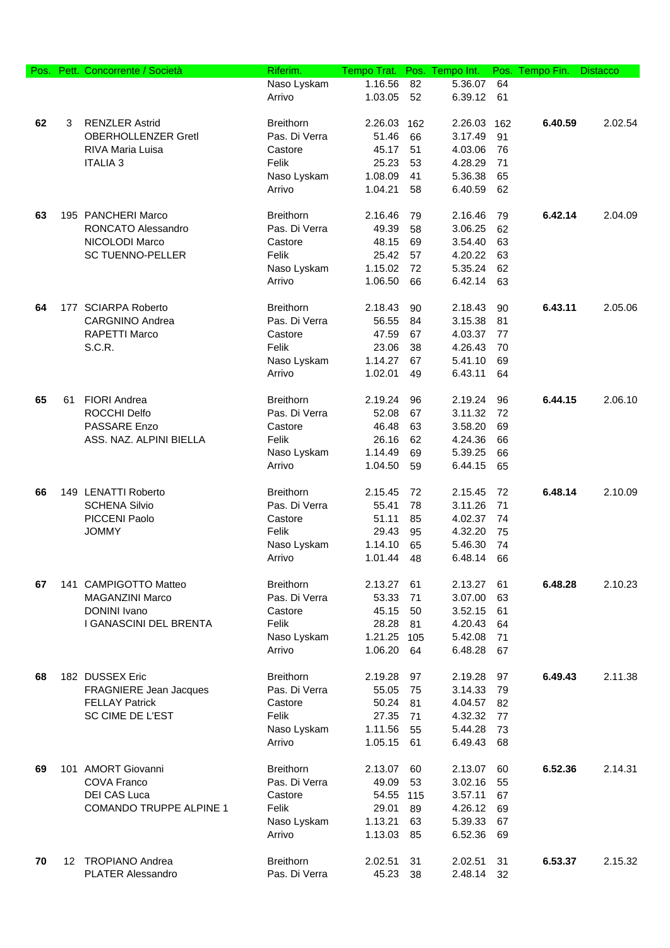| Pos. | Pett. | Concorrente / Società          | Riferim.         | Tempo Trat. | Pos. | Tempo Int. | Pos. | Tempo Fin. | <b>Distacco</b> |
|------|-------|--------------------------------|------------------|-------------|------|------------|------|------------|-----------------|
|      |       |                                | Naso Lyskam      | 1.16.56     | 82   | 5.36.07    | 64   |            |                 |
|      |       |                                | Arrivo           | 1.03.05     | 52   | 6.39.12    | 61   |            |                 |
| 62   | 3     | <b>RENZLER Astrid</b>          | <b>Breithorn</b> | 2.26.03     | 162  | 2.26.03    | 162  | 6.40.59    | 2.02.54         |
|      |       | <b>OBERHOLLENZER GretI</b>     | Pas. Di Verra    | 51.46       | 66   | 3.17.49    | 91   |            |                 |
|      |       | <b>RIVA Maria Luisa</b>        | Castore          | 45.17       | 51   | 4.03.06    | 76   |            |                 |
|      |       | <b>ITALIA 3</b>                | Felik            | 25.23       | 53   | 4.28.29    | 71   |            |                 |
|      |       |                                | Naso Lyskam      | 1.08.09     | 41   | 5.36.38    | 65   |            |                 |
|      |       |                                | Arrivo           | 1.04.21     | 58   | 6.40.59    | 62   |            |                 |
|      |       |                                |                  |             |      |            |      |            |                 |
| 63   |       | 195 PANCHERI Marco             | <b>Breithorn</b> | 2.16.46     | 79   | 2.16.46    | 79   | 6.42.14    | 2.04.09         |
|      |       | RONCATO Alessandro             | Pas. Di Verra    | 49.39       | 58   | 3.06.25    | 62   |            |                 |
|      |       | NICOLODI Marco                 | Castore          | 48.15       | 69   | 3.54.40    | 63   |            |                 |
|      |       | <b>SC TUENNO-PELLER</b>        | Felik            | 25.42       | 57   | 4.20.22    | 63   |            |                 |
|      |       |                                | Naso Lyskam      | 1.15.02     | 72   | 5.35.24    | 62   |            |                 |
|      |       |                                | Arrivo           | 1.06.50     | 66   | 6.42.14    | 63   |            |                 |
| 64   |       | 177 SCIARPA Roberto            | <b>Breithorn</b> | 2.18.43     | 90   | 2.18.43    | 90   | 6.43.11    | 2.05.06         |
|      |       | <b>CARGNINO Andrea</b>         | Pas. Di Verra    | 56.55       | 84   | 3.15.38    | 81   |            |                 |
|      |       | <b>RAPETTI Marco</b>           | Castore          | 47.59       | 67   | 4.03.37    | 77   |            |                 |
|      |       | S.C.R.                         | Felik            | 23.06       | 38   | 4.26.43    | 70   |            |                 |
|      |       |                                | Naso Lyskam      | 1.14.27     | 67   | 5.41.10    | 69   |            |                 |
|      |       |                                | Arrivo           | 1.02.01     | 49   | 6.43.11    | 64   |            |                 |
| 65   | 61    | <b>FIORI Andrea</b>            | <b>Breithorn</b> | 2.19.24     | 96   | 2.19.24    | 96   | 6.44.15    | 2.06.10         |
|      |       | ROCCHI Delfo                   | Pas. Di Verra    | 52.08       | 67   | 3.11.32    | 72   |            |                 |
|      |       | PASSARE Enzo                   | Castore          | 46.48       | 63   | 3.58.20    | 69   |            |                 |
|      |       | ASS. NAZ. ALPINI BIELLA        | Felik            | 26.16       | 62   | 4.24.36    | 66   |            |                 |
|      |       |                                | Naso Lyskam      | 1.14.49     | 69   | 5.39.25    | 66   |            |                 |
|      |       |                                | Arrivo           | 1.04.50     | 59   | 6.44.15    | 65   |            |                 |
| 66   |       | 149 LENATTI Roberto            | <b>Breithorn</b> | 2.15.45     | 72   | 2.15.45    | 72   | 6.48.14    | 2.10.09         |
|      |       | <b>SCHENA Silvio</b>           | Pas. Di Verra    | 55.41       | 78   | 3.11.26    | 71   |            |                 |
|      |       | PICCENI Paolo                  | Castore          | 51.11       | 85   | 4.02.37    | 74   |            |                 |
|      |       | <b>JOMMY</b>                   | Felik            | 29.43       | 95   | 4.32.20    | 75   |            |                 |
|      |       |                                | Naso Lyskam      | 1.14.10     | 65   | 5.46.30    | 74   |            |                 |
|      |       |                                | Arrivo           | 1.01.44     | 48   | 6.48.14    | 66   |            |                 |
| 67   |       | 141 CAMPIGOTTO Matteo          | <b>Breithorn</b> | 2.13.27     | 61   | 2.13.27    | 61   | 6.48.28    | 2.10.23         |
|      |       | MAGANZINI Marco                | Pas. Di Verra    | 53.33       | 71   | 3.07.00    | 63   |            |                 |
|      |       | DONINI Ivano                   | Castore          | 45.15       | 50   | 3.52.15    | 61   |            |                 |
|      |       | I GANASCINI DEL BRENTA         | Felik            | 28.28       | 81   | 4.20.43    | 64   |            |                 |
|      |       |                                | Naso Lyskam      | 1.21.25     | 105  | 5.42.08    | 71   |            |                 |
|      |       |                                | Arrivo           | 1.06.20     | 64   | 6.48.28    | 67   |            |                 |
| 68   |       | 182 DUSSEX Eric                | <b>Breithorn</b> | 2.19.28     | 97   | 2.19.28    | 97   | 6.49.43    | 2.11.38         |
|      |       | <b>FRAGNIERE Jean Jacques</b>  | Pas. Di Verra    | 55.05       | 75   | 3.14.33    | 79   |            |                 |
|      |       | <b>FELLAY Patrick</b>          | Castore          | 50.24       | 81   | 4.04.57    | 82   |            |                 |
|      |       | SC CIME DE L'EST               | Felik            | 27.35       | 71   | 4.32.32    | 77   |            |                 |
|      |       |                                | Naso Lyskam      | 1.11.56     | 55   | 5.44.28    | 73   |            |                 |
|      |       |                                | Arrivo           | 1.05.15     | 61   | 6.49.43    | 68   |            |                 |
|      |       |                                |                  |             |      |            |      |            |                 |
| 69   |       | 101 AMORT Giovanni             | <b>Breithorn</b> | 2.13.07     | 60   | 2.13.07    | 60   | 6.52.36    | 2.14.31         |
|      |       | <b>COVA Franco</b>             | Pas. Di Verra    | 49.09       | 53   | 3.02.16    | 55   |            |                 |
|      |       | <b>DEI CAS Luca</b>            | Castore          | 54.55 115   |      | 3.57.11    | 67   |            |                 |
|      |       | <b>COMANDO TRUPPE ALPINE 1</b> | Felik            | 29.01       | 89   | 4.26.12    | 69   |            |                 |
|      |       |                                | Naso Lyskam      | 1.13.21     | 63   | 5.39.33    | 67   |            |                 |
|      |       |                                | Arrivo           | 1.13.03     | 85   | 6.52.36    | 69   |            |                 |
| 70   |       | 12 TROPIANO Andrea             | <b>Breithorn</b> | 2.02.51     | 31   | 2.02.51    | 31   | 6.53.37    | 2.15.32         |
|      |       | <b>PLATER Alessandro</b>       | Pas. Di Verra    | 45.23       | 38   | 2.48.14    | 32   |            |                 |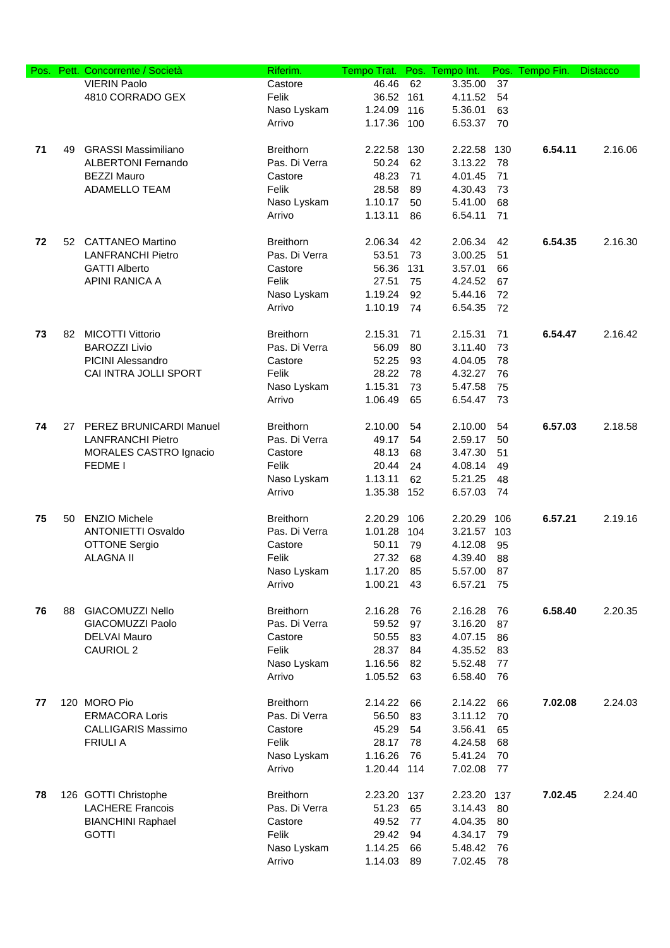| Pos. | Pett. | Concorrente / Società      | Riferim.         | Tempo Trat. | Pos.     | Tempo Int.         | Pos. | Tempo Fin. | <b>Distacco</b> |
|------|-------|----------------------------|------------------|-------------|----------|--------------------|------|------------|-----------------|
|      |       | <b>VIERIN Paolo</b>        | Castore          | 46.46       | 62       | 3.35.00            | 37   |            |                 |
|      |       | 4810 CORRADO GEX           | Felik            | 36.52       | 161      | 4.11.52            | 54   |            |                 |
|      |       |                            | Naso Lyskam      | 1.24.09     | 116      | 5.36.01            | 63   |            |                 |
|      |       |                            | Arrivo           | 1.17.36     | 100      | 6.53.37            | 70   |            |                 |
|      |       |                            |                  |             |          |                    |      |            |                 |
| 71   | 49    | <b>GRASSI Massimiliano</b> | <b>Breithorn</b> | 2.22.58     | 130      | 2.22.58            | 130  | 6.54.11    | 2.16.06         |
|      |       | <b>ALBERTONI Fernando</b>  | Pas. Di Verra    | 50.24       | 62       | 3.13.22            | 78   |            |                 |
|      |       | <b>BEZZI Mauro</b>         | Castore          | 48.23       | 71       | 4.01.45            | 71   |            |                 |
|      |       | ADAMELLO TEAM              | Felik            | 28.58       | 89       | 4.30.43            | 73   |            |                 |
|      |       |                            | Naso Lyskam      | 1.10.17     | 50       | 5.41.00            | 68   |            |                 |
|      |       |                            | Arrivo           | 1.13.11     | 86       | 6.54.11            | 71   |            |                 |
|      |       |                            |                  |             |          |                    |      |            |                 |
| 72   |       | 52 CATTANEO Martino        | <b>Breithorn</b> | 2.06.34     | 42       | 2.06.34            | 42   | 6.54.35    | 2.16.30         |
|      |       | <b>LANFRANCHI Pietro</b>   | Pas. Di Verra    | 53.51       | 73       | 3.00.25            | 51   |            |                 |
|      |       | <b>GATTI Alberto</b>       | Castore          | 56.36       | 131      | 3.57.01            | 66   |            |                 |
|      |       | APINI RANICA A             | Felik            | 27.51       | 75       | 4.24.52            | 67   |            |                 |
|      |       |                            | Naso Lyskam      | 1.19.24     | 92       | 5.44.16            | 72   |            |                 |
|      |       |                            |                  |             |          |                    |      |            |                 |
|      |       |                            | Arrivo           | 1.10.19     | 74       | 6.54.35            | 72   |            |                 |
| 73   | 82    | <b>MICOTTI Vittorio</b>    | <b>Breithorn</b> | 2.15.31     | 71       | 2.15.31            | 71   | 6.54.47    | 2.16.42         |
|      |       | <b>BAROZZI Livio</b>       | Pas. Di Verra    | 56.09       | 80       | 3.11.40            | 73   |            |                 |
|      |       | PICINI Alessandro          | Castore          | 52.25       | 93       | 4.04.05            | 78   |            |                 |
|      |       | CAI INTRA JOLLI SPORT      | Felik            | 28.22       | 78       | 4.32.27            | 76   |            |                 |
|      |       |                            | Naso Lyskam      | 1.15.31     |          |                    | 75   |            |                 |
|      |       |                            | Arrivo           | 1.06.49     | 73<br>65 | 5.47.58<br>6.54.47 | 73   |            |                 |
|      |       |                            |                  |             |          |                    |      |            |                 |
| 74   | 27    | PEREZ BRUNICARDI Manuel    | Breithorn        | 2.10.00     | 54       | 2.10.00            | 54   | 6.57.03    | 2.18.58         |
|      |       | <b>LANFRANCHI Pietro</b>   | Pas. Di Verra    | 49.17       | 54       | 2.59.17            | 50   |            |                 |
|      |       | MORALES CASTRO Ignacio     | Castore          | 48.13       | 68       | 3.47.30            | 51   |            |                 |
|      |       | <b>FEDME I</b>             | Felik            | 20.44       | 24       | 4.08.14            | 49   |            |                 |
|      |       |                            | Naso Lyskam      | 1.13.11     | 62       | 5.21.25            | 48   |            |                 |
|      |       |                            | Arrivo           | 1.35.38     | 152      | 6.57.03            | 74   |            |                 |
|      |       |                            |                  |             |          |                    |      |            |                 |
| 75   | 50    | <b>ENZIO Michele</b>       | <b>Breithorn</b> | 2.20.29     | 106      | 2.20.29            | 106  | 6.57.21    | 2.19.16         |
|      |       | <b>ANTONIETTI Osvaldo</b>  | Pas. Di Verra    | 1.01.28     | 104      | 3.21.57            | 103  |            |                 |
|      |       | <b>OTTONE Sergio</b>       | Castore          | 50.11       | 79       | 4.12.08            | 95   |            |                 |
|      |       | <b>ALAGNA II</b>           | Felik            | 27.32       | 68       | 4.39.40            | 88   |            |                 |
|      |       |                            | Naso Lyskam      | 1.17.20     | 85       | 5.57.00            | 87   |            |                 |
|      |       |                            | Arrivo           | 1.00.21     | 43       | 6.57.21            | 75   |            |                 |
|      |       |                            |                  |             |          |                    |      |            |                 |
| 76   | 88    | GIACOMUZZI Nello           | <b>Breithorn</b> | 2.16.28     | 76       | 2.16.28            | 76   | 6.58.40    | 2.20.35         |
|      |       | GIACOMUZZI Paolo           | Pas. Di Verra    | 59.52       | 97       | 3.16.20            | 87   |            |                 |
|      |       | <b>DELVAI Mauro</b>        | Castore          | 50.55       | 83       | 4.07.15            | 86   |            |                 |
|      |       | <b>CAURIOL 2</b>           | Felik            | 28.37       | 84       | 4.35.52            | 83   |            |                 |
|      |       |                            | Naso Lyskam      | 1.16.56     | 82       | 5.52.48            | 77   |            |                 |
|      |       |                            | Arrivo           | 1.05.52     | 63       | 6.58.40            | 76   |            |                 |
|      |       |                            |                  |             |          |                    |      |            |                 |
| 77   |       | 120 MORO Pio               | <b>Breithorn</b> | 2.14.22     | 66       | 2.14.22            | 66   | 7.02.08    | 2.24.03         |
|      |       | <b>ERMACORA Loris</b>      | Pas. Di Verra    | 56.50       | 83       | 3.11.12            | 70   |            |                 |
|      |       | <b>CALLIGARIS Massimo</b>  | Castore          | 45.29       | 54       | 3.56.41            | 65   |            |                 |
|      |       | <b>FRIULI A</b>            | Felik            | 28.17       | 78       | 4.24.58            | 68   |            |                 |
|      |       |                            | Naso Lyskam      | 1.16.26     | 76       | 5.41.24            | 70   |            |                 |
|      |       |                            | Arrivo           | 1.20.44 114 |          | 7.02.08            | 77   |            |                 |
|      |       |                            |                  |             |          |                    |      |            |                 |
| 78   |       | 126 GOTTI Christophe       | <b>Breithorn</b> | 2.23.20 137 |          | 2.23.20            | 137  | 7.02.45    | 2.24.40         |
|      |       | <b>LACHERE Francois</b>    | Pas. Di Verra    | 51.23       | 65       | 3.14.43            | 80   |            |                 |
|      |       | <b>BIANCHINI Raphael</b>   | Castore          | 49.52       | 77       | 4.04.35            | 80   |            |                 |
|      |       | <b>GOTTI</b>               | Felik            | 29.42       | 94       | 4.34.17            | 79   |            |                 |
|      |       |                            | Naso Lyskam      | 1.14.25     | 66       | 5.48.42            | 76   |            |                 |
|      |       |                            | Arrivo           | 1.14.03     | 89       | 7.02.45            | 78   |            |                 |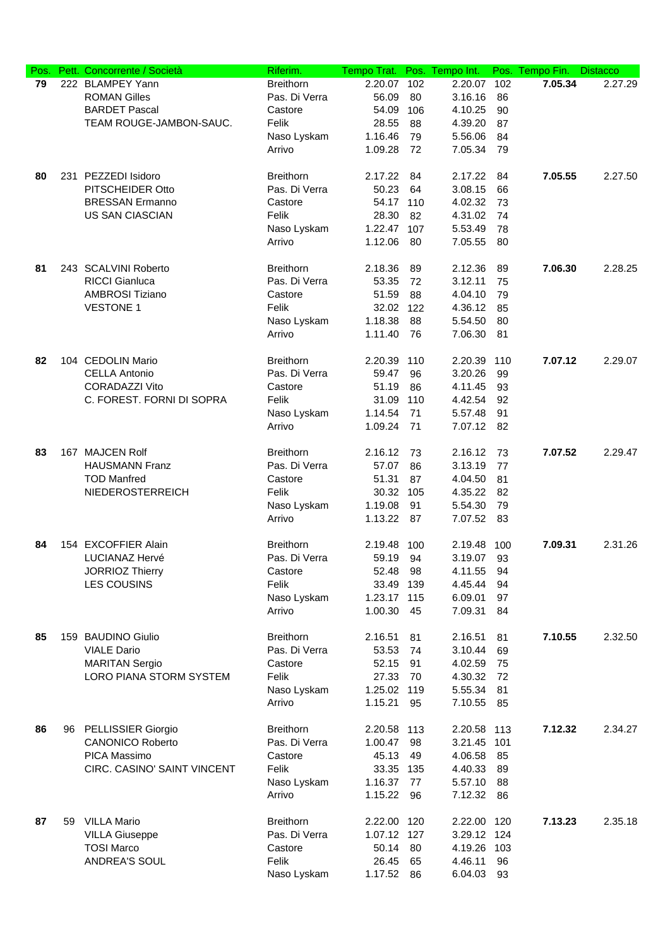| Pos. |    | Pett. Concorrente / Società | Riferim.         | Tempo Trat. | Pos. | Tempo Int.  | Pos. | Tempo Fin. | <b>Distacco</b> |
|------|----|-----------------------------|------------------|-------------|------|-------------|------|------------|-----------------|
| 79   |    | 222 BLAMPEY Yann            | <b>Breithorn</b> | 2.20.07     | 102  | 2.20.07     | 102  | 7.05.34    | 2.27.29         |
|      |    | <b>ROMAN Gilles</b>         | Pas. Di Verra    | 56.09       | 80   | 3.16.16     | 86   |            |                 |
|      |    | <b>BARDET Pascal</b>        | Castore          | 54.09       | 106  | 4.10.25     | 90   |            |                 |
|      |    | TEAM ROUGE-JAMBON-SAUC.     | Felik            | 28.55       | 88   | 4.39.20     | 87   |            |                 |
|      |    |                             | Naso Lyskam      | 1.16.46     | 79   | 5.56.06     | 84   |            |                 |
|      |    |                             | Arrivo           | 1.09.28     | 72   | 7.05.34     | 79   |            |                 |
|      |    |                             |                  |             |      |             |      |            |                 |
| 80   |    | 231 PEZZEDI Isidoro         | <b>Breithorn</b> | 2.17.22     | 84   | 2.17.22     | 84   | 7.05.55    | 2.27.50         |
|      |    | PITSCHEIDER Otto            | Pas. Di Verra    | 50.23       | 64   | 3.08.15     | 66   |            |                 |
|      |    | <b>BRESSAN Ermanno</b>      | Castore          | 54.17 110   |      | 4.02.32     | 73   |            |                 |
|      |    | <b>US SAN CIASCIAN</b>      | Felik            | 28.30       | 82   | 4.31.02     | 74   |            |                 |
|      |    |                             | Naso Lyskam      | 1.22.47     | 107  | 5.53.49     | 78   |            |                 |
|      |    |                             | Arrivo           | 1.12.06     | 80   | 7.05.55     | 80   |            |                 |
|      |    |                             |                  |             |      |             |      |            |                 |
| 81   |    | 243 SCALVINI Roberto        | <b>Breithorn</b> | 2.18.36     | 89   | 2.12.36     | 89   | 7.06.30    | 2.28.25         |
|      |    | <b>RICCI Gianluca</b>       | Pas. Di Verra    | 53.35       | 72   | 3.12.11     | 75   |            |                 |
|      |    | <b>AMBROSI Tiziano</b>      | Castore          | 51.59       | 88   | 4.04.10     | 79   |            |                 |
|      |    | <b>VESTONE 1</b>            | Felik            | 32.02       | 122  | 4.36.12     | 85   |            |                 |
|      |    |                             | Naso Lyskam      | 1.18.38     | 88   | 5.54.50     | 80   |            |                 |
|      |    |                             | Arrivo           | 1.11.40     | 76   | 7.06.30     | 81   |            |                 |
|      |    |                             |                  |             |      |             |      |            |                 |
| 82   |    | 104 CEDOLIN Mario           | <b>Breithorn</b> | 2.20.39     | 110  | 2.20.39     | 110  | 7.07.12    | 2.29.07         |
|      |    | <b>CELLA Antonio</b>        | Pas. Di Verra    | 59.47       | 96   | 3.20.26     | 99   |            |                 |
|      |    | <b>CORADAZZI Vito</b>       | Castore          | 51.19       | 86   | 4.11.45     | 93   |            |                 |
|      |    | C. FOREST. FORNI DI SOPRA   | Felik            | 31.09       | 110  | 4.42.54     | 92   |            |                 |
|      |    |                             | Naso Lyskam      | 1.14.54     | 71   | 5.57.48     | 91   |            |                 |
|      |    |                             | Arrivo           | 1.09.24     | 71   | 7.07.12     | 82   |            |                 |
|      |    |                             |                  |             |      |             |      |            |                 |
| 83   |    | 167 MAJCEN Rolf             | <b>Breithorn</b> | 2.16.12     | 73   | 2.16.12     | 73   | 7.07.52    | 2.29.47         |
|      |    | <b>HAUSMANN Franz</b>       | Pas. Di Verra    | 57.07       | 86   | 3.13.19     | 77   |            |                 |
|      |    | <b>TOD Manfred</b>          | Castore          | 51.31       | 87   | 4.04.50     | 81   |            |                 |
|      |    | NIEDEROSTERREICH            | Felik            | 30.32       | 105  | 4.35.22     | 82   |            |                 |
|      |    |                             | Naso Lyskam      | 1.19.08     | 91   | 5.54.30     | 79   |            |                 |
|      |    |                             | Arrivo           | 1.13.22     | 87   | 7.07.52     | 83   |            |                 |
|      |    |                             |                  |             |      |             |      |            |                 |
| 84   |    | 154 EXCOFFIER Alain         | <b>Breithorn</b> | 2.19.48     | 100  | 2.19.48     | 100  | 7.09.31    | 2.31.26         |
|      |    | LUCIANAZ Hervé              | Pas. Di Verra    | 59.19       | 94   | 3.19.07     | 93   |            |                 |
|      |    | <b>JORRIOZ Thierry</b>      | Castore          | 52.48       | 98   | 4.11.55     | 94   |            |                 |
|      |    | <b>LES COUSINS</b>          | Felik            | 33.49       | 139  | 4.45.44     | 94   |            |                 |
|      |    |                             | Naso Lyskam      | 1.23.17 115 |      | 6.09.01     | 97   |            |                 |
|      |    |                             | Arrivo           | 1.00.30     | 45   | 7.09.31     | 84   |            |                 |
|      |    |                             |                  |             |      |             |      |            |                 |
| 85   |    | 159 BAUDINO Giulio          | <b>Breithorn</b> | 2.16.51     | 81   | 2.16.51     | 81   | 7.10.55    | 2.32.50         |
|      |    | <b>VIALE Dario</b>          | Pas. Di Verra    | 53.53       | 74   | 3.10.44     | 69   |            |                 |
|      |    | <b>MARITAN Sergio</b>       | Castore          | 52.15       | 91   | 4.02.59     | 75   |            |                 |
|      |    | LORO PIANA STORM SYSTEM     | Felik            | 27.33       | 70   | 4.30.32     | 72   |            |                 |
|      |    |                             | Naso Lyskam      | 1.25.02 119 |      | 5.55.34     | 81   |            |                 |
|      |    |                             | Arrivo           | 1.15.21     | 95   | 7.10.55     | 85   |            |                 |
|      |    |                             |                  |             |      |             |      |            |                 |
| 86   |    | 96 PELLISSIER Giorgio       | <b>Breithorn</b> | 2.20.58 113 |      | 2.20.58     | 113  | 7.12.32    | 2.34.27         |
|      |    | <b>CANONICO Roberto</b>     | Pas. Di Verra    | 1.00.47     | 98   | 3.21.45     | 101  |            |                 |
|      |    | PICA Massimo                | Castore          | 45.13       | 49   | 4.06.58     | 85   |            |                 |
|      |    | CIRC. CASINO' SAINT VINCENT | Felik            | 33.35 135   |      | 4.40.33     | 89   |            |                 |
|      |    |                             | Naso Lyskam      | 1.16.37     | 77   | 5.57.10     | 88   |            |                 |
|      |    |                             | Arrivo           | 1.15.22     | 96   | 7.12.32     | 86   |            |                 |
|      |    |                             |                  |             |      |             |      |            |                 |
| 87   | 59 | <b>VILLA Mario</b>          | <b>Breithorn</b> | 2.22.00 120 |      | 2.22.00 120 |      | 7.13.23    | 2.35.18         |
|      |    | <b>VILLA Giuseppe</b>       | Pas. Di Verra    | 1.07.12 127 |      | 3.29.12 124 |      |            |                 |
|      |    | <b>TOSI Marco</b>           | Castore          | 50.14       | 80   | 4.19.26     | 103  |            |                 |
|      |    | ANDREA'S SOUL               | Felik            | 26.45       | 65   | 4.46.11     | 96   |            |                 |
|      |    |                             | Naso Lyskam      | 1.17.52     | 86   | 6.04.03     | 93   |            |                 |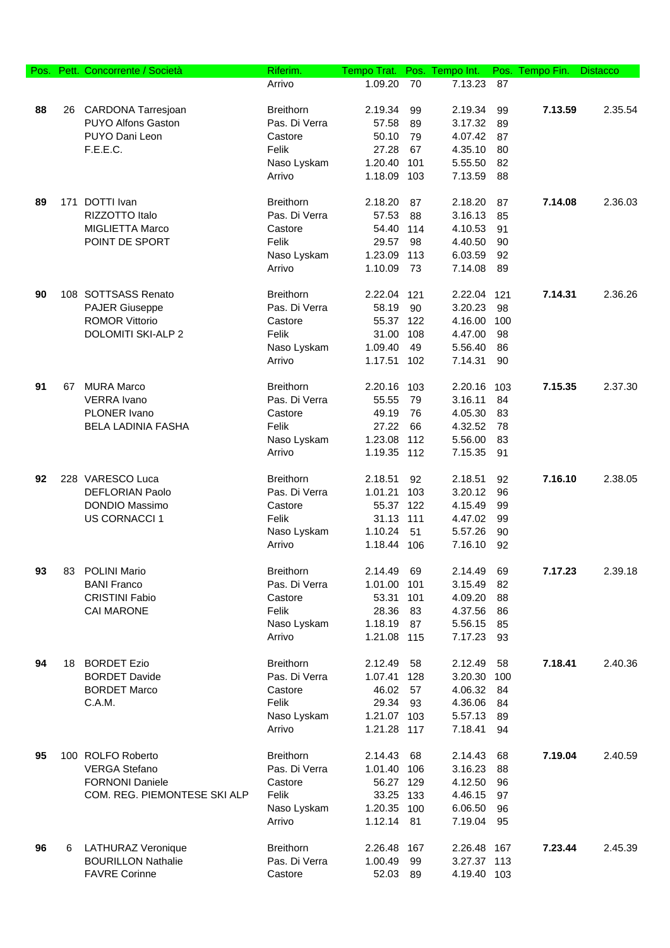| Pos. |    | Pett. Concorrente / Società  | Riferim.         | Tempo Trat. |     | Pos. Tempo Int. |     | Pos. Tempo Fin. | <b>Distacco</b> |
|------|----|------------------------------|------------------|-------------|-----|-----------------|-----|-----------------|-----------------|
|      |    |                              | Arrivo           | 1.09.20     | 70  | 7.13.23         | 87  |                 |                 |
|      |    |                              |                  |             |     |                 |     |                 |                 |
| 88   |    | 26 CARDONA Tarresjoan        | <b>Breithorn</b> | 2.19.34     | 99  | 2.19.34         | 99  | 7.13.59         | 2.35.54         |
|      |    | PUYO Alfons Gaston           | Pas. Di Verra    | 57.58       | 89  | 3.17.32         | 89  |                 |                 |
|      |    | PUYO Dani Leon               | Castore          | 50.10       | 79  | 4.07.42         | 87  |                 |                 |
|      |    | F.E.E.C.                     | Felik            | 27.28       | 67  | 4.35.10         | 80  |                 |                 |
|      |    |                              | Naso Lyskam      | 1.20.40     | 101 | 5.55.50         | 82  |                 |                 |
|      |    |                              | Arrivo           | 1.18.09 103 |     | 7.13.59         | 88  |                 |                 |
|      |    |                              |                  |             |     |                 |     |                 |                 |
| 89   |    | 171 DOTTI Ivan               | <b>Breithorn</b> | 2.18.20     | 87  | 2.18.20         | 87  | 7.14.08         | 2.36.03         |
|      |    | RIZZOTTO Italo               | Pas. Di Verra    | 57.53       | 88  | 3.16.13         | 85  |                 |                 |
|      |    | MIGLIETTA Marco              | Castore          | 54.40 114   |     | 4.10.53         | 91  |                 |                 |
|      |    | POINT DE SPORT               | Felik            | 29.57       | 98  | 4.40.50         | 90  |                 |                 |
|      |    |                              | Naso Lyskam      | 1.23.09 113 |     | 6.03.59         | 92  |                 |                 |
|      |    |                              | Arrivo           | 1.10.09     | 73  | 7.14.08         | 89  |                 |                 |
|      |    |                              |                  |             |     |                 |     |                 |                 |
| 90   |    | 108 SOTTSASS Renato          | <b>Breithorn</b> | 2.22.04     | 121 | 2.22.04         | 121 | 7.14.31         | 2.36.26         |
|      |    | <b>PAJER Giuseppe</b>        | Pas. Di Verra    | 58.19       | 90  | 3.20.23         | 98  |                 |                 |
|      |    | <b>ROMOR Vittorio</b>        | Castore          | 55.37 122   |     | 4.16.00         | 100 |                 |                 |
|      |    | DOLOMITI SKI-ALP 2           | Felik            | 31.00       | 108 | 4.47.00         | 98  |                 |                 |
|      |    |                              | Naso Lyskam      | 1.09.40     | 49  | 5.56.40         | 86  |                 |                 |
|      |    |                              | Arrivo           | 1.17.51     | 102 | 7.14.31         | 90  |                 |                 |
|      |    |                              |                  |             |     |                 |     |                 |                 |
| 91   | 67 | <b>MURA Marco</b>            | <b>Breithorn</b> | 2.20.16 103 |     | 2.20.16         | 103 | 7.15.35         | 2.37.30         |
|      |    | <b>VERRA</b> Ivano           | Pas. Di Verra    | 55.55       | 79  | 3.16.11         | 84  |                 |                 |
|      |    | PLONER Ivano                 | Castore          | 49.19       | 76  | 4.05.30         | 83  |                 |                 |
|      |    | <b>BELA LADINIA FASHA</b>    | Felik            | 27.22       | 66  | 4.32.52         | 78  |                 |                 |
|      |    |                              | Naso Lyskam      | 1.23.08     | 112 | 5.56.00         | 83  |                 |                 |
|      |    |                              | Arrivo           | 1.19.35 112 |     | 7.15.35         | 91  |                 |                 |
|      |    |                              |                  |             |     |                 |     |                 |                 |
| 92   |    | 228 VARESCO Luca             | <b>Breithorn</b> | 2.18.51     | 92  | 2.18.51         | 92  | 7.16.10         | 2.38.05         |
|      |    | <b>DEFLORIAN Paolo</b>       | Pas. Di Verra    | 1.01.21     | 103 | 3.20.12         | 96  |                 |                 |
|      |    | DONDIO Massimo               | Castore          | 55.37 122   |     | 4.15.49         | 99  |                 |                 |
|      |    | <b>US CORNACCI 1</b>         | Felik            | 31.13 111   |     | 4.47.02         | 99  |                 |                 |
|      |    |                              | Naso Lyskam      | 1.10.24     | 51  | 5.57.26         | 90  |                 |                 |
|      |    |                              | Arrivo           | 1.18.44 106 |     | 7.16.10         | 92  |                 |                 |
|      |    |                              |                  |             |     |                 |     |                 |                 |
| 93   | 83 | <b>POLINI Mario</b>          | <b>Breithorn</b> | 2.14.49     | 69  | 2.14.49         | 69  | 7.17.23         | 2.39.18         |
|      |    | <b>BANI Franco</b>           | Pas. Di Verra    | 1.01.00     | 101 | 3.15.49         | 82  |                 |                 |
|      |    | <b>CRISTINI Fabio</b>        | Castore          | 53.31       | 101 | 4.09.20         | 88  |                 |                 |
|      |    | <b>CAI MARONE</b>            | Felik            | 28.36       | 83  | 4.37.56         | 86  |                 |                 |
|      |    |                              | Naso Lyskam      | 1.18.19     | 87  | 5.56.15         | 85  |                 |                 |
|      |    |                              | Arrivo           | 1.21.08 115 |     | 7.17.23         | 93  |                 |                 |
|      |    |                              |                  |             |     |                 |     |                 |                 |
| 94   |    | 18 BORDET Ezio               | <b>Breithorn</b> | 2.12.49     | 58  | 2.12.49         | 58  | 7.18.41         | 2.40.36         |
|      |    | <b>BORDET Davide</b>         | Pas. Di Verra    | 1.07.41     | 128 | 3.20.30         | 100 |                 |                 |
|      |    | <b>BORDET Marco</b>          | Castore          | 46.02 57    |     | 4.06.32         | 84  |                 |                 |
|      |    | C.A.M.                       | Felik            | 29.34       | 93  | 4.36.06         | 84  |                 |                 |
|      |    |                              | Naso Lyskam      | 1.21.07 103 |     | 5.57.13         | 89  |                 |                 |
|      |    |                              | Arrivo           | 1.21.28 117 |     | 7.18.41         | 94  |                 |                 |
|      |    |                              |                  |             |     |                 |     |                 |                 |
| 95   |    | 100 ROLFO Roberto            | <b>Breithorn</b> | 2.14.43     | 68  | 2.14.43         | 68  | 7.19.04         | 2.40.59         |
|      |    | <b>VERGA Stefano</b>         | Pas. Di Verra    | 1.01.40 106 |     | 3.16.23         | 88  |                 |                 |
|      |    | <b>FORNONI Daniele</b>       | Castore          | 56.27 129   |     | 4.12.50         | 96  |                 |                 |
|      |    | COM. REG. PIEMONTESE SKI ALP | Felik            | 33.25 133   |     | 4.46.15         | 97  |                 |                 |
|      |    |                              | Naso Lyskam      | 1.20.35 100 |     | 6.06.50         | 96  |                 |                 |
|      |    |                              | Arrivo           | 1.12.14 81  |     | 7.19.04         | 95  |                 |                 |
|      |    |                              |                  |             |     |                 |     |                 |                 |
| 96   | 6. | <b>LATHURAZ Veronique</b>    | <b>Breithorn</b> | 2.26.48 167 |     | 2.26.48 167     |     | 7.23.44         | 2.45.39         |
|      |    | <b>BOURILLON Nathalie</b>    | Pas. Di Verra    | 1.00.49     | 99  | 3.27.37         | 113 |                 |                 |
|      |    | <b>FAVRE Corinne</b>         | Castore          | 52.03       | 89  | 4.19.40 103     |     |                 |                 |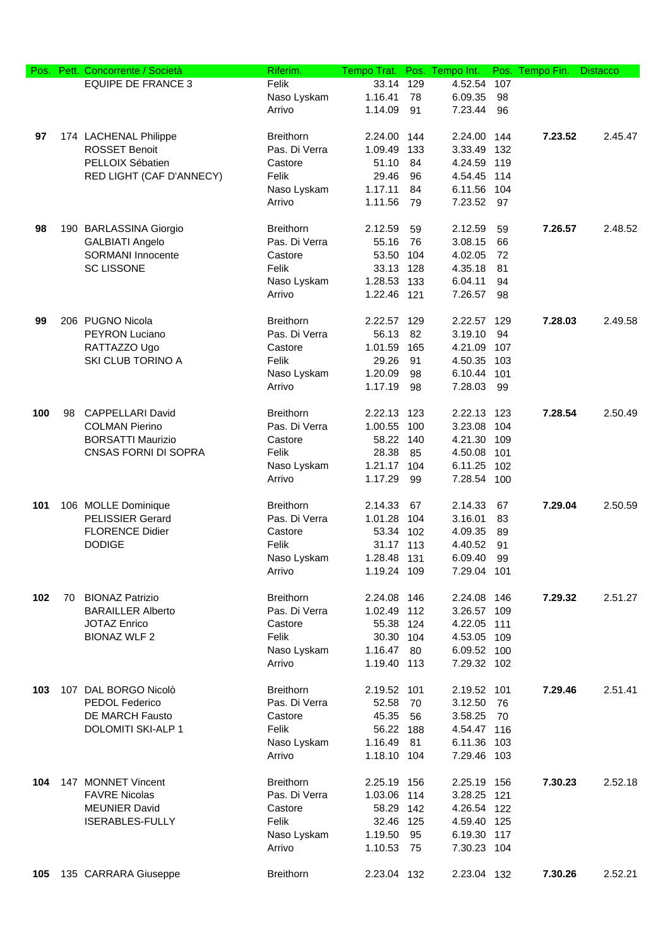| Pos. |    | Pett. Concorrente / Società | Riferim.         | Tempo Trat. |     | Pos. Tempo Int. |     | Pos. Tempo Fin. | <b>Distacco</b> |
|------|----|-----------------------------|------------------|-------------|-----|-----------------|-----|-----------------|-----------------|
|      |    | <b>EQUIPE DE FRANCE 3</b>   | Felik            | 33.14       | 129 | 4.52.54         | 107 |                 |                 |
|      |    |                             | Naso Lyskam      | 1.16.41     | 78  | 6.09.35         | 98  |                 |                 |
|      |    |                             | Arrivo           | 1.14.09     | 91  | 7.23.44         | 96  |                 |                 |
|      |    |                             |                  |             |     |                 |     |                 |                 |
| 97   |    | 174 LACHENAL Philippe       | <b>Breithorn</b> | 2.24.00     | 144 | 2.24.00 144     |     | 7.23.52         | 2.45.47         |
|      |    | <b>ROSSET Benoit</b>        | Pas. Di Verra    | 1.09.49     | 133 | 3.33.49         | 132 |                 |                 |
|      |    | PELLOIX Sébatien            | Castore          | 51.10       | 84  | 4.24.59 119     |     |                 |                 |
|      |    | RED LIGHT (CAF D'ANNECY)    | Felik            | 29.46       | 96  | 4.54.45         | 114 |                 |                 |
|      |    |                             | Naso Lyskam      | 1.17.11     | 84  | 6.11.56         | 104 |                 |                 |
|      |    |                             | Arrivo           | 1.11.56     | 79  | 7.23.52         | 97  |                 |                 |
|      |    |                             |                  |             |     |                 |     |                 |                 |
| 98   |    | 190 BARLASSINA Giorgio      | <b>Breithorn</b> | 2.12.59     | 59  | 2.12.59         | 59  | 7.26.57         | 2.48.52         |
|      |    | <b>GALBIATI Angelo</b>      | Pas. Di Verra    | 55.16       | 76  | 3.08.15         | 66  |                 |                 |
|      |    | <b>SORMANI</b> Innocente    | Castore          | 53.50       | 104 | 4.02.05         | 72  |                 |                 |
|      |    | <b>SC LISSONE</b>           | Felik            | 33.13 128   |     | 4.35.18         | 81  |                 |                 |
|      |    |                             | Naso Lyskam      | 1.28.53 133 |     | 6.04.11         | 94  |                 |                 |
|      |    |                             | Arrivo           | 1.22.46 121 |     | 7.26.57         | 98  |                 |                 |
|      |    |                             |                  |             |     |                 |     |                 |                 |
| 99   |    | 206 PUGNO Nicola            | <b>Breithorn</b> |             |     |                 |     | 7.28.03         | 2.49.58         |
|      |    |                             |                  | 2.22.57     | 129 | 2.22.57 129     |     |                 |                 |
|      |    | PEYRON Luciano              | Pas. Di Verra    | 56.13       | 82  | 3.19.10         | 94  |                 |                 |
|      |    | RATTAZZO Ugo                | Castore          | 1.01.59     | 165 | 4.21.09         | 107 |                 |                 |
|      |    | SKI CLUB TORINO A           | Felik            | 29.26       | 91  | 4.50.35         | 103 |                 |                 |
|      |    |                             | Naso Lyskam      | 1.20.09     | 98  | 6.10.44         | 101 |                 |                 |
|      |    |                             | Arrivo           | 1.17.19     | 98  | 7.28.03         | 99  |                 |                 |
|      |    |                             |                  |             |     |                 |     |                 |                 |
| 100  | 98 | <b>CAPPELLARI David</b>     | <b>Breithorn</b> | 2.22.13 123 |     | 2.22.13 123     |     | 7.28.54         | 2.50.49         |
|      |    | <b>COLMAN Pierino</b>       | Pas. Di Verra    | 1.00.55 100 |     | 3.23.08         | 104 |                 |                 |
|      |    | <b>BORSATTI Maurizio</b>    | Castore          | 58.22 140   |     | 4.21.30 109     |     |                 |                 |
|      |    | CNSAS FORNI DI SOPRA        | Felik            | 28.38       | 85  | 4.50.08         | 101 |                 |                 |
|      |    |                             | Naso Lyskam      | 1.21.17     | 104 | 6.11.25         | 102 |                 |                 |
|      |    |                             | Arrivo           | 1.17.29     | 99  | 7.28.54         | 100 |                 |                 |
|      |    |                             |                  |             |     |                 |     |                 |                 |
| 101  |    | 106 MOLLE Dominique         | <b>Breithorn</b> | 2.14.33     | 67  | 2.14.33         | 67  | 7.29.04         | 2.50.59         |
|      |    | <b>PELISSIER Gerard</b>     | Pas. Di Verra    | 1.01.28     | 104 | 3.16.01         | 83  |                 |                 |
|      |    | <b>FLORENCE Didier</b>      | Castore          | 53.34 102   |     | 4.09.35         | 89  |                 |                 |
|      |    | <b>DODIGE</b>               | Felik            | 31.17 113   |     | 4.40.52         | 91  |                 |                 |
|      |    |                             | Naso Lyskam      | 1.28.48 131 |     | 6.09.40         | 99  |                 |                 |
|      |    |                             | Arrivo           | 1.19.24 109 |     | 7.29.04 101     |     |                 |                 |
|      |    |                             |                  |             |     |                 |     |                 |                 |
| 102  | 70 | <b>BIONAZ Patrizio</b>      | <b>Breithorn</b> | 2.24.08 146 |     | 2.24.08 146     |     | 7.29.32         | 2.51.27         |
|      |    | <b>BARAILLER Alberto</b>    | Pas. Di Verra    | 1.02.49 112 |     | 3.26.57 109     |     |                 |                 |
|      |    | <b>JOTAZ Enrico</b>         | Castore          | 55.38 124   |     | 4.22.05         | 111 |                 |                 |
|      |    | <b>BIONAZ WLF 2</b>         | Felik            | 30.30 104   |     | 4.53.05 109     |     |                 |                 |
|      |    |                             | Naso Lyskam      | 1.16.47     | 80  | 6.09.52 100     |     |                 |                 |
|      |    |                             | Arrivo           | 1.19.40     | 113 | 7.29.32 102     |     |                 |                 |
|      |    |                             |                  |             |     |                 |     |                 |                 |
| 103  |    | 107 DAL BORGO Nicolò        | <b>Breithorn</b> | 2.19.52 101 |     | 2.19.52 101     |     | 7.29.46         | 2.51.41         |
|      |    | PEDOL Federico              | Pas. Di Verra    | 52.58       | 70  | 3.12.50         | 76  |                 |                 |
|      |    | DE MARCH Fausto             | Castore          | 45.35       | 56  | 3.58.25         | 70  |                 |                 |
|      |    | DOLOMITI SKI-ALP 1          | Felik            | 56.22       | 188 | 4.54.47 116     |     |                 |                 |
|      |    |                             | Naso Lyskam      | 1.16.49     | 81  | 6.11.36 103     |     |                 |                 |
|      |    |                             | Arrivo           | 1.18.10 104 |     | 7.29.46 103     |     |                 |                 |
|      |    |                             |                  |             |     |                 |     |                 |                 |
| 104  |    | 147 MONNET Vincent          | <b>Breithorn</b> | 2.25.19 156 |     | 2.25.19 156     |     | 7.30.23         | 2.52.18         |
|      |    | <b>FAVRE Nicolas</b>        | Pas. Di Verra    | 1.03.06 114 |     | 3.28.25 121     |     |                 |                 |
|      |    | <b>MEUNIER David</b>        | Castore          | 58.29 142   |     | 4.26.54 122     |     |                 |                 |
|      |    | <b>ISERABLES-FULLY</b>      | Felik            | 32.46 125   |     | 4.59.40 125     |     |                 |                 |
|      |    |                             | Naso Lyskam      | 1.19.50     | 95  | 6.19.30 117     |     |                 |                 |
|      |    |                             | Arrivo           | 1.10.53     | 75  | 7.30.23 104     |     |                 |                 |
|      |    |                             |                  |             |     |                 |     |                 |                 |
| 105  |    | 135 CARRARA Giuseppe        | <b>Breithorn</b> | 2.23.04 132 |     | 2.23.04 132     |     | 7.30.26         | 2.52.21         |
|      |    |                             |                  |             |     |                 |     |                 |                 |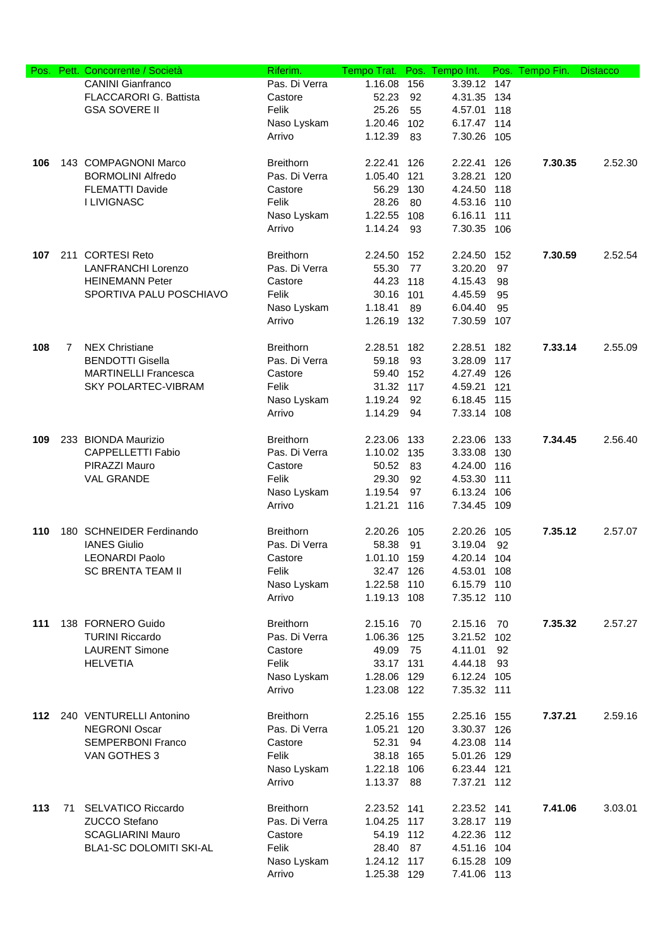| Pos. |    | Pett. Concorrente / Società    | Riferim.         | Tempo Trat. |     | Pos. Tempo Int. |       | Pos. Tempo Fin. | <b>Distacco</b> |
|------|----|--------------------------------|------------------|-------------|-----|-----------------|-------|-----------------|-----------------|
|      |    | <b>CANINI Gianfranco</b>       | Pas. Di Verra    | 1.16.08     | 156 | 3.39.12         | 147   |                 |                 |
|      |    | FLACCARORI G. Battista         | Castore          | 52.23       | 92  | 4.31.35 134     |       |                 |                 |
|      |    | <b>GSA SOVERE II</b>           | Felik            | 25.26       | 55  | 4.57.01         | 118   |                 |                 |
|      |    |                                | Naso Lyskam      | 1.20.46 102 |     | 6.17.47 114     |       |                 |                 |
|      |    |                                | Arrivo           | 1.12.39     | 83  | 7.30.26 105     |       |                 |                 |
|      |    |                                |                  |             |     |                 |       |                 |                 |
| 106  |    | 143 COMPAGNONI Marco           | <b>Breithorn</b> | 2.22.41     | 126 | 2.22.41         | 126   | 7.30.35         | 2.52.30         |
|      |    | <b>BORMOLINI Alfredo</b>       | Pas. Di Verra    | 1.05.40     | 121 | 3.28.21         | 120   |                 |                 |
|      |    | <b>FLEMATTI Davide</b>         | Castore          | 56.29 130   |     | 4.24.50         | 118   |                 |                 |
|      |    | <b>I LIVIGNASC</b>             | Felik            | 28.26       | 80  | 4.53.16         | 110   |                 |                 |
|      |    |                                | Naso Lyskam      | 1.22.55 108 |     | 6.16.11         | 111   |                 |                 |
|      |    |                                | Arrivo           | 1.14.24     | 93  | 7.30.35 106     |       |                 |                 |
|      |    |                                |                  |             |     |                 |       |                 |                 |
| 107  |    | 211 CORTESI Reto               | <b>Breithorn</b> | 2.24.50 152 |     | 2.24.50         | 152   | 7.30.59         | 2.52.54         |
|      |    | <b>LANFRANCHI Lorenzo</b>      | Pas. Di Verra    | 55.30       | 77  | 3.20.20         | 97    |                 |                 |
|      |    | <b>HEINEMANN Peter</b>         | Castore          | 44.23 118   |     | 4.15.43         | 98    |                 |                 |
|      |    | SPORTIVA PALU POSCHIAVO        | Felik            | 30.16 101   |     | 4.45.59         | 95    |                 |                 |
|      |    |                                | Naso Lyskam      | 1.18.41     | 89  | 6.04.40         | 95    |                 |                 |
|      |    |                                | Arrivo           | 1.26.19 132 |     | 7.30.59         | 107   |                 |                 |
|      |    |                                |                  |             |     |                 |       |                 |                 |
| 108  | 7  | <b>NEX Christiane</b>          | <b>Breithorn</b> | 2.28.51     | 182 | 2.28.51         | 182   | 7.33.14         | 2.55.09         |
|      |    | <b>BENDOTTI Gisella</b>        | Pas. Di Verra    | 59.18       | 93  | 3.28.09         | 117   |                 |                 |
|      |    | <b>MARTINELLI Francesca</b>    | Castore          | 59.40 152   |     | 4.27.49 126     |       |                 |                 |
|      |    | <b>SKY POLARTEC-VIBRAM</b>     | Felik            | 31.32 117   |     | 4.59.21         | 121   |                 |                 |
|      |    |                                | Naso Lyskam      | 1.19.24     | 92  | 6.18.45 115     |       |                 |                 |
|      |    |                                | Arrivo           | 1.14.29     | 94  | 7.33.14 108     |       |                 |                 |
|      |    |                                |                  |             |     |                 |       |                 |                 |
| 109  |    | 233 BIONDA Maurizio            | <b>Breithorn</b> | 2.23.06 133 |     | 2.23.06         | 133   | 7.34.45         | 2.56.40         |
|      |    | <b>CAPPELLETTI Fabio</b>       | Pas. Di Verra    | 1.10.02 135 |     | 3.33.08         |       |                 |                 |
|      |    | PIRAZZI Mauro                  | Castore          | 50.52       |     |                 | 130   |                 |                 |
|      |    |                                |                  |             | 83  | 4.24.00 116     |       |                 |                 |
|      |    | <b>VAL GRANDE</b>              | Felik            | 29.30       | 92  | 4.53.30         | 111   |                 |                 |
|      |    |                                | Naso Lyskam      | 1.19.54     | 97  | 6.13.24         | 106   |                 |                 |
|      |    |                                | Arrivo           | 1.21.21 116 |     | 7.34.45 109     |       |                 |                 |
| 110  |    | 180 SCHNEIDER Ferdinando       | <b>Breithorn</b> | 2.20.26 105 |     | 2.20.26         |       | 7.35.12         | 2.57.07         |
|      |    |                                |                  |             |     |                 | 105   |                 |                 |
|      |    | <b>IANES Giulio</b>            | Pas. Di Verra    | 58.38       | 91  | 3.19.04         | 92    |                 |                 |
|      |    | <b>LEONARDI Paolo</b>          | Castore          | 1.01.10 159 |     | 4.20.14 104     |       |                 |                 |
|      |    | <b>SC BRENTA TEAM II</b>       | Felik            | 32.47 126   |     | 4.53.01         | - 108 |                 |                 |
|      |    |                                | Naso Lyskam      | 1.22.58 110 |     | 6.15.79         | 110   |                 |                 |
|      |    |                                | Arrivo           | 1.19.13 108 |     | 7.35.12 110     |       |                 |                 |
|      |    |                                |                  |             |     |                 |       |                 |                 |
| 111  |    | 138 FORNERO Guido              | <b>Breithorn</b> | 2.15.16     | 70  | 2.15.16         | 70    | 7.35.32         | 2.57.27         |
|      |    | <b>TURINI Riccardo</b>         | Pas. Di Verra    | 1.06.36 125 |     | 3.21.52 102     |       |                 |                 |
|      |    | <b>LAURENT Simone</b>          | Castore          | 49.09       | 75  | 4.11.01         | 92    |                 |                 |
|      |    | <b>HELVETIA</b>                | Felik            | 33.17 131   |     | 4.44.18         | 93    |                 |                 |
|      |    |                                | Naso Lyskam      | 1.28.06 129 |     | 6.12.24 105     |       |                 |                 |
|      |    |                                | Arrivo           | 1.23.08 122 |     | 7.35.32 111     |       |                 |                 |
|      |    |                                |                  |             |     |                 |       |                 |                 |
| 112  |    | 240 VENTURELLI Antonino        | <b>Breithorn</b> | 2.25.16 155 |     | 2.25.16 155     |       | 7.37.21         | 2.59.16         |
|      |    | <b>NEGRONI Oscar</b>           | Pas. Di Verra    | 1.05.21 120 |     | 3.30.37 126     |       |                 |                 |
|      |    | <b>SEMPERBONI Franco</b>       | Castore          | 52.31       | 94  | 4.23.08 114     |       |                 |                 |
|      |    | VAN GOTHES 3                   | Felik            | 38.18 165   |     | 5.01.26 129     |       |                 |                 |
|      |    |                                | Naso Lyskam      | 1.22.18 106 |     | 6.23.44 121     |       |                 |                 |
|      |    |                                | Arrivo           | 1.13.37     | 88  | 7.37.21 112     |       |                 |                 |
|      |    |                                |                  |             |     |                 |       |                 |                 |
| 113  | 71 | <b>SELVATICO Riccardo</b>      | <b>Breithorn</b> | 2.23.52 141 |     | 2.23.52 141     |       | 7.41.06         | 3.03.01         |
|      |    | ZUCCO Stefano                  | Pas. Di Verra    | 1.04.25 117 |     | 3.28.17 119     |       |                 |                 |
|      |    | <b>SCAGLIARINI Mauro</b>       | Castore          | 54.19 112   |     | 4.22.36 112     |       |                 |                 |
|      |    | <b>BLA1-SC DOLOMITI SKI-AL</b> | Felik            | 28.40       | 87  | 4.51.16 104     |       |                 |                 |
|      |    |                                | Naso Lyskam      | 1.24.12 117 |     | 6.15.28         | 109   |                 |                 |
|      |    |                                | Arrivo           | 1.25.38 129 |     | 7.41.06 113     |       |                 |                 |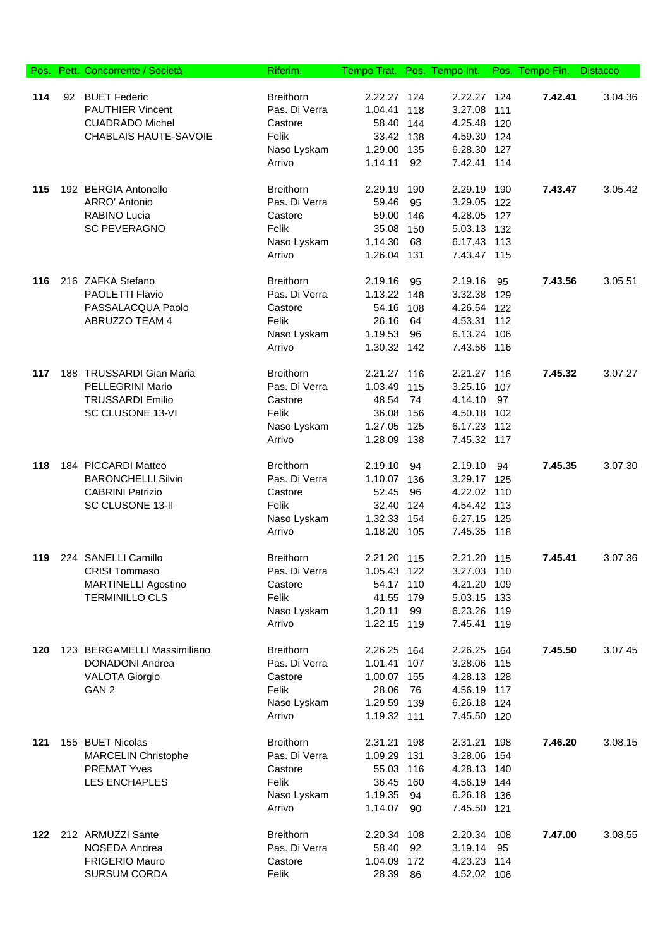| Pos. | Pett. Concorrente / Società               | Riferim.                          | Tempo Trat. Pos. Tempo Int. |     |                            |            | Pos. Tempo Fin. | <b>Distacco</b> |
|------|-------------------------------------------|-----------------------------------|-----------------------------|-----|----------------------------|------------|-----------------|-----------------|
|      |                                           |                                   |                             |     |                            |            |                 |                 |
| 114  | 92 BUET Federic                           | <b>Breithorn</b>                  | 2.22.27 124                 |     | 2.22.27 124                |            | 7.42.41         | 3.04.36         |
|      | <b>PAUTHIER Vincent</b>                   | Pas. Di Verra                     | 1.04.41                     | 118 | 3.27.08                    | 111        |                 |                 |
|      | <b>CUADRADO Michel</b>                    | Castore                           | 58.40 144                   |     | 4.25.48 120                |            |                 |                 |
|      | <b>CHABLAIS HAUTE-SAVOIE</b>              | Felik                             | 33.42 138                   |     | 4.59.30 124                |            |                 |                 |
|      |                                           | Naso Lyskam                       | 1.29.00 135                 |     | 6.28.30                    | 127        |                 |                 |
|      |                                           | Arrivo                            | 1.14.11                     | 92  | 7.42.41 114                |            |                 |                 |
| 115  | 192 BERGIA Antonello                      | <b>Breithorn</b>                  | 2.29.19                     | 190 | 2.29.19                    | 190        | 7.43.47         | 3.05.42         |
|      | ARRO' Antonio                             | Pas. Di Verra                     | 59.46                       | 95  | 3.29.05                    | 122        |                 |                 |
|      | RABINO Lucia                              | Castore                           | 59.00                       | 146 | 4.28.05 127                |            |                 |                 |
|      | <b>SC PEVERAGNO</b>                       | Felik                             | 35.08                       | 150 | 5.03.13 132                |            |                 |                 |
|      |                                           | Naso Lyskam                       | 1.14.30                     | 68  | 6.17.43 113                |            |                 |                 |
|      |                                           | Arrivo                            | 1.26.04 131                 |     | 7.43.47 115                |            |                 |                 |
|      |                                           |                                   |                             |     |                            |            |                 |                 |
| 116  | 216 ZAFKA Stefano                         | <b>Breithorn</b>                  | 2.19.16                     | 95  | 2.19.16                    | 95         | 7.43.56         | 3.05.51         |
|      | PAOLETTI Flavio                           | Pas. Di Verra                     | 1.13.22 148                 |     | 3.32.38                    | 129        |                 |                 |
|      | PASSALACQUA Paolo                         | Castore                           | 54.16                       | 108 | 4.26.54                    | 122        |                 |                 |
|      | ABRUZZO TEAM 4                            | Felik                             | 26.16                       | 64  | 4.53.31                    | 112        |                 |                 |
|      |                                           | Naso Lyskam                       | 1.19.53                     | 96  | 6.13.24                    | 106        |                 |                 |
|      |                                           | Arrivo                            | 1.30.32 142                 |     | 7.43.56 116                |            |                 |                 |
| 117  | 188 TRUSSARDI Gian Maria                  | <b>Breithorn</b>                  | 2.21.27 116                 |     | 2.21.27                    | 116        | 7.45.32         | 3.07.27         |
|      | PELLEGRINI Mario                          | Pas. Di Verra                     | 1.03.49                     | 115 | 3.25.16                    | 107        |                 |                 |
|      | <b>TRUSSARDI Emilio</b>                   | Castore                           | 48.54                       | 74  | 4.14.10                    | 97         |                 |                 |
|      | SC CLUSONE 13-VI                          | Felik                             | 36.08                       | 156 | 4.50.18 102                |            |                 |                 |
|      |                                           | Naso Lyskam                       | 1.27.05 125                 |     | 6.17.23 112                |            |                 |                 |
|      |                                           | Arrivo                            | 1.28.09                     | 138 | 7.45.32 117                |            |                 |                 |
| 118  | 184 PICCARDI Matteo                       | <b>Breithorn</b>                  | 2.19.10                     | 94  | 2.19.10                    | 94         | 7.45.35         | 3.07.30         |
|      | <b>BARONCHELLI Silvio</b>                 | Pas. Di Verra                     | 1.10.07                     | 136 | 3.29.17 125                |            |                 |                 |
|      | <b>CABRINI Patrizio</b>                   |                                   | 52.45                       | 96  |                            |            |                 |                 |
|      | SC CLUSONE 13-II                          | Castore<br>Felik                  | 32.40 124                   |     | 4.22.02 110<br>4.54.42 113 |            |                 |                 |
|      |                                           |                                   | 1.32.33 154                 |     | 6.27.15 125                |            |                 |                 |
|      |                                           | Naso Lyskam<br>Arrivo             | 1.18.20 105                 |     | 7.45.35 118                |            |                 |                 |
|      |                                           |                                   |                             |     |                            |            |                 |                 |
| 119  | 224 SANELLI Camillo                       | <b>Breithorn</b>                  | 2.21.20 115                 |     | 2.21.20 115                |            | 7.45.41         | 3.07.36         |
|      | CRISI Tommaso                             | Pas. Di Verra                     | 1.05.43                     | 122 | 3.27.03 110                |            |                 |                 |
|      | <b>MARTINELLI Agostino</b>                | Castore                           | 54.17 110                   |     | 4.21.20                    | 109        |                 |                 |
|      | <b>TERMINILLO CLS</b>                     | Felik                             | 41.55 179                   |     | 5.03.15 133                |            |                 |                 |
|      |                                           | Naso Lyskam                       | 1.20.11                     | 99  | 6.23.26 119                |            |                 |                 |
|      |                                           | Arrivo                            | 1.22.15 119                 |     | 7.45.41 119                |            |                 |                 |
| 120  | 123 BERGAMELLI Massimiliano               | <b>Breithorn</b>                  | 2.26.25 164                 |     | 2.26.25 164                |            | 7.45.50         | 3.07.45         |
|      | <b>DONADONI Andrea</b>                    | Pas. Di Verra                     | 1.01.41 107                 |     | 3.28.06 115                |            |                 |                 |
|      | <b>VALOTA Giorgio</b>                     | Castore                           | 1.00.07 155                 |     | 4.28.13 128                |            |                 |                 |
|      | GAN <sub>2</sub>                          | Felik                             | 28.06                       | 76  | 4.56.19 117                |            |                 |                 |
|      |                                           | Naso Lyskam                       | 1.29.59 139                 |     | 6.26.18 124                |            |                 |                 |
|      |                                           | Arrivo                            | 1.19.32 111                 |     | 7.45.50 120                |            |                 |                 |
|      |                                           |                                   |                             |     |                            |            |                 |                 |
| 121  | 155 BUET Nicolas                          | <b>Breithorn</b><br>Pas. Di Verra | 2.31.21 198                 |     | 2.31.21                    | 198<br>154 | 7.46.20         | 3.08.15         |
|      | MARCELIN Christophe<br><b>PREMAT Yves</b> | Castore                           | 1.09.29 131<br>55.03 116    |     | 3.28.06<br>4.28.13 140     |            |                 |                 |
|      | LES ENCHAPLES                             | Felik                             | 36.45 160                   |     | 4.56.19 144                |            |                 |                 |
|      |                                           | Naso Lyskam                       | 1.19.35                     | 94  | 6.26.18 136                |            |                 |                 |
|      |                                           | Arrivo                            | 1.14.07                     | 90  | 7.45.50 121                |            |                 |                 |
|      |                                           |                                   |                             |     |                            |            |                 |                 |
| 122  | 212 ARMUZZI Sante                         | <b>Breithorn</b>                  | 2.20.34                     | 108 | 2.20.34 108                |            | 7.47.00         | 3.08.55         |
|      | NOSEDA Andrea                             | Pas. Di Verra                     | 58.40                       | 92  | 3.19.14                    | 95         |                 |                 |
|      | FRIGERIO Mauro                            | Castore                           | 1.04.09                     | 172 | 4.23.23 114                |            |                 |                 |
|      | <b>SURSUM CORDA</b>                       | Felik                             | 28.39                       | 86  | 4.52.02 106                |            |                 |                 |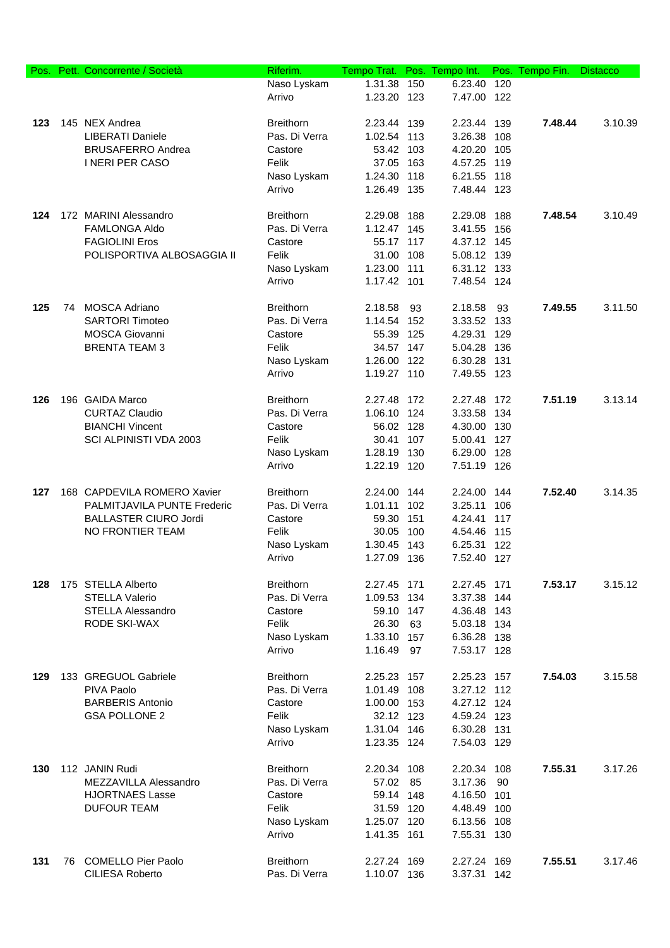| Pos. |    | Pett. Concorrente / Società        | Riferim.         | Tempo Trat. | Pos. | Tempo Int.  | Pos. | Tempo Fin. | <b>Distacco</b> |
|------|----|------------------------------------|------------------|-------------|------|-------------|------|------------|-----------------|
|      |    |                                    | Naso Lyskam      | 1.31.38     | 150  | 6.23.40     | 120  |            |                 |
|      |    |                                    | Arrivo           | 1.23.20 123 |      | 7.47.00 122 |      |            |                 |
| 123  |    | 145 NEX Andrea                     | <b>Breithorn</b> | 2.23.44 139 |      | 2.23.44     | 139  | 7.48.44    | 3.10.39         |
|      |    | <b>LIBERATI Daniele</b>            | Pas. Di Verra    | 1.02.54 113 |      | 3.26.38     | 108  |            |                 |
|      |    | <b>BRUSAFERRO Andrea</b>           | Castore          | 53.42 103   |      | 4.20.20     | 105  |            |                 |
|      |    | <b>INERIPER CASO</b>               | Felik            | 37.05       | 163  | 4.57.25 119 |      |            |                 |
|      |    |                                    | Naso Lyskam      | 1.24.30     | 118  | 6.21.55     | 118  |            |                 |
|      |    |                                    | Arrivo           | 1.26.49 135 |      | 7.48.44 123 |      |            |                 |
| 124  |    | 172 MARINI Alessandro              | <b>Breithorn</b> | 2.29.08     | 188  | 2.29.08     | 188  | 7.48.54    | 3.10.49         |
|      |    | <b>FAMLONGA Aldo</b>               | Pas. Di Verra    | 1.12.47 145 |      | 3.41.55     | 156  |            |                 |
|      |    | <b>FAGIOLINI Eros</b>              | Castore          | 55.17 117   |      | 4.37.12 145 |      |            |                 |
|      |    | POLISPORTIVA ALBOSAGGIA II         | Felik            | 31.00       | 108  | 5.08.12 139 |      |            |                 |
|      |    |                                    | Naso Lyskam      | 1.23.00 111 |      | 6.31.12 133 |      |            |                 |
|      |    |                                    | Arrivo           | 1.17.42 101 |      | 7.48.54 124 |      |            |                 |
| 125  | 74 | <b>MOSCA Adriano</b>               | <b>Breithorn</b> | 2.18.58     | 93   | 2.18.58     | 93   | 7.49.55    | 3.11.50         |
|      |    | <b>SARTORI Timoteo</b>             | Pas. Di Verra    | 1.14.54     | 152  | 3.33.52 133 |      |            |                 |
|      |    | <b>MOSCA Giovanni</b>              | Castore          | 55.39       | 125  | 4.29.31     | 129  |            |                 |
|      |    | <b>BRENTA TEAM 3</b>               | Felik            | 34.57 147   |      | 5.04.28     | 136  |            |                 |
|      |    |                                    | Naso Lyskam      | 1.26.00 122 |      | 6.30.28     | 131  |            |                 |
|      |    |                                    | Arrivo           | 1.19.27 110 |      | 7.49.55 123 |      |            |                 |
| 126  |    | 196 GAIDA Marco                    | <b>Breithorn</b> | 2.27.48     | 172  | 2.27.48     | 172  | 7.51.19    | 3.13.14         |
|      |    | <b>CURTAZ Claudio</b>              | Pas. Di Verra    | 1.06.10 124 |      | 3.33.58     | 134  |            |                 |
|      |    | <b>BIANCHI Vincent</b>             | Castore          | 56.02 128   |      | 4.30.00 130 |      |            |                 |
|      |    | SCI ALPINISTI VDA 2003             | Felik            | 30.41       | 107  | 5.00.41     | 127  |            |                 |
|      |    |                                    | Naso Lyskam      | 1.28.19 130 |      | 6.29.00     | 128  |            |                 |
|      |    |                                    | Arrivo           | 1.22.19 120 |      | 7.51.19 126 |      |            |                 |
| 127  |    | 168 CAPDEVILA ROMERO Xavier        | <b>Breithorn</b> | 2.24.00     | 144  | 2.24.00     | 144  | 7.52.40    | 3.14.35         |
|      |    | <b>PALMITJAVILA PUNTE Frederic</b> | Pas. Di Verra    | 1.01.11     | 102  | 3.25.11     | 106  |            |                 |
|      |    | <b>BALLASTER CIURO Jordi</b>       | Castore          | 59.30       | 151  | 4.24.41     | 117  |            |                 |
|      |    | NO FRONTIER TEAM                   | Felik            | 30.05       | 100  | 4.54.46     | 115  |            |                 |
|      |    |                                    | Naso Lyskam      | 1.30.45     | 143  | 6.25.31     | 122  |            |                 |
|      |    |                                    | Arrivo           | 1.27.09 136 |      | 7.52.40 127 |      |            |                 |
| 128  |    | 175 STELLA Alberto                 | <b>Breithorn</b> | 2.27.45 171 |      | 2.27.45 171 |      | 7.53.17    | 3.15.12         |
|      |    | <b>STELLA Valerio</b>              | Pas. Di Verra    | 1.09.53 134 |      | 3.37.38 144 |      |            |                 |
|      |    | <b>STELLA Alessandro</b>           | Castore          | 59.10 147   |      | 4.36.48 143 |      |            |                 |
|      |    | <b>RODE SKI-WAX</b>                | Felik            | 26.30       | 63   | 5.03.18 134 |      |            |                 |
|      |    |                                    | Naso Lyskam      | 1.33.10 157 |      | 6.36.28     | 138  |            |                 |
|      |    |                                    | Arrivo           | 1.16.49     | 97   | 7.53.17 128 |      |            |                 |
| 129  |    | 133 GREGUOL Gabriele               | <b>Breithorn</b> | 2.25.23 157 |      | 2.25.23 157 |      | 7.54.03    | 3.15.58         |
|      |    | PIVA Paolo                         | Pas. Di Verra    | 1.01.49 108 |      | 3.27.12 112 |      |            |                 |
|      |    | <b>BARBERIS Antonio</b>            | Castore          | 1.00.00 153 |      | 4.27.12 124 |      |            |                 |
|      |    | <b>GSA POLLONE 2</b>               | Felik            | 32.12 123   |      | 4.59.24 123 |      |            |                 |
|      |    |                                    | Naso Lyskam      | 1.31.04 146 |      | 6.30.28 131 |      |            |                 |
|      |    |                                    | Arrivo           | 1.23.35 124 |      | 7.54.03 129 |      |            |                 |
| 130  |    | 112 JANIN Rudi                     | <b>Breithorn</b> | 2.20.34     | 108  | 2.20.34 108 |      | 7.55.31    | 3.17.26         |
|      |    | MEZZAVILLA Alessandro              | Pas. Di Verra    | 57.02       | 85   | 3.17.36     | 90   |            |                 |
|      |    | <b>HJORTNAES Lasse</b>             | Castore          | 59.14 148   |      | 4.16.50 101 |      |            |                 |
|      |    | <b>DUFOUR TEAM</b>                 | Felik            | 31.59 120   |      | 4.48.49 100 |      |            |                 |
|      |    |                                    | Naso Lyskam      | 1.25.07 120 |      | 6.13.56 108 |      |            |                 |
|      |    |                                    | Arrivo           | 1.41.35 161 |      | 7.55.31 130 |      |            |                 |
| 131  | 76 | <b>COMELLO Pier Paolo</b>          | <b>Breithorn</b> | 2.27.24 169 |      | 2.27.24 169 |      | 7.55.51    | 3.17.46         |
|      |    | <b>CILIESA Roberto</b>             | Pas. Di Verra    | 1.10.07 136 |      | 3.37.31 142 |      |            |                 |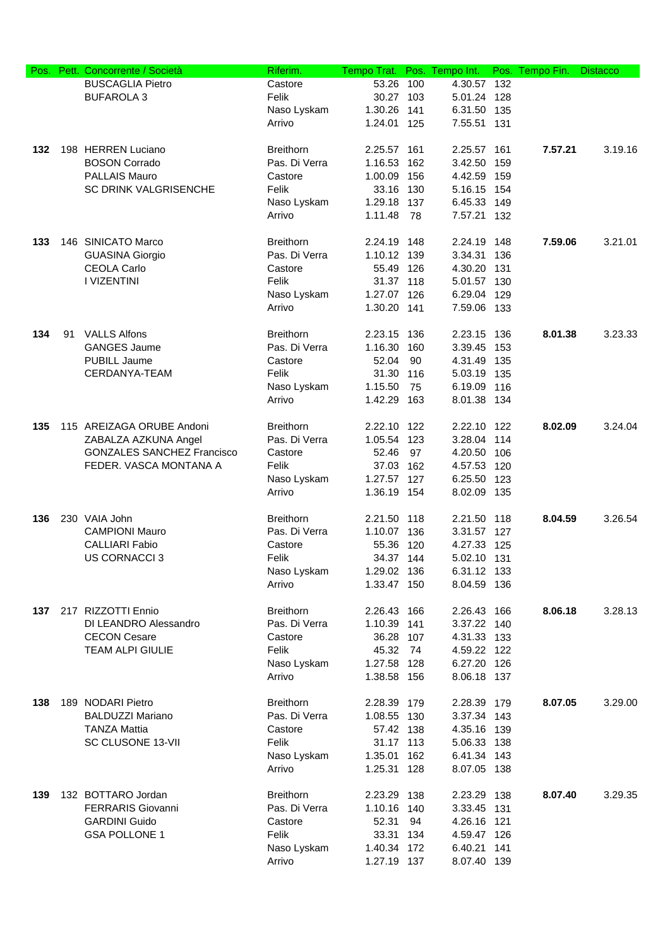| Pos. |    | Pett. Concorrente / Società       | Riferim.         | Tempo Trat. | Pos. | Tempo Int.  | Pos. | Tempo Fin. | <b>Distacco</b> |
|------|----|-----------------------------------|------------------|-------------|------|-------------|------|------------|-----------------|
|      |    | <b>BUSCAGLIA Pietro</b>           | Castore          | 53.26       | 100  | 4.30.57     | 132  |            |                 |
|      |    | <b>BUFAROLA 3</b>                 | Felik            | 30.27       | 103  | 5.01.24     | 128  |            |                 |
|      |    |                                   | Naso Lyskam      | 1.30.26     | 141  | 6.31.50     | 135  |            |                 |
|      |    |                                   | Arrivo           | 1.24.01     | 125  | 7.55.51     | 131  |            |                 |
|      |    |                                   |                  |             |      |             |      |            |                 |
| 132  |    | 198 HERREN Luciano                | <b>Breithorn</b> | 2.25.57     | 161  | 2.25.57     | 161  | 7.57.21    | 3.19.16         |
|      |    | <b>BOSON Corrado</b>              | Pas. Di Verra    | 1.16.53     | 162  | 3.42.50     | 159  |            |                 |
|      |    | <b>PALLAIS Mauro</b>              | Castore          | 1.00.09     | 156  | 4.42.59     | 159  |            |                 |
|      |    | <b>SC DRINK VALGRISENCHE</b>      | Felik            | 33.16 130   |      | 5.16.15     | 154  |            |                 |
|      |    |                                   | Naso Lyskam      | 1.29.18 137 |      | 6.45.33     | 149  |            |                 |
|      |    |                                   | Arrivo           | 1.11.48     | 78   | 7.57.21     | 132  |            |                 |
|      |    |                                   |                  |             |      |             |      |            |                 |
| 133  |    | 146 SINICATO Marco                | <b>Breithorn</b> | 2.24.19     | 148  | 2.24.19     | 148  | 7.59.06    | 3.21.01         |
|      |    | <b>GUASINA Giorgio</b>            | Pas. Di Verra    | 1.10.12 139 |      | 3.34.31     | 136  |            |                 |
|      |    | <b>CEOLA Carlo</b>                | Castore          | 55.49 126   |      | 4.30.20     | 131  |            |                 |
|      |    | I VIZENTINI                       | Felik            | 31.37 118   |      | 5.01.57 130 |      |            |                 |
|      |    |                                   | Naso Lyskam      | 1.27.07 126 |      | 6.29.04     | 129  |            |                 |
|      |    |                                   | Arrivo           | 1.30.20 141 |      | 7.59.06 133 |      |            |                 |
|      |    |                                   |                  |             |      |             |      |            |                 |
| 134  | 91 | <b>VALLS Alfons</b>               | <b>Breithorn</b> | 2.23.15     | 136  | 2.23.15     | 136  | 8.01.38    | 3.23.33         |
|      |    | <b>GANGES Jaume</b>               | Pas. Di Verra    | 1.16.30     | 160  | 3.39.45     | 153  |            |                 |
|      |    | <b>PUBILL Jaume</b>               | Castore          | 52.04       | 90   | 4.31.49     | 135  |            |                 |
|      |    | CERDANYA-TEAM                     | Felik            | 31.30       | 116  | 5.03.19     | 135  |            |                 |
|      |    |                                   | Naso Lyskam      | 1.15.50     | 75   | 6.19.09     | 116  |            |                 |
|      |    |                                   | Arrivo           | 1.42.29     | 163  | 8.01.38 134 |      |            |                 |
|      |    |                                   |                  |             |      |             |      |            |                 |
| 135  |    | 115 AREIZAGA ORUBE Andoni         | <b>Breithorn</b> | 2.22.10 122 |      | 2.22.10     | 122  | 8.02.09    | 3.24.04         |
|      |    | ZABALZA AZKUNA Angel              | Pas. Di Verra    | 1.05.54 123 |      | 3.28.04     | 114  |            |                 |
|      |    | <b>GONZALES SANCHEZ Francisco</b> | Castore          | 52.46       | 97   | 4.20.50     | 106  |            |                 |
|      |    | FEDER. VASCA MONTANA A            | Felik            | 37.03       | 162  | 4.57.53     | 120  |            |                 |
|      |    |                                   | Naso Lyskam      | 1.27.57 127 |      | 6.25.50     | 123  |            |                 |
|      |    |                                   | Arrivo           | 1.36.19 154 |      | 8.02.09     | 135  |            |                 |
|      |    |                                   |                  |             |      |             |      |            |                 |
| 136  |    | 230 VAIA John                     | <b>Breithorn</b> | 2.21.50 118 |      | 2.21.50     | 118  | 8.04.59    | 3.26.54         |
|      |    | <b>CAMPIONI Mauro</b>             | Pas. Di Verra    | 1.10.07 136 |      | 3.31.57 127 |      |            |                 |
|      |    | <b>CALLIARI Fabio</b>             | Castore          | 55.36       | 120  | 4.27.33     | 125  |            |                 |
|      |    | <b>US CORNACCI 3</b>              | Felik            | 34.37 144   |      | 5.02.10 131 |      |            |                 |
|      |    |                                   | Naso Lyskam      | 1.29.02 136 |      | 6.31.12 133 |      |            |                 |
|      |    |                                   | Arrivo           | 1.33.47 150 |      | 8.04.59 136 |      |            |                 |
|      |    |                                   |                  |             |      |             |      |            |                 |
| 137  |    | 217 RIZZOTTI Ennio                | <b>Breithorn</b> | 2.26.43 166 |      | 2.26.43 166 |      | 8.06.18    | 3.28.13         |
|      |    | DI LEANDRO Alessandro             | Pas. Di Verra    | 1.10.39 141 |      | 3.37.22     | 140  |            |                 |
|      |    | <b>CECON Cesare</b>               | Castore          | 36.28 107   |      | 4.31.33 133 |      |            |                 |
|      |    | <b>TEAM ALPI GIULIE</b>           | Felik            | 45.32       | 74   | 4.59.22 122 |      |            |                 |
|      |    |                                   | Naso Lyskam      | 1.27.58 128 |      | 6.27.20 126 |      |            |                 |
|      |    |                                   | Arrivo           | 1.38.58 156 |      | 8.06.18 137 |      |            |                 |
|      |    |                                   |                  |             |      |             |      |            |                 |
| 138  |    | 189 NODARI Pietro                 | <b>Breithorn</b> | 2.28.39 179 |      | 2.28.39 179 |      | 8.07.05    | 3.29.00         |
|      |    | <b>BALDUZZI Mariano</b>           | Pas. Di Verra    | 1.08.55 130 |      | 3.37.34 143 |      |            |                 |
|      |    | <b>TANZA Mattia</b>               | Castore          | 57.42 138   |      | 4.35.16 139 |      |            |                 |
|      |    | SC CLUSONE 13-VII                 | Felik            | 31.17 113   |      | 5.06.33 138 |      |            |                 |
|      |    |                                   | Naso Lyskam      | 1.35.01     | 162  | 6.41.34 143 |      |            |                 |
|      |    |                                   | Arrivo           | 1.25.31     | 128  | 8.07.05 138 |      |            |                 |
|      |    |                                   |                  |             |      |             |      |            |                 |
| 139  |    | 132 BOTTARO Jordan                | <b>Breithorn</b> | 2.23.29 138 |      | 2.23.29 138 |      | 8.07.40    | 3.29.35         |
|      |    | <b>FERRARIS Giovanni</b>          | Pas. Di Verra    | 1.10.16 140 |      | 3.33.45 131 |      |            |                 |
|      |    | <b>GARDINI Guido</b>              | Castore          | 52.31       | 94   | 4.26.16 121 |      |            |                 |
|      |    | <b>GSA POLLONE 1</b>              | Felik            | 33.31 134   |      | 4.59.47 126 |      |            |                 |
|      |    |                                   | Naso Lyskam      | 1.40.34 172 |      | 6.40.21 141 |      |            |                 |
|      |    |                                   | Arrivo           | 1.27.19 137 |      | 8.07.40 139 |      |            |                 |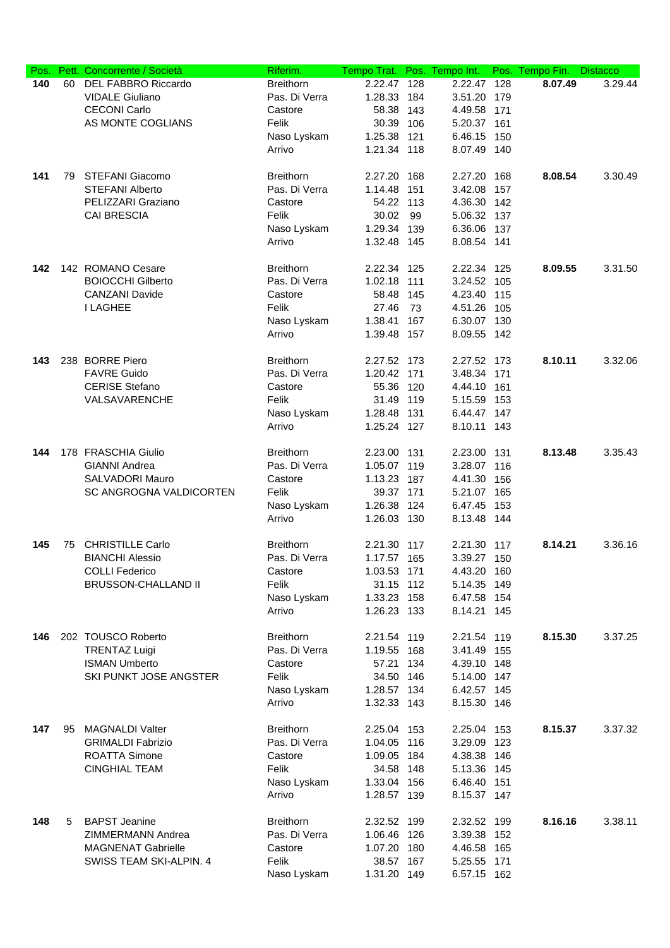| Pos. |     | Pett. Concorrente / Società | Riferim.         | Tempo Trat. Pos. Tempo Int. |     |             |       | Pos. Tempo Fin. | <b>Distacco</b> |
|------|-----|-----------------------------|------------------|-----------------------------|-----|-------------|-------|-----------------|-----------------|
| 140  | 60  | <b>DEL FABBRO Riccardo</b>  | <b>Breithorn</b> | 2.22.47                     | 128 | 2.22.47     | 128   | 8.07.49         | 3.29.44         |
|      |     | <b>VIDALE Giuliano</b>      | Pas. Di Verra    | 1.28.33 184                 |     | 3.51.20 179 |       |                 |                 |
|      |     | <b>CECONI Carlo</b>         | Castore          | 58.38 143                   |     | 4.49.58     | 171   |                 |                 |
|      |     | AS MONTE COGLIANS           | Felik            | 30.39 106                   |     | 5.20.37 161 |       |                 |                 |
|      |     |                             | Naso Lyskam      | 1.25.38                     | 121 | 6.46.15     | 150   |                 |                 |
|      |     |                             | Arrivo           | 1.21.34 118                 |     | 8.07.49 140 |       |                 |                 |
|      |     |                             |                  |                             |     |             |       |                 |                 |
| 141  | 79. | STEFANI Giacomo             | <b>Breithorn</b> | 2.27.20                     | 168 | 2.27.20     | 168   | 8.08.54         | 3.30.49         |
|      |     | <b>STEFANI Alberto</b>      | Pas. Di Verra    | 1.14.48                     | 151 | 3.42.08     | 157   |                 |                 |
|      |     | PELIZZARI Graziano          | Castore          | 54.22 113                   |     | 4.36.30 142 |       |                 |                 |
|      |     | <b>CAI BRESCIA</b>          | Felik            | 30.02                       | 99  | 5.06.32 137 |       |                 |                 |
|      |     |                             | Naso Lyskam      | 1.29.34 139                 |     | 6.36.06 137 |       |                 |                 |
|      |     |                             | Arrivo           | 1.32.48 145                 |     | 8.08.54 141 |       |                 |                 |
|      |     |                             |                  |                             |     |             |       |                 |                 |
| 142  |     | 142 ROMANO Cesare           | <b>Breithorn</b> | 2.22.34 125                 |     | 2.22.34 125 |       | 8.09.55         | 3.31.50         |
|      |     | <b>BOIOCCHI Gilberto</b>    | Pas. Di Verra    | 1.02.18 111                 |     | 3.24.52 105 |       |                 |                 |
|      |     | <b>CANZANI Davide</b>       | Castore          | 58.48 145                   |     | 4.23.40 115 |       |                 |                 |
|      |     | <b>I LAGHEE</b>             | Felik            | 27.46                       | 73  | 4.51.26     | 105   |                 |                 |
|      |     |                             |                  |                             |     |             |       |                 |                 |
|      |     |                             | Naso Lyskam      | 1.38.41                     | 167 | 6.30.07 130 |       |                 |                 |
|      |     |                             | Arrivo           | 1.39.48 157                 |     | 8.09.55 142 |       |                 |                 |
|      |     |                             |                  |                             |     |             |       |                 |                 |
| 143  |     | 238 BORRE Piero             | <b>Breithorn</b> | 2.27.52 173                 |     | 2.27.52 173 |       | 8.10.11         | 3.32.06         |
|      |     | <b>FAVRE Guido</b>          | Pas. Di Verra    | 1.20.42 171                 |     | 3.48.34 171 |       |                 |                 |
|      |     | <b>CERISE Stefano</b>       | Castore          | 55.36 120                   |     | 4.44.10 161 |       |                 |                 |
|      |     | VALSAVARENCHE               | Felik            | 31.49 119                   |     | 5.15.59 153 |       |                 |                 |
|      |     |                             | Naso Lyskam      | 1.28.48 131                 |     | 6.44.47 147 |       |                 |                 |
|      |     |                             | Arrivo           | 1.25.24 127                 |     | 8.10.11 143 |       |                 |                 |
|      |     |                             |                  |                             |     |             |       |                 |                 |
| 144  |     | 178 FRASCHIA Giulio         | <b>Breithorn</b> | 2.23.00 131                 |     | 2.23.00 131 |       | 8.13.48         | 3.35.43         |
|      |     | <b>GIANNI Andrea</b>        | Pas. Di Verra    | 1.05.07 119                 |     | 3.28.07 116 |       |                 |                 |
|      |     | SALVADORI Mauro             | Castore          | 1.13.23 187                 |     | 4.41.30     | 156   |                 |                 |
|      |     | SC ANGROGNA VALDICORTEN     | Felik            | 39.37 171                   |     | 5.21.07 165 |       |                 |                 |
|      |     |                             | Naso Lyskam      | 1.26.38 124                 |     | 6.47.45 153 |       |                 |                 |
|      |     |                             | Arrivo           | 1.26.03 130                 |     | 8.13.48 144 |       |                 |                 |
|      |     |                             |                  |                             |     |             |       |                 |                 |
| 145  | 75  | <b>CHRISTILLE Carlo</b>     | <b>Breithorn</b> | 2.21.30 117                 |     | 2.21.30 117 |       | 8.14.21         | 3.36.16         |
|      |     | <b>BIANCHI Alessio</b>      | Pas. Di Verra    | 1.17.57 165                 |     | 3.39.27 150 |       |                 |                 |
|      |     | <b>COLLI Federico</b>       | Castore          | 1.03.53 171                 |     | 4.43.20     | - 160 |                 |                 |
|      |     | <b>BRUSSON-CHALLAND II</b>  | Felik            | 31.15 112                   |     | 5.14.35 149 |       |                 |                 |
|      |     |                             | Naso Lyskam      | 1.33.23 158                 |     | 6.47.58 154 |       |                 |                 |
|      |     |                             | Arrivo           | 1.26.23 133                 |     | 8.14.21 145 |       |                 |                 |
|      |     |                             |                  |                             |     |             |       |                 |                 |
| 146  |     | 202 TOUSCO Roberto          | <b>Breithorn</b> | 2.21.54 119                 |     | 2.21.54 119 |       | 8.15.30         | 3.37.25         |
|      |     | <b>TRENTAZ Luigi</b>        | Pas. Di Verra    | 1.19.55 168                 |     | 3.41.49 155 |       |                 |                 |
|      |     | <b>ISMAN Umberto</b>        | Castore          | 57.21 134                   |     | 4.39.10 148 |       |                 |                 |
|      |     | SKI PUNKT JOSE ANGSTER      | Felik            | 34.50 146                   |     | 5.14.00 147 |       |                 |                 |
|      |     |                             | Naso Lyskam      | 1.28.57 134                 |     | 6.42.57 145 |       |                 |                 |
|      |     |                             | Arrivo           | 1.32.33 143                 |     | 8.15.30 146 |       |                 |                 |
|      |     |                             |                  |                             |     |             |       |                 |                 |
| 147  | 95  | <b>MAGNALDI Valter</b>      | <b>Breithorn</b> | 2.25.04 153                 |     | 2.25.04 153 |       | 8.15.37         | 3.37.32         |
|      |     | <b>GRIMALDI Fabrizio</b>    | Pas. Di Verra    | 1.04.05 116                 |     | 3.29.09 123 |       |                 |                 |
|      |     | <b>ROATTA Simone</b>        | Castore          | 1.09.05 184                 |     | 4.38.38 146 |       |                 |                 |
|      |     | <b>CINGHIAL TEAM</b>        | Felik            | 34.58 148                   |     | 5.13.36 145 |       |                 |                 |
|      |     |                             | Naso Lyskam      | 1.33.04 156                 |     | 6.46.40 151 |       |                 |                 |
|      |     |                             | Arrivo           | 1.28.57 139                 |     | 8.15.37 147 |       |                 |                 |
|      |     |                             |                  |                             |     |             |       |                 |                 |
| 148  | 5   | <b>BAPST Jeanine</b>        | <b>Breithorn</b> | 2.32.52 199                 |     | 2.32.52 199 |       | 8.16.16         | 3.38.11         |
|      |     | ZIMMERMANN Andrea           | Pas. Di Verra    | 1.06.46 126                 |     | 3.39.38 152 |       |                 |                 |
|      |     | <b>MAGNENAT Gabrielle</b>   | Castore          | 1.07.20 180                 |     | 4.46.58 165 |       |                 |                 |
|      |     | SWISS TEAM SKI-ALPIN. 4     | Felik            | 38.57 167                   |     | 5.25.55 171 |       |                 |                 |
|      |     |                             | Naso Lyskam      | 1.31.20 149                 |     | 6.57.15 162 |       |                 |                 |
|      |     |                             |                  |                             |     |             |       |                 |                 |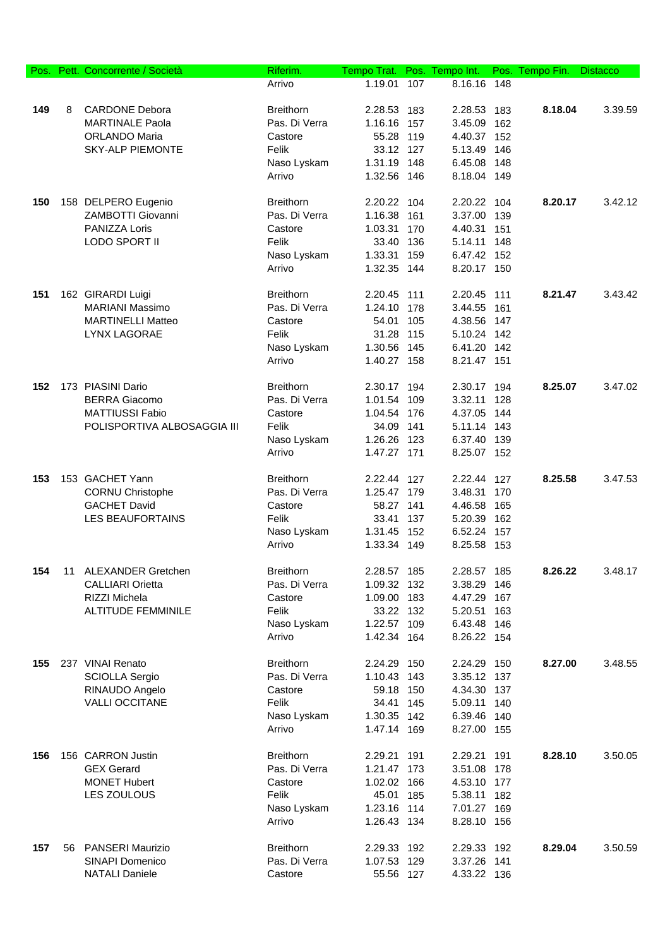| Pos. |    | Pett. Concorrente / Società | Riferim.         | Tempo Trat. |     | Pos. Tempo Int. |     | Pos. Tempo Fin. | <b>Distacco</b> |
|------|----|-----------------------------|------------------|-------------|-----|-----------------|-----|-----------------|-----------------|
|      |    |                             | Arrivo           | 1.19.01     | 107 | 8.16.16 148     |     |                 |                 |
|      |    |                             |                  |             |     |                 |     |                 |                 |
| 149  | 8  | <b>CARDONE Debora</b>       | <b>Breithorn</b> | 2.28.53 183 |     | 2.28.53         | 183 | 8.18.04         | 3.39.59         |
|      |    | <b>MARTINALE Paola</b>      | Pas. Di Verra    | 1.16.16 157 |     | 3.45.09         | 162 |                 |                 |
|      |    | <b>ORLANDO Maria</b>        | Castore          | 55.28 119   |     | 4.40.37 152     |     |                 |                 |
|      |    | <b>SKY-ALP PIEMONTE</b>     | Felik            | 33.12 127   |     | 5.13.49         | 146 |                 |                 |
|      |    |                             | Naso Lyskam      | 1.31.19 148 |     | 6.45.08         | 148 |                 |                 |
|      |    |                             | Arrivo           | 1.32.56 146 |     | 8.18.04 149     |     |                 |                 |
|      |    |                             |                  |             |     |                 |     |                 |                 |
| 150  |    | 158 DELPERO Eugenio         | <b>Breithorn</b> | 2.20.22     | 104 | 2.20.22         | 104 | 8.20.17         | 3.42.12         |
|      |    | ZAMBOTTI Giovanni           | Pas. Di Verra    | 1.16.38 161 |     | 3.37.00         | 139 |                 |                 |
|      |    | PANIZZA Loris               | Castore          | 1.03.31     | 170 | 4.40.31         | 151 |                 |                 |
|      |    | LODO SPORT II               | Felik            | 33.40 136   |     | 5.14.11         | 148 |                 |                 |
|      |    |                             | Naso Lyskam      | 1.33.31 159 |     | 6.47.42 152     |     |                 |                 |
|      |    |                             | Arrivo           | 1.32.35 144 |     | 8.20.17 150     |     |                 |                 |
|      |    |                             |                  |             |     |                 |     |                 |                 |
| 151  |    | 162 GIRARDI Luigi           | <b>Breithorn</b> | 2.20.45 111 |     | 2.20.45 111     |     | 8.21.47         | 3.43.42         |
|      |    | <b>MARIANI Massimo</b>      | Pas. Di Verra    | 1.24.10 178 |     | 3.44.55         | 161 |                 |                 |
|      |    | <b>MARTINELLI Matteo</b>    | Castore          | 54.01 105   |     | 4.38.56 147     |     |                 |                 |
|      |    | <b>LYNX LAGORAE</b>         | Felik            | 31.28 115   |     | 5.10.24         | 142 |                 |                 |
|      |    |                             | Naso Lyskam      | 1.30.56 145 |     | 6.41.20         | 142 |                 |                 |
|      |    |                             | Arrivo           | 1.40.27 158 |     | 8.21.47 151     |     |                 |                 |
|      |    |                             |                  |             |     |                 |     |                 |                 |
| 152  |    | 173 PIASINI Dario           | <b>Breithorn</b> | 2.30.17 194 |     | 2.30.17 194     |     | 8.25.07         | 3.47.02         |
|      |    | <b>BERRA Giacomo</b>        | Pas. Di Verra    | 1.01.54 109 |     | 3.32.11         | 128 |                 |                 |
|      |    | <b>MATTIUSSI Fabio</b>      | Castore          | 1.04.54 176 |     | 4.37.05 144     |     |                 |                 |
|      |    | POLISPORTIVA ALBOSAGGIA III | Felik            | 34.09 141   |     | 5.11.14 143     |     |                 |                 |
|      |    |                             | Naso Lyskam      | 1.26.26 123 |     | 6.37.40 139     |     |                 |                 |
|      |    |                             | Arrivo           | 1.47.27 171 |     | 8.25.07 152     |     |                 |                 |
|      |    |                             |                  |             |     |                 |     |                 |                 |
| 153  |    | 153 GACHET Yann             | <b>Breithorn</b> | 2.22.44 127 |     | 2.22.44 127     |     | 8.25.58         | 3.47.53         |
|      |    | <b>CORNU Christophe</b>     | Pas. Di Verra    | 1.25.47 179 |     | 3.48.31         | 170 |                 |                 |
|      |    | <b>GACHET David</b>         | Castore          | 58.27 141   |     | 4.46.58         | 165 |                 |                 |
|      |    | LES BEAUFORTAINS            | Felik            | 33.41       | 137 | 5.20.39         | 162 |                 |                 |
|      |    |                             | Naso Lyskam      | 1.31.45 152 |     | 6.52.24 157     |     |                 |                 |
|      |    |                             | Arrivo           | 1.33.34 149 |     | 8.25.58 153     |     |                 |                 |
|      |    |                             |                  |             |     |                 |     |                 |                 |
| 154  | 11 | <b>ALEXANDER Gretchen</b>   | <b>Breithorn</b> | 2.28.57 185 |     | 2.28.57 185     |     | 8.26.22         | 3.48.17         |
|      |    | <b>CALLIARI Orietta</b>     | Pas. Di Verra    | 1.09.32 132 |     | 3.38.29         | 146 |                 |                 |
|      |    | RIZZI Michela               | Castore          | 1.09.00 183 |     | 4.47.29         | 167 |                 |                 |
|      |    | <b>ALTITUDE FEMMINILE</b>   | Felik            | 33.22 132   |     | 5.20.51         | 163 |                 |                 |
|      |    |                             | Naso Lyskam      | 1.22.57 109 |     | 6.43.48         | 146 |                 |                 |
|      |    |                             | Arrivo           | 1.42.34 164 |     | 8.26.22 154     |     |                 |                 |
|      |    |                             |                  |             |     |                 |     |                 |                 |
| 155  |    | 237 VINAI Renato            | <b>Breithorn</b> | 2.24.29 150 |     | 2.24.29 150     |     | 8.27.00         | 3.48.55         |
|      |    | <b>SCIOLLA Sergio</b>       | Pas. Di Verra    | 1.10.43 143 |     | 3.35.12 137     |     |                 |                 |
|      |    | RINAUDO Angelo              | Castore          | 59.18 150   |     | 4.34.30 137     |     |                 |                 |
|      |    | <b>VALLI OCCITANE</b>       | Felik            | 34.41 145   |     | 5.09.11 140     |     |                 |                 |
|      |    |                             | Naso Lyskam      | 1.30.35 142 |     | 6.39.46 140     |     |                 |                 |
|      |    |                             | Arrivo           | 1.47.14 169 |     | 8.27.00 155     |     |                 |                 |
| 156  |    | 156 CARRON Justin           | <b>Breithorn</b> | 2.29.21 191 |     | 2.29.21         | 191 | 8.28.10         | 3.50.05         |
|      |    | <b>GEX Gerard</b>           | Pas. Di Verra    | 1.21.47 173 |     | 3.51.08         | 178 |                 |                 |
|      |    | <b>MONET Hubert</b>         | Castore          | 1.02.02 166 |     | 4.53.10 177     |     |                 |                 |
|      |    | LES ZOULOUS                 | Felik            | 45.01 185   |     | 5.38.11 182     |     |                 |                 |
|      |    |                             | Naso Lyskam      | 1.23.16 114 |     | 7.01.27 169     |     |                 |                 |
|      |    |                             | Arrivo           | 1.26.43 134 |     | 8.28.10 156     |     |                 |                 |
|      |    |                             |                  |             |     |                 |     |                 |                 |
| 157  |    | 56 PANSERI Maurizio         | <b>Breithorn</b> | 2.29.33 192 |     | 2.29.33 192     |     | 8.29.04         | 3.50.59         |
|      |    | SINAPI Domenico             | Pas. Di Verra    | 1.07.53 129 |     | 3.37.26         | 141 |                 |                 |
|      |    | <b>NATALI Daniele</b>       | Castore          | 55.56 127   |     | 4.33.22 136     |     |                 |                 |
|      |    |                             |                  |             |     |                 |     |                 |                 |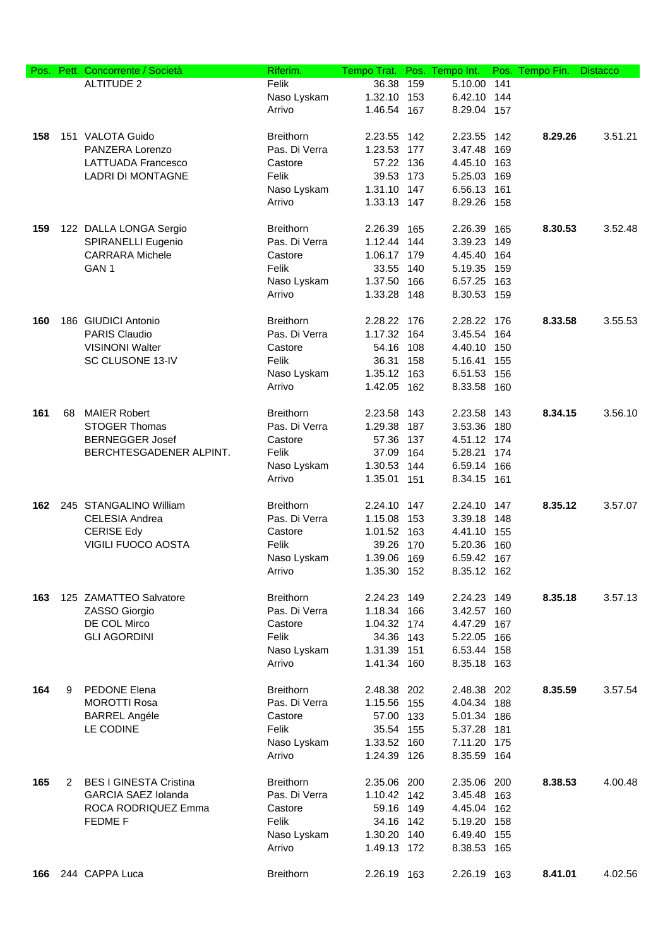| Pos. |    | Pett. Concorrente / Società   | Riferim.         | Tempo Trat. Pos. Tempo Int. |     |             |     | Pos. Tempo Fin. | <b>Distacco</b> |
|------|----|-------------------------------|------------------|-----------------------------|-----|-------------|-----|-----------------|-----------------|
|      |    | <b>ALTITUDE 2</b>             | Felik            | 36.38                       | 159 | 5.10.00     | 141 |                 |                 |
|      |    |                               | Naso Lyskam      | 1.32.10 153                 |     | 6.42.10 144 |     |                 |                 |
|      |    |                               | Arrivo           | 1.46.54 167                 |     | 8.29.04 157 |     |                 |                 |
|      |    |                               |                  |                             |     |             |     |                 |                 |
| 158  |    | 151 VALOTA Guido              | <b>Breithorn</b> | 2.23.55 142                 |     | 2.23.55 142 |     | 8.29.26         | 3.51.21         |
|      |    | PANZERA Lorenzo               | Pas. Di Verra    | 1.23.53 177                 |     | 3.47.48     | 169 |                 |                 |
|      |    | <b>LATTUADA Francesco</b>     | Castore          | 57.22 136                   |     | 4.45.10 163 |     |                 |                 |
|      |    | <b>LADRI DI MONTAGNE</b>      | Felik            | 39.53 173                   |     | 5.25.03     | 169 |                 |                 |
|      |    |                               | Naso Lyskam      | 1.31.10 147                 |     | 6.56.13     | 161 |                 |                 |
|      |    |                               | Arrivo           | 1.33.13 147                 |     | 8.29.26 158 |     |                 |                 |
|      |    |                               |                  |                             |     |             |     |                 |                 |
| 159  |    | 122 DALLA LONGA Sergio        | <b>Breithorn</b> | 2.26.39                     | 165 | 2.26.39     | 165 | 8.30.53         | 3.52.48         |
|      |    | SPIRANELLI Eugenio            | Pas. Di Verra    | 1.12.44 144                 |     | 3.39.23     | 149 |                 |                 |
|      |    | <b>CARRARA Michele</b>        | Castore          | 1.06.17 179                 |     | 4.45.40 164 |     |                 |                 |
|      |    | GAN <sub>1</sub>              | Felik            | 33.55 140                   |     | 5.19.35 159 |     |                 |                 |
|      |    |                               | Naso Lyskam      | 1.37.50 166                 |     | 6.57.25 163 |     |                 |                 |
|      |    |                               | Arrivo           | 1.33.28 148                 |     | 8.30.53 159 |     |                 |                 |
|      |    |                               |                  |                             |     |             |     |                 |                 |
| 160  |    | 186 GIUDICI Antonio           | <b>Breithorn</b> | 2.28.22 176                 |     | 2.28.22 176 |     | 8.33.58         | 3.55.53         |
|      |    | PARIS Claudio                 | Pas. Di Verra    | 1.17.32 164                 |     | 3.45.54 164 |     |                 |                 |
|      |    | <b>VISINONI Walter</b>        | Castore          | 54.16 108                   |     | 4.40.10 150 |     |                 |                 |
|      |    | SC CLUSONE 13-IV              | Felik            | 36.31 158                   |     | 5.16.41 155 |     |                 |                 |
|      |    |                               | Naso Lyskam      | 1.35.12 163                 |     | 6.51.53 156 |     |                 |                 |
|      |    |                               | Arrivo           | 1.42.05 162                 |     | 8.33.58 160 |     |                 |                 |
|      |    |                               |                  |                             |     |             |     |                 |                 |
| 161  | 68 | <b>MAIER Robert</b>           | <b>Breithorn</b> | 2.23.58 143                 |     | 2.23.58 143 |     | 8.34.15         | 3.56.10         |
|      |    | <b>STOGER Thomas</b>          | Pas. Di Verra    | 1.29.38 187                 |     | 3.53.36 180 |     |                 |                 |
|      |    | <b>BERNEGGER Josef</b>        | Castore          | 57.36 137                   |     | 4.51.12 174 |     |                 |                 |
|      |    | BERCHTESGADENER ALPINT.       | Felik            | 37.09                       | 164 | 5.28.21     | 174 |                 |                 |
|      |    |                               | Naso Lyskam      | 1.30.53 144                 |     | 6.59.14 166 |     |                 |                 |
|      |    |                               | Arrivo           | 1.35.01 151                 |     | 8.34.15 161 |     |                 |                 |
|      |    |                               |                  |                             |     |             |     |                 |                 |
| 162  |    | 245 STANGALINO William        | <b>Breithorn</b> | 2.24.10 147                 |     | 2.24.10 147 |     | 8.35.12         | 3.57.07         |
|      |    | CELESIA Andrea                | Pas. Di Verra    | 1.15.08 153                 |     | 3.39.18 148 |     |                 |                 |
|      |    | <b>CERISE Edy</b>             | Castore          | 1.01.52 163                 |     | 4.41.10 155 |     |                 |                 |
|      |    | <b>VIGILI FUOCO AOSTA</b>     | Felik            | 39.26 170                   |     | 5.20.36     | 160 |                 |                 |
|      |    |                               | Naso Lyskam      | 1.39.06 169                 |     | 6.59.42 167 |     |                 |                 |
|      |    |                               | Arrivo           | 1.35.30 152                 |     | 8.35.12 162 |     |                 |                 |
|      |    |                               |                  |                             |     |             |     |                 |                 |
| 163  |    | 125 ZAMATTEO Salvatore        | <b>Breithorn</b> | 2.24.23 149                 |     | 2.24.23 149 |     | 8.35.18         | 3.57.13         |
|      |    | ZASSO Giorgio                 | Pas. Di Verra    | 1.18.34 166                 |     | 3.42.57 160 |     |                 |                 |
|      |    | DE COL Mirco                  | Castore          | 1.04.32 174                 |     | 4.47.29     | 167 |                 |                 |
|      |    | <b>GLI AGORDINI</b>           | Felik            | 34.36 143                   |     | 5.22.05 166 |     |                 |                 |
|      |    |                               | Naso Lyskam      | 1.31.39 151                 |     | 6.53.44 158 |     |                 |                 |
|      |    |                               | Arrivo           | 1.41.34 160                 |     | 8.35.18 163 |     |                 |                 |
|      |    |                               |                  |                             |     |             |     |                 |                 |
| 164  | 9  | PEDONE Elena                  | <b>Breithorn</b> | 2.48.38 202                 |     | 2.48.38 202 |     | 8.35.59         | 3.57.54         |
|      |    | <b>MOROTTI Rosa</b>           | Pas. Di Verra    | 1.15.56 155                 |     | 4.04.34 188 |     |                 |                 |
|      |    | <b>BARREL Angéle</b>          | Castore          | 57.00                       | 133 | 5.01.34 186 |     |                 |                 |
|      |    | LE CODINE                     | Felik            | 35.54 155                   |     | 5.37.28 181 |     |                 |                 |
|      |    |                               | Naso Lyskam      | 1.33.52 160                 |     | 7.11.20 175 |     |                 |                 |
|      |    |                               | Arrivo           | 1.24.39 126                 |     | 8.35.59 164 |     |                 |                 |
|      |    |                               |                  |                             |     |             |     |                 |                 |
| 165  | 2  | <b>BES I GINESTA Cristina</b> | <b>Breithorn</b> | 2.35.06 200                 |     | 2.35.06 200 |     | 8.38.53         | 4.00.48         |
|      |    | <b>GARCIA SAEZ Iolanda</b>    | Pas. Di Verra    | 1.10.42 142                 |     | 3.45.48 163 |     |                 |                 |
|      |    | ROCA RODRIQUEZ Emma           | Castore          | 59.16 149                   |     | 4.45.04 162 |     |                 |                 |
|      |    | FEDME F                       | Felik            | 34.16 142                   |     | 5.19.20 158 |     |                 |                 |
|      |    |                               | Naso Lyskam      | 1.30.20 140                 |     | 6.49.40 155 |     |                 |                 |
|      |    |                               | Arrivo           | 1.49.13 172                 |     | 8.38.53 165 |     |                 |                 |
|      |    |                               |                  |                             |     |             |     |                 |                 |
| 166  |    | 244 CAPPA Luca                | <b>Breithorn</b> | 2.26.19 163                 |     | 2.26.19 163 |     | 8.41.01         | 4.02.56         |
|      |    |                               |                  |                             |     |             |     |                 |                 |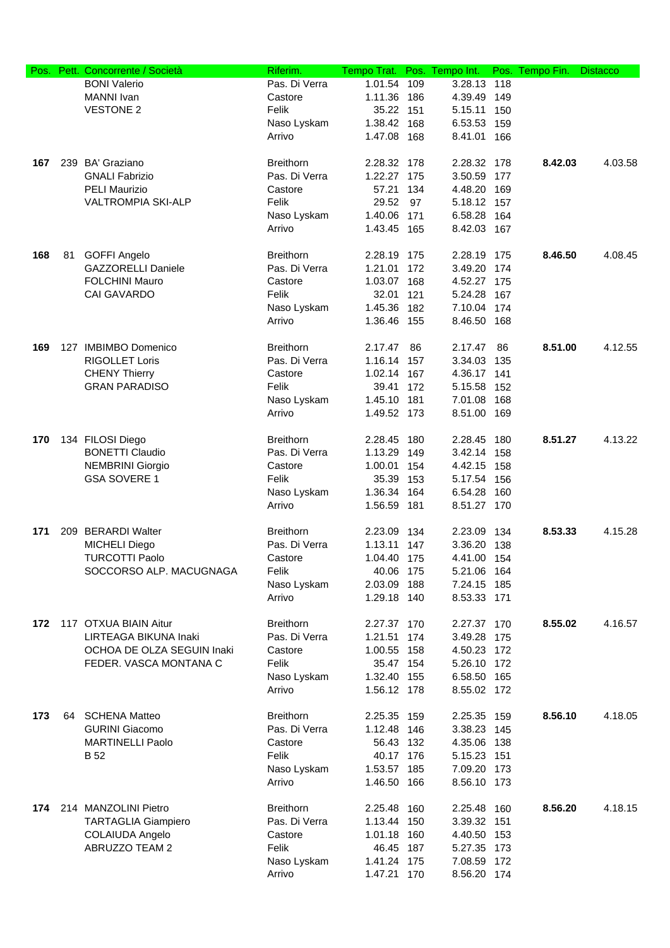| Pos. |    | Pett. Concorrente / Società | Riferim.         | Tempo Trat. |     | Pos. Tempo Int. |     | Pos. Tempo Fin. | <b>Distacco</b> |
|------|----|-----------------------------|------------------|-------------|-----|-----------------|-----|-----------------|-----------------|
|      |    | <b>BONI Valerio</b>         | Pas. Di Verra    | 1.01.54     | 109 | 3.28.13         | 118 |                 |                 |
|      |    | <b>MANNI</b> Ivan           | Castore          | 1.11.36     | 186 | 4.39.49         | 149 |                 |                 |
|      |    | <b>VESTONE 2</b>            | Felik            | 35.22 151   |     | 5.15.11         | 150 |                 |                 |
|      |    |                             | Naso Lyskam      | 1.38.42 168 |     | 6.53.53         | 159 |                 |                 |
|      |    |                             | Arrivo           | 1.47.08 168 |     | 8.41.01         | 166 |                 |                 |
|      |    |                             |                  |             |     |                 |     |                 |                 |
| 167  |    | 239 BA' Graziano            | <b>Breithorn</b> |             |     |                 |     | 8.42.03         | 4.03.58         |
|      |    |                             |                  | 2.28.32     | 178 | 2.28.32 178     |     |                 |                 |
|      |    | <b>GNALI Fabrizio</b>       | Pas. Di Verra    | 1.22.27 175 |     | 3.50.59         | 177 |                 |                 |
|      |    | <b>PELI Maurizio</b>        | Castore          | 57.21       | 134 | 4.48.20         | 169 |                 |                 |
|      |    | <b>VALTROMPIA SKI-ALP</b>   | Felik            | 29.52       | 97  | 5.18.12 157     |     |                 |                 |
|      |    |                             | Naso Lyskam      | 1.40.06 171 |     | 6.58.28 164     |     |                 |                 |
|      |    |                             | Arrivo           | 1.43.45 165 |     | 8.42.03 167     |     |                 |                 |
| 168  | 81 | <b>GOFFI Angelo</b>         | <b>Breithorn</b> | 2.28.19 175 |     | 2.28.19 175     |     | 8.46.50         | 4.08.45         |
|      |    | <b>GAZZORELLI Daniele</b>   | Pas. Di Verra    |             |     | 3.49.20         | 174 |                 |                 |
|      |    |                             |                  | 1.21.01 172 |     |                 |     |                 |                 |
|      |    | <b>FOLCHINI Mauro</b>       | Castore          | 1.03.07 168 |     | 4.52.27 175     |     |                 |                 |
|      |    | <b>CAI GAVARDO</b>          | Felik            | 32.01 121   |     | 5.24.28 167     |     |                 |                 |
|      |    |                             | Naso Lyskam      | 1.45.36     | 182 | 7.10.04         | 174 |                 |                 |
|      |    |                             | Arrivo           | 1.36.46 155 |     | 8.46.50 168     |     |                 |                 |
| 169  |    | 127 IMBIMBO Domenico        | <b>Breithorn</b> | 2.17.47     | 86  | 2.17.47         | 86  | 8.51.00         | 4.12.55         |
|      |    | <b>RIGOLLET Loris</b>       | Pas. Di Verra    | 1.16.14 157 |     | 3.34.03         | 135 |                 |                 |
|      |    | <b>CHENY Thierry</b>        | Castore          | 1.02.14 167 |     | 4.36.17 141     |     |                 |                 |
|      |    | <b>GRAN PARADISO</b>        | Felik            | 39.41 172   |     | 5.15.58         | 152 |                 |                 |
|      |    |                             | Naso Lyskam      | 1.45.10 181 |     | 7.01.08         | 168 |                 |                 |
|      |    |                             | Arrivo           | 1.49.52 173 |     |                 |     |                 |                 |
|      |    |                             |                  |             |     | 8.51.00 169     |     |                 |                 |
| 170  |    | 134 FILOSI Diego            | <b>Breithorn</b> | 2.28.45     | 180 | 2.28.45         | 180 | 8.51.27         | 4.13.22         |
|      |    | <b>BONETTI Claudio</b>      | Pas. Di Verra    | 1.13.29 149 |     | 3.42.14         | 158 |                 |                 |
|      |    | <b>NEMBRINI Giorgio</b>     | Castore          | 1.00.01     | 154 | 4.42.15         | 158 |                 |                 |
|      |    | <b>GSA SOVERE 1</b>         | Felik            | 35.39       | 153 | 5.17.54         | 156 |                 |                 |
|      |    |                             |                  |             |     |                 |     |                 |                 |
|      |    |                             | Naso Lyskam      | 1.36.34 164 |     | 6.54.28         | 160 |                 |                 |
|      |    |                             | Arrivo           | 1.56.59 181 |     | 8.51.27 170     |     |                 |                 |
| 171  |    | 209 BERARDI Walter          | <b>Breithorn</b> | 2.23.09 134 |     | 2.23.09 134     |     | 8.53.33         | 4.15.28         |
|      |    | <b>MICHELI Diego</b>        | Pas. Di Verra    | 1.13.11     | 147 | 3.36.20         | 138 |                 |                 |
|      |    | <b>TURCOTTI Paolo</b>       | Castore          | 1.04.40 175 |     | 4.41.00 154     |     |                 |                 |
|      |    | SOCCORSO ALP. MACUGNAGA     | Felik            | 40.06       | 175 | 5.21.06         | 164 |                 |                 |
|      |    |                             | Naso Lyskam      | 2.03.09     | 188 | 7.24.15         | 185 |                 |                 |
|      |    |                             | Arrivo           | 1.29.18 140 |     | 8.53.33 171     |     |                 |                 |
|      |    |                             |                  |             |     |                 |     |                 |                 |
| 172  |    | 117 OTXUA BIAIN Aitur       | <b>Breithorn</b> | 2.27.37 170 |     | 2.27.37 170     |     | 8.55.02         | 4.16.57         |
|      |    | LIRTEAGA BIKUNA Inaki       | Pas. Di Verra    | 1.21.51     | 174 | 3.49.28         | 175 |                 |                 |
|      |    | OCHOA DE OLZA SEGUIN Inaki  | Castore          | 1.00.55 158 |     | 4.50.23 172     |     |                 |                 |
|      |    | FEDER. VASCA MONTANA C      | Felik            | 35.47 154   |     | 5.26.10 172     |     |                 |                 |
|      |    |                             | Naso Lyskam      | 1.32.40 155 |     | 6.58.50 165     |     |                 |                 |
|      |    |                             | Arrivo           | 1.56.12 178 |     | 8.55.02 172     |     |                 |                 |
|      |    |                             |                  |             |     |                 |     |                 |                 |
| 173  | 64 | <b>SCHENA Matteo</b>        | <b>Breithorn</b> | 2.25.35 159 |     | 2.25.35 159     |     | 8.56.10         | 4.18.05         |
|      |    | <b>GURINI Giacomo</b>       | Pas. Di Verra    | 1.12.48 146 |     | 3.38.23         | 145 |                 |                 |
|      |    | <b>MARTINELLI Paolo</b>     | Castore          | 56.43 132   |     | 4.35.06         | 138 |                 |                 |
|      |    | <b>B</b> 52                 | Felik            | 40.17 176   |     | 5.15.23 151     |     |                 |                 |
|      |    |                             | Naso Lyskam      | 1.53.57 185 |     | 7.09.20 173     |     |                 |                 |
|      |    |                             | Arrivo           | 1.46.50 166 |     | 8.56.10 173     |     |                 |                 |
|      |    |                             |                  |             |     |                 |     |                 |                 |
|      |    | 174 214 MANZOLINI Pietro    | <b>Breithorn</b> | 2.25.48 160 |     | 2.25.48 160     |     | 8.56.20         | 4.18.15         |
|      |    | <b>TARTAGLIA Giampiero</b>  | Pas. Di Verra    | 1.13.44 150 |     | 3.39.32 151     |     |                 |                 |
|      |    | <b>COLAIUDA Angelo</b>      | Castore          | 1.01.18 160 |     | 4.40.50 153     |     |                 |                 |
|      |    | ABRUZZO TEAM 2              | Felik            | 46.45 187   |     | 5.27.35 173     |     |                 |                 |
|      |    |                             | Naso Lyskam      | 1.41.24     | 175 | 7.08.59         | 172 |                 |                 |
|      |    |                             | Arrivo           | 1.47.21 170 |     | 8.56.20 174     |     |                 |                 |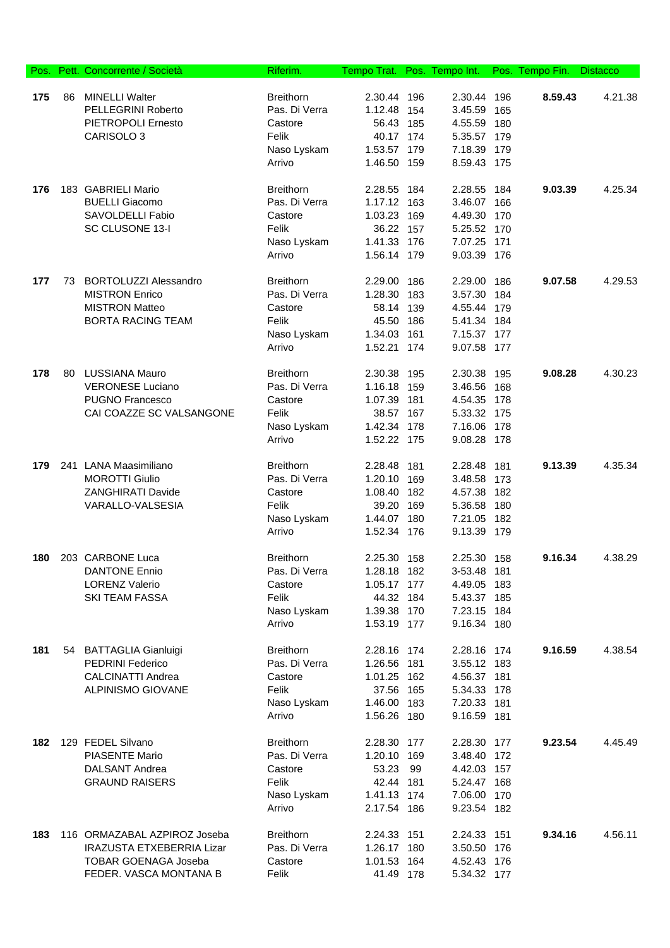| Pos. |    | Pett. Concorrente / Società      | Riferim.         | Tempo Trat. |     | Pos. Tempo Int. |       | Pos. Tempo Fin. | <b>Distacco</b> |
|------|----|----------------------------------|------------------|-------------|-----|-----------------|-------|-----------------|-----------------|
|      |    |                                  |                  |             |     |                 |       |                 |                 |
| 175  | 86 | <b>MINELLI Walter</b>            | <b>Breithorn</b> | 2.30.44 196 |     | 2.30.44         | 196   | 8.59.43         | 4.21.38         |
|      |    | <b>PELLEGRINI Roberto</b>        | Pas. Di Verra    | 1.12.48     | 154 | 3.45.59         | 165   |                 |                 |
|      |    | PIETROPOLI Ernesto               | Castore          | 56.43 185   |     | 4.55.59         | 180   |                 |                 |
|      |    | CARISOLO 3                       | Felik            | 40.17 174   |     | 5.35.57         | 179   |                 |                 |
|      |    |                                  | Naso Lyskam      | 1.53.57 179 |     | 7.18.39         | 179   |                 |                 |
|      |    |                                  | Arrivo           | 1.46.50 159 |     | 8.59.43 175     |       |                 |                 |
| 176  |    | 183 GABRIELI Mario               | <b>Breithorn</b> | 2.28.55     | 184 | 2.28.55         | 184   | 9.03.39         | 4.25.34         |
|      |    | <b>BUELLI Giacomo</b>            | Pas. Di Verra    | 1.17.12 163 |     | 3.46.07         | 166   |                 |                 |
|      |    | SAVOLDELLI Fabio                 | Castore          | 1.03.23     | 169 | 4.49.30         | 170   |                 |                 |
|      |    | SC CLUSONE 13-I                  | Felik            | 36.22 157   |     | 5.25.52 170     |       |                 |                 |
|      |    |                                  | Naso Lyskam      | 1.41.33 176 |     | 7.07.25         | - 171 |                 |                 |
|      |    |                                  | Arrivo           | 1.56.14 179 |     | 9.03.39 176     |       |                 |                 |
|      |    |                                  |                  |             |     |                 |       |                 |                 |
| 177  | 73 | <b>BORTOLUZZI Alessandro</b>     | <b>Breithorn</b> | 2.29.00     | 186 | 2.29.00         | 186   | 9.07.58         | 4.29.53         |
|      |    | <b>MISTRON Enrico</b>            | Pas. Di Verra    | 1.28.30     | 183 | 3.57.30         | 184   |                 |                 |
|      |    | <b>MISTRON Matteo</b>            | Castore          | 58.14 139   |     | 4.55.44         | 179   |                 |                 |
|      |    | <b>BORTA RACING TEAM</b>         | Felik            | 45.50       | 186 | 5.41.34         | 184   |                 |                 |
|      |    |                                  | Naso Lyskam      | 1.34.03     | 161 | 7.15.37         | 177   |                 |                 |
|      |    |                                  | Arrivo           | 1.52.21     | 174 | 9.07.58         | 177   |                 |                 |
|      |    |                                  |                  |             |     |                 |       |                 |                 |
| 178  | 80 | <b>LUSSIANA Mauro</b>            | <b>Breithorn</b> | 2.30.38     | 195 | 2.30.38         | 195   | 9.08.28         | 4.30.23         |
|      |    | <b>VERONESE Luciano</b>          | Pas. Di Verra    | 1.16.18     | 159 | 3.46.56         | 168   |                 |                 |
|      |    | <b>PUGNO Francesco</b>           | Castore          | 1.07.39     | 181 | 4.54.35         | 178   |                 |                 |
|      |    | CAI COAZZE SC VALSANGONE         | Felik            | 38.57 167   |     | 5.33.32 175     |       |                 |                 |
|      |    |                                  | Naso Lyskam      | 1.42.34 178 |     | 7.16.06         | 178   |                 |                 |
|      |    |                                  | Arrivo           | 1.52.22 175 |     | 9.08.28         | 178   |                 |                 |
| 179  |    | 241 LANA Maasimiliano            | <b>Breithorn</b> | 2.28.48     | 181 | 2.28.48         | 181   | 9.13.39         | 4.35.34         |
|      |    | <b>MOROTTI Giulio</b>            | Pas. Di Verra    | 1.20.10     | 169 | 3.48.58         | 173   |                 |                 |
|      |    | <b>ZANGHIRATI Davide</b>         | Castore          | 1.08.40 182 |     | 4.57.38         | 182   |                 |                 |
|      |    | VARALLO-VALSESIA                 | Felik            | 39.20 169   |     | 5.36.58         | 180   |                 |                 |
|      |    |                                  | Naso Lyskam      | 1.44.07 180 |     | 7.21.05         | 182   |                 |                 |
|      |    |                                  | Arrivo           | 1.52.34 176 |     | 9.13.39 179     |       |                 |                 |
|      |    |                                  |                  |             |     |                 |       |                 |                 |
| 180  |    | 203 CARBONE Luca                 | <b>Breithorn</b> | 2.25.30 158 |     | 2.25.30 158     |       | 9.16.34         | 4.38.29         |
|      |    | DANTONE Ennio                    | Pas. Di Verra    | 1.28.18 182 |     | 3-53.48 181     |       |                 |                 |
|      |    | <b>LORENZ Valerio</b>            | Castore          | 1.05.17 177 |     | 4.49.05         | 183   |                 |                 |
|      |    | <b>SKI TEAM FASSA</b>            | Felik            | 44.32 184   |     | 5.43.37 185     |       |                 |                 |
|      |    |                                  | Naso Lyskam      | 1.39.38 170 |     | 7.23.15 184     |       |                 |                 |
|      |    |                                  | Arrivo           | 1.53.19 177 |     | 9.16.34 180     |       |                 |                 |
| 181  |    | 54 BATTAGLIA Gianluigi           | <b>Breithorn</b> | 2.28.16 174 |     | 2.28.16 174     |       | 9.16.59         | 4.38.54         |
|      |    | <b>PEDRINI Federico</b>          | Pas. Di Verra    | 1.26.56 181 |     | 3.55.12 183     |       |                 |                 |
|      |    | <b>CALCINATTI Andrea</b>         | Castore          | 1.01.25 162 |     | 4.56.37 181     |       |                 |                 |
|      |    | ALPINISMO GIOVANE                | Felik            | 37.56 165   |     | 5.34.33 178     |       |                 |                 |
|      |    |                                  | Naso Lyskam      | 1.46.00 183 |     | 7.20.33 181     |       |                 |                 |
|      |    |                                  | Arrivo           | 1.56.26 180 |     | 9.16.59 181     |       |                 |                 |
| 182  |    | 129 FEDEL Silvano                | <b>Breithorn</b> | 2.28.30 177 |     | 2.28.30 177     |       | 9.23.54         | 4.45.49         |
|      |    | <b>PIASENTE Mario</b>            | Pas. Di Verra    | 1.20.10 169 |     | 3.48.40 172     |       |                 |                 |
|      |    | <b>DALSANT Andrea</b>            | Castore          | 53.23       | 99  | 4.42.03 157     |       |                 |                 |
|      |    | <b>GRAUND RAISERS</b>            | Felik            | 42.44 181   |     | 5.24.47 168     |       |                 |                 |
|      |    |                                  | Naso Lyskam      | 1.41.13 174 |     | 7.06.00 170     |       |                 |                 |
|      |    |                                  | Arrivo           | 2.17.54 186 |     | 9.23.54 182     |       |                 |                 |
|      |    |                                  |                  |             |     |                 |       |                 |                 |
| 183  |    | 116 ORMAZABAL AZPIROZ Joseba     | <b>Breithorn</b> | 2.24.33 151 |     | 2.24.33 151     |       | 9.34.16         | 4.56.11         |
|      |    | <b>IRAZUSTA ETXEBERRIA Lizar</b> | Pas. Di Verra    | 1.26.17 180 |     | 3.50.50         | 176   |                 |                 |
|      |    | <b>TOBAR GOENAGA Joseba</b>      | Castore          | 1.01.53 164 |     | 4.52.43 176     |       |                 |                 |
|      |    | FEDER. VASCA MONTANA B           | Felik            | 41.49 178   |     | 5.34.32 177     |       |                 |                 |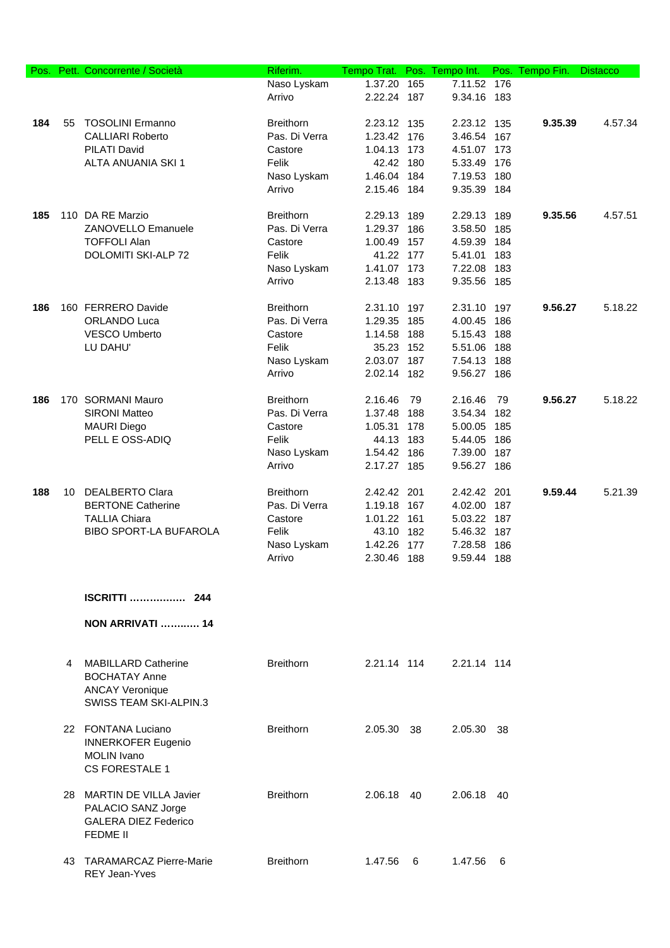| Pos. |    | Pett. Concorrente / Società                        | Riferim.         | Tempo Trat. Pos. Tempo Int. |     |             |     | Pos. Tempo Fin. | <b>Distacco</b> |
|------|----|----------------------------------------------------|------------------|-----------------------------|-----|-------------|-----|-----------------|-----------------|
|      |    |                                                    | Naso Lyskam      | 1.37.20                     | 165 | 7.11.52 176 |     |                 |                 |
|      |    |                                                    | Arrivo           | 2.22.24 187                 |     | 9.34.16 183 |     |                 |                 |
|      |    |                                                    |                  |                             |     |             |     |                 |                 |
| 184  | 55 | <b>TOSOLINI Ermanno</b>                            | <b>Breithorn</b> | 2.23.12 135                 |     | 2.23.12 135 |     | 9.35.39         | 4.57.34         |
|      |    | <b>CALLIARI Roberto</b>                            | Pas. Di Verra    | 1.23.42 176                 |     | 3.46.54 167 |     |                 |                 |
|      |    | PILATI David                                       | Castore          | 1.04.13 173                 |     | 4.51.07 173 |     |                 |                 |
|      |    | ALTA ANUANIA SKI 1                                 | Felik            | 42.42 180                   |     | 5.33.49     | 176 |                 |                 |
|      |    |                                                    | Naso Lyskam      | 1.46.04 184                 |     | 7.19.53     | 180 |                 |                 |
|      |    |                                                    | Arrivo           | 2.15.46 184                 |     | 9.35.39 184 |     |                 |                 |
|      |    |                                                    |                  |                             |     |             |     |                 |                 |
| 185  |    | 110 DA RE Marzio                                   | <b>Breithorn</b> | 2.29.13 189                 |     | 2.29.13     | 189 | 9.35.56         | 4.57.51         |
|      |    | <b>ZANOVELLO Emanuele</b>                          | Pas. Di Verra    | 1.29.37 186                 |     | 3.58.50     | 185 |                 |                 |
|      |    | <b>TOFFOLI Alan</b>                                | Castore          | 1.00.49 157                 |     | 4.59.39 184 |     |                 |                 |
|      |    | DOLOMITI SKI-ALP 72                                | Felik            | 41.22 177                   |     | 5.41.01 183 |     |                 |                 |
|      |    |                                                    | Naso Lyskam      | 1.41.07 173                 |     | 7.22.08 183 |     |                 |                 |
|      |    |                                                    | Arrivo           | 2.13.48 183                 |     | 9.35.56 185 |     |                 |                 |
|      |    |                                                    |                  |                             |     |             |     |                 |                 |
| 186  |    | 160 FERRERO Davide                                 | <b>Breithorn</b> | 2.31.10 197                 |     | 2.31.10     | 197 | 9.56.27         | 5.18.22         |
|      |    | ORLANDO Luca                                       | Pas. Di Verra    | 1.29.35                     | 185 | 4.00.45     | 186 |                 |                 |
|      |    | <b>VESCO Umberto</b>                               | Castore          | 1.14.58                     | 188 | 5.15.43 188 |     |                 |                 |
|      |    | LU DAHU'                                           | Felik            | 35.23 152                   |     | 5.51.06 188 |     |                 |                 |
|      |    |                                                    | Naso Lyskam      | 2.03.07 187                 |     | 7.54.13 188 |     |                 |                 |
|      |    |                                                    | Arrivo           | 2.02.14 182                 |     | 9.56.27 186 |     |                 |                 |
| 186  |    | 170 SORMANI Mauro                                  | <b>Breithorn</b> | 2.16.46                     | 79  | 2.16.46     | 79  | 9.56.27         | 5.18.22         |
|      |    | <b>SIRONI Matteo</b>                               | Pas. Di Verra    | 1.37.48                     | 188 | 3.54.34     | 182 |                 |                 |
|      |    | <b>MAURI Diego</b>                                 | Castore          | 1.05.31                     | 178 | 5.00.05     | 185 |                 |                 |
|      |    | PELL E OSS-ADIQ                                    | Felik            | 44.13 183                   |     | 5.44.05     | 186 |                 |                 |
|      |    |                                                    | Naso Lyskam      | 1.54.42 186                 |     | 7.39.00     | 187 |                 |                 |
|      |    |                                                    | Arrivo           | 2.17.27 185                 |     | 9.56.27 186 |     |                 |                 |
|      |    |                                                    |                  |                             |     |             |     |                 |                 |
| 188  |    | 10 DEALBERTO Clara                                 | <b>Breithorn</b> | 2.42.42 201                 |     | 2.42.42 201 |     | 9.59.44         | 5.21.39         |
|      |    | <b>BERTONE Catherine</b>                           | Pas. Di Verra    | 1.19.18 167                 |     | 4.02.00 187 |     |                 |                 |
|      |    | <b>TALLIA Chiara</b>                               | Castore          | 1.01.22 161                 |     | 5.03.22 187 |     |                 |                 |
|      |    | BIBO SPORT-LA BUFAROLA                             | Felik            | 43.10 182                   |     | 5.46.32 187 |     |                 |                 |
|      |    |                                                    | Naso Lyskam      | 1.42.26                     | 177 | 7.28.58     | 186 |                 |                 |
|      |    |                                                    | Arrivo           | 2.30.46 188                 |     | 9.59.44 188 |     |                 |                 |
|      |    |                                                    |                  |                             |     |             |     |                 |                 |
|      |    |                                                    |                  |                             |     |             |     |                 |                 |
|      |    | <b>ISCRITTI</b> 244                                |                  |                             |     |             |     |                 |                 |
|      |    | <b>NON ARRIVATI</b> 14                             |                  |                             |     |             |     |                 |                 |
|      |    |                                                    |                  |                             |     |             |     |                 |                 |
|      |    |                                                    | <b>Breithorn</b> |                             |     |             |     |                 |                 |
|      | 4  | <b>MABILLARD Catherine</b><br><b>BOCHATAY Anne</b> |                  | 2.21.14 114                 |     | 2.21.14 114 |     |                 |                 |
|      |    |                                                    |                  |                             |     |             |     |                 |                 |
|      |    | <b>ANCAY Veronique</b>                             |                  |                             |     |             |     |                 |                 |
|      |    | <b>SWISS TEAM SKI-ALPIN.3</b>                      |                  |                             |     |             |     |                 |                 |
|      |    | 22 FONTANA Luciano                                 | <b>Breithorn</b> | 2.05.30                     | -38 | 2.05.30     | 38  |                 |                 |
|      |    | <b>INNERKOFER Eugenio</b>                          |                  |                             |     |             |     |                 |                 |
|      |    | <b>MOLIN</b> Ivano                                 |                  |                             |     |             |     |                 |                 |
|      |    | <b>CS FORESTALE 1</b>                              |                  |                             |     |             |     |                 |                 |
|      |    |                                                    |                  |                             |     |             |     |                 |                 |
|      |    | 28 MARTIN DE VILLA Javier                          | <b>Breithorn</b> | 2.06.18 40                  |     | 2.06.18 40  |     |                 |                 |
|      |    | PALACIO SANZ Jorge                                 |                  |                             |     |             |     |                 |                 |
|      |    | <b>GALERA DIEZ Federico</b>                        |                  |                             |     |             |     |                 |                 |
|      |    | <b>FEDME II</b>                                    |                  |                             |     |             |     |                 |                 |
|      |    |                                                    |                  |                             |     |             |     |                 |                 |
|      |    | 43 TARAMARCAZ Pierre-Marie                         | <b>Breithorn</b> | 1.47.56                     | 6   | 1.47.56     | -6  |                 |                 |
|      |    | REY Jean-Yves                                      |                  |                             |     |             |     |                 |                 |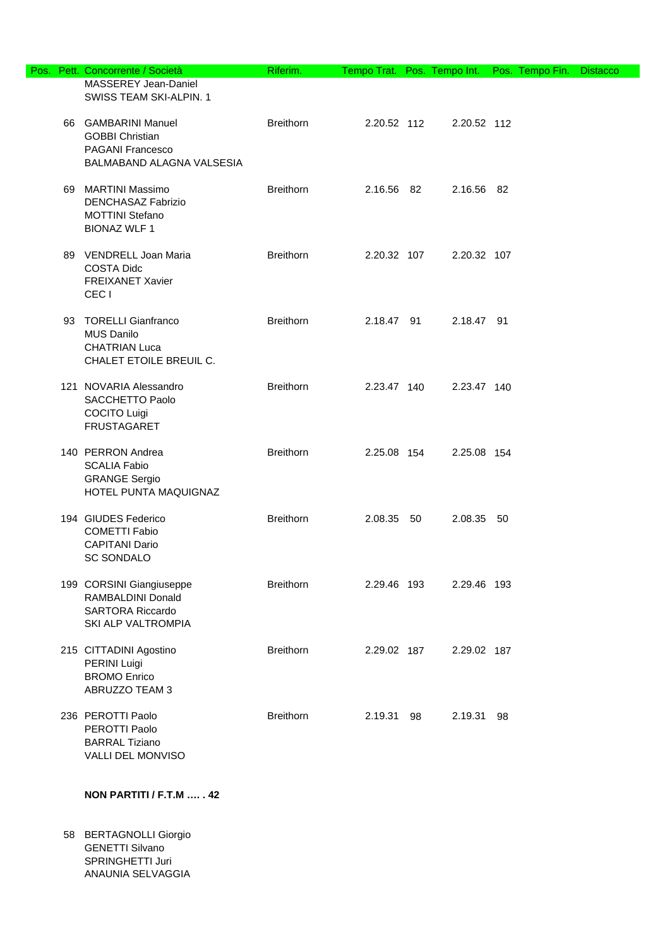|  | Pos. Pett. Concorrente / Società                                                                      | Riferim.         | Tempo Trat. Pos. Tempo Int. |             | Pos. Tempo Fin. | <b>Distacco</b> |
|--|-------------------------------------------------------------------------------------------------------|------------------|-----------------------------|-------------|-----------------|-----------------|
|  | MASSEREY Jean-Daniel<br>SWISS TEAM SKI-ALPIN. 1                                                       |                  |                             |             |                 |                 |
|  | 66 GAMBARINI Manuel<br><b>GOBBI Christian</b><br><b>PAGANI Francesco</b><br>BALMABAND ALAGNA VALSESIA | <b>Breithorn</b> | 2.20.52 112                 | 2.20.52 112 |                 |                 |
|  | 69 MARTINI Massimo<br><b>DENCHASAZ Fabrizio</b><br><b>MOTTINI Stefano</b><br><b>BIONAZ WLF 1</b>      | <b>Breithorn</b> | 2.16.56 82                  | 2.16.56 82  |                 |                 |
|  | 89 VENDRELL Joan Maria<br><b>COSTA Didc</b><br><b>FREIXANET Xavier</b><br>CEC <sub>1</sub>            | <b>Breithorn</b> | 2.20.32 107                 | 2.20.32 107 |                 |                 |
|  | 93 TORELLI Gianfranco<br><b>MUS Danilo</b><br><b>CHATRIAN Luca</b><br>CHALET ETOILE BREUIL C.         | <b>Breithorn</b> | 2.18.47 91                  | 2.18.47 91  |                 |                 |
|  | 121 NOVARIA Alessandro<br>SACCHETTO Paolo<br><b>COCITO Luigi</b><br><b>FRUSTAGARET</b>                | <b>Breithorn</b> | 2.23.47 140                 | 2.23.47 140 |                 |                 |
|  | 140 PERRON Andrea<br><b>SCALIA Fabio</b><br><b>GRANGE Sergio</b><br>HOTEL PUNTA MAQUIGNAZ             | <b>Breithorn</b> | 2.25.08 154                 | 2.25.08 154 |                 |                 |
|  | 194 GIUDES Federico<br><b>COMETTI Fabio</b><br><b>CAPITANI Dario</b><br><b>SC SONDALO</b>             | <b>Breithorn</b> | 2.08.35 50                  | 2.08.35 50  |                 |                 |
|  | 199 CORSINI Giangiuseppe<br>RAMBALDINI Donald<br><b>SARTORA Riccardo</b><br>SKI ALP VALTROMPIA        | <b>Breithorn</b> | 2.29.46 193                 | 2.29.46 193 |                 |                 |
|  | 215 CITTADINI Agostino<br>PERINI Luigi<br><b>BROMO Enrico</b><br>ABRUZZO TEAM 3                       | <b>Breithorn</b> | 2.29.02 187                 | 2.29.02 187 |                 |                 |
|  | 236 PEROTTI Paolo<br>PEROTTI Paolo<br><b>BARRAL Tiziano</b><br>VALLI DEL MONVISO                      | <b>Breithorn</b> | 2.19.31 98                  | 2.19.31 98  |                 |                 |

## **NON PARTITI / F.T.M …. . 42**

58 BERTAGNOLLI Giorgio GENETTI Silvano SPRINGHETTI Juri ANAUNIA SELVAGGIA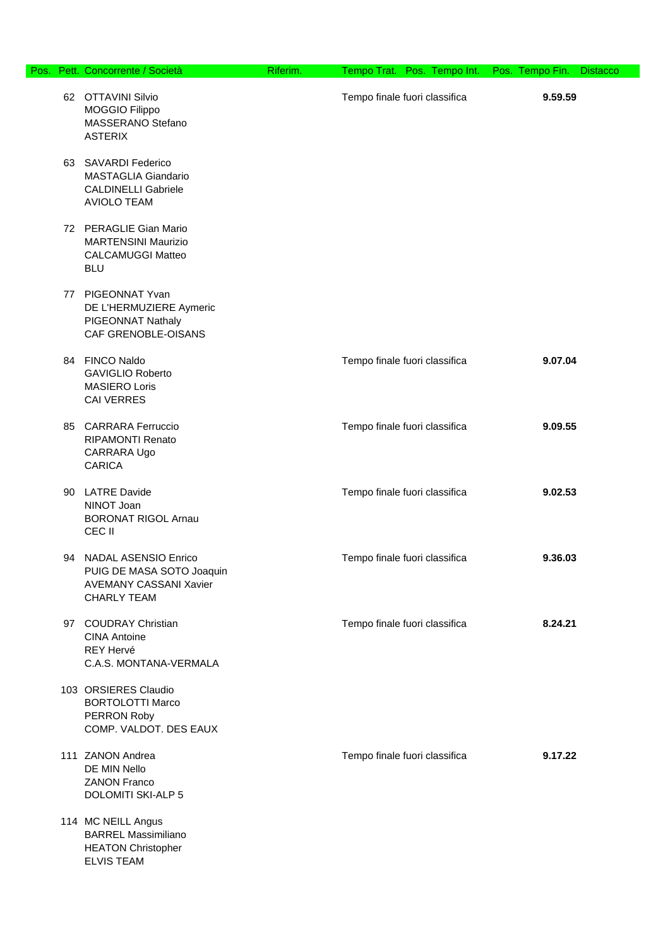| Pos. Pett. Concorrente / Società                                                                            | Riferim. |                               | Tempo Trat. Pos. Tempo Int. Pos. Tempo Fin. Distacco |  |
|-------------------------------------------------------------------------------------------------------------|----------|-------------------------------|------------------------------------------------------|--|
| 62 OTTAVINI Silvio<br>MOGGIO Filippo<br>MASSERANO Stefano<br><b>ASTERIX</b>                                 |          | Tempo finale fuori classifica | 9.59.59                                              |  |
| 63 SAVARDI Federico<br>MASTAGLIA Giandario<br><b>CALDINELLI Gabriele</b><br><b>AVIOLO TEAM</b>              |          |                               |                                                      |  |
| 72 PERAGLIE Gian Mario<br><b>MARTENSINI Maurizio</b><br><b>CALCAMUGGI Matteo</b><br><b>BLU</b>              |          |                               |                                                      |  |
| 77 PIGEONNAT Yvan<br>DE L'HERMUZIERE Aymeric<br>PIGEONNAT Nathaly<br>CAF GRENOBLE-OISANS                    |          |                               |                                                      |  |
| 84 FINCO Naldo<br><b>GAVIGLIO Roberto</b><br><b>MASIERO Loris</b><br><b>CAI VERRES</b>                      |          | Tempo finale fuori classifica | 9.07.04                                              |  |
| 85 CARRARA Ferruccio<br><b>RIPAMONTI Renato</b><br>CARRARA Ugo<br><b>CARICA</b>                             |          | Tempo finale fuori classifica | 9.09.55                                              |  |
| 90 LATRE Davide<br>NINOT Joan<br><b>BORONAT RIGOL Arnau</b><br>CEC II                                       |          | Tempo finale fuori classifica | 9.02.53                                              |  |
| 94 NADAL ASENSIO Enrico<br>PUIG DE MASA SOTO Joaquin<br><b>AVEMANY CASSANI Xavier</b><br><b>CHARLY TEAM</b> |          | Tempo finale fuori classifica | 9.36.03                                              |  |
| 97 COUDRAY Christian<br><b>CINA Antoine</b><br>REY Hervé<br>C.A.S. MONTANA-VERMALA                          |          | Tempo finale fuori classifica | 8.24.21                                              |  |
| 103 ORSIERES Claudio<br><b>BORTOLOTTI Marco</b><br>PERRON Roby<br>COMP. VALDOT. DES EAUX                    |          |                               |                                                      |  |
| 111 ZANON Andrea<br>DE MIN Nello<br><b>ZANON Franco</b><br><b>DOLOMITI SKI-ALP 5</b>                        |          | Tempo finale fuori classifica | 9.17.22                                              |  |
| 114 MC NEILL Angus<br><b>BARREL Massimiliano</b><br><b>HEATON Christopher</b><br><b>ELVIS TEAM</b>          |          |                               |                                                      |  |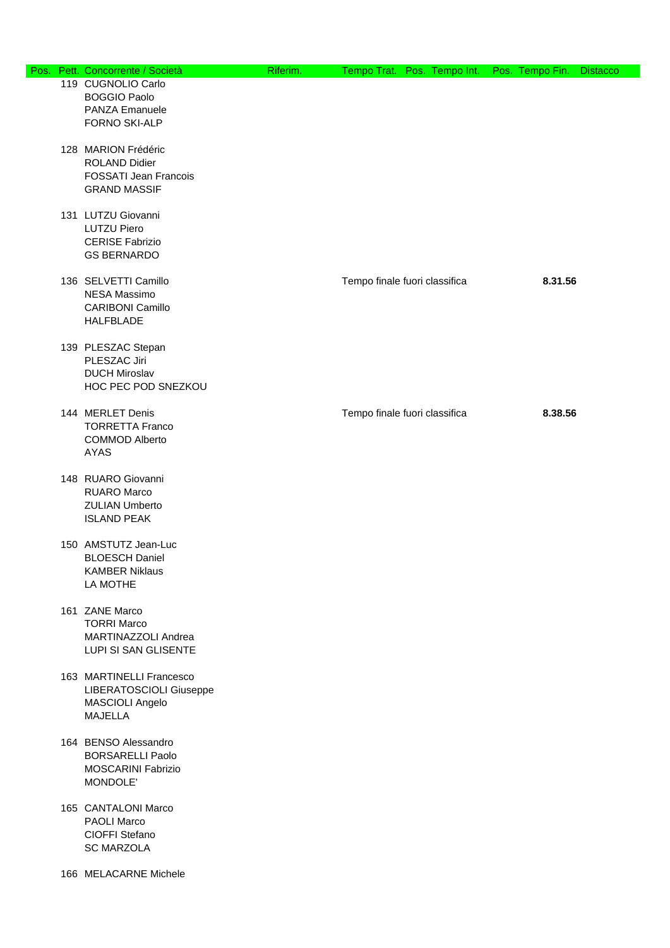|  | Pos. Pett. Concorrente / Società                    | Riferim. |                               | Tempo Trat. Pos. Tempo Int. Pos. Tempo Fin. | <b>Distacco</b> |
|--|-----------------------------------------------------|----------|-------------------------------|---------------------------------------------|-----------------|
|  | 119 CUGNOLIO Carlo<br><b>BOGGIO Paolo</b>           |          |                               |                                             |                 |
|  | PANZA Emanuele<br>FORNO SKI-ALP                     |          |                               |                                             |                 |
|  | 128 MARION Frédéric<br><b>ROLAND Didier</b>         |          |                               |                                             |                 |
|  | <b>FOSSATI Jean Francois</b><br><b>GRAND MASSIF</b> |          |                               |                                             |                 |
|  | 131 LUTZU Giovanni<br><b>LUTZU Piero</b>            |          |                               |                                             |                 |
|  | <b>CERISE Fabrizio</b><br><b>GS BERNARDO</b>        |          |                               |                                             |                 |
|  | 136 SELVETTI Camillo<br>NESA Massimo                |          | Tempo finale fuori classifica | 8.31.56                                     |                 |
|  | <b>CARIBONI Camillo</b><br><b>HALFBLADE</b>         |          |                               |                                             |                 |
|  | 139 PLESZAC Stepan<br>PLESZAC Jiri                  |          |                               |                                             |                 |
|  | <b>DUCH Miroslav</b><br>HOC PEC POD SNEZKOU         |          |                               |                                             |                 |
|  | 144 MERLET Denis<br><b>TORRETTA Franco</b>          |          | Tempo finale fuori classifica | 8.38.56                                     |                 |
|  | <b>COMMOD Alberto</b><br>AYAS                       |          |                               |                                             |                 |
|  | 148 RUARO Giovanni<br><b>RUARO Marco</b>            |          |                               |                                             |                 |
|  | <b>ZULIAN Umberto</b><br><b>ISLAND PEAK</b>         |          |                               |                                             |                 |
|  | 150 AMSTUTZ Jean-Luc<br><b>BLOESCH Daniel</b>       |          |                               |                                             |                 |
|  | <b>KAMBER Niklaus</b><br>LA MOTHE                   |          |                               |                                             |                 |
|  | 161 ZANE Marco<br><b>TORRI Marco</b>                |          |                               |                                             |                 |
|  | MARTINAZZOLI Andrea<br>LUPI SI SAN GLISENTE         |          |                               |                                             |                 |
|  | 163 MARTINELLI Francesco<br>LIBERATOSCIOLI Giuseppe |          |                               |                                             |                 |
|  | MASCIOLI Angelo<br><b>MAJELLA</b>                   |          |                               |                                             |                 |
|  | 164 BENSO Alessandro<br><b>BORSARELLI Paolo</b>     |          |                               |                                             |                 |
|  | <b>MOSCARINI Fabrizio</b><br>MONDOLE'               |          |                               |                                             |                 |
|  | 165 CANTALONI Marco<br>PAOLI Marco                  |          |                               |                                             |                 |
|  | CIOFFI Stefano<br><b>SC MARZOLA</b>                 |          |                               |                                             |                 |
|  | 166 MELACARNE Michele                               |          |                               |                                             |                 |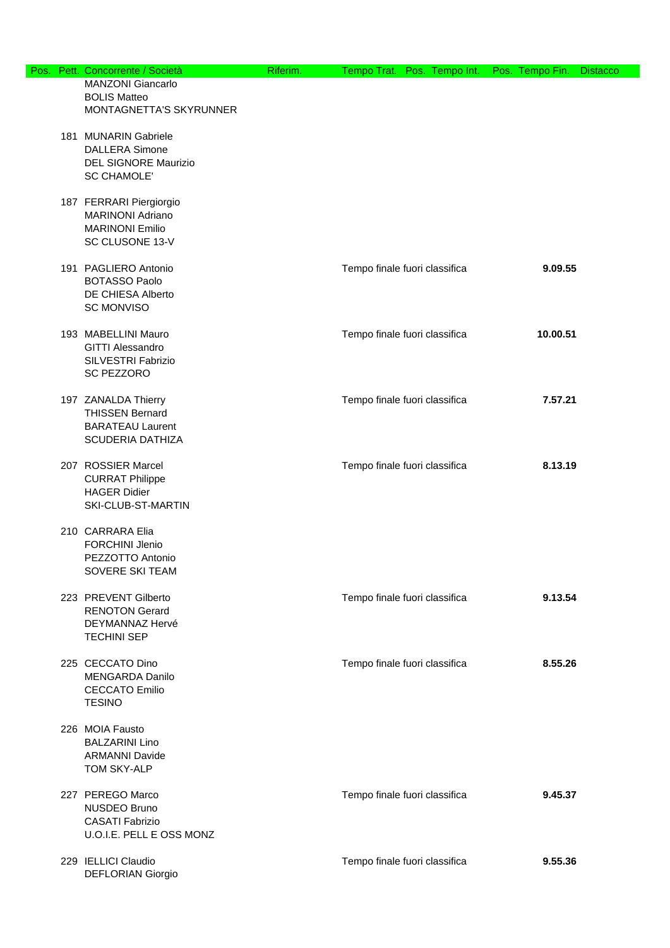|  | Pos. Pett. Concorrente / Società                                                                    | Riferim. |                               | Tempo Trat. Pos. Tempo Int. Pos. Tempo Fin. | <b>Distacco</b> |
|--|-----------------------------------------------------------------------------------------------------|----------|-------------------------------|---------------------------------------------|-----------------|
|  | <b>MANZONI Giancarlo</b><br><b>BOLIS Matteo</b><br>MONTAGNETTA'S SKYRUNNER                          |          |                               |                                             |                 |
|  | 181 MUNARIN Gabriele<br><b>DALLERA Simone</b><br>DEL SIGNORE Maurizio<br><b>SC CHAMOLE'</b>         |          |                               |                                             |                 |
|  | 187 FERRARI Piergiorgio<br><b>MARINONI Adriano</b><br><b>MARINONI Emilio</b><br>SC CLUSONE 13-V     |          |                               |                                             |                 |
|  | 191 PAGLIERO Antonio<br><b>BOTASSO Paolo</b><br>DE CHIESA Alberto<br><b>SC MONVISO</b>              |          | Tempo finale fuori classifica | 9.09.55                                     |                 |
|  | 193 MABELLINI Mauro<br><b>GITTI Alessandro</b><br>SILVESTRI Fabrizio<br><b>SC PEZZORO</b>           |          | Tempo finale fuori classifica | 10.00.51                                    |                 |
|  | 197 ZANALDA Thierry<br><b>THISSEN Bernard</b><br><b>BARATEAU Laurent</b><br><b>SCUDERIA DATHIZA</b> |          | Tempo finale fuori classifica | 7.57.21                                     |                 |
|  | 207 ROSSIER Marcel<br><b>CURRAT Philippe</b><br><b>HAGER Didier</b><br>SKI-CLUB-ST-MARTIN           |          | Tempo finale fuori classifica | 8.13.19                                     |                 |
|  | 210 CARRARA Elia<br><b>FORCHINI Jlenio</b><br>PEZZOTTO Antonio<br>SOVERE SKI TEAM                   |          |                               |                                             |                 |
|  | 223 PREVENT Gilberto<br><b>RENOTON Gerard</b><br>DEYMANNAZ Hervé<br><b>TECHINI SEP</b>              |          | Tempo finale fuori classifica | 9.13.54                                     |                 |
|  | 225 CECCATO Dino<br><b>MENGARDA Danilo</b><br><b>CECCATO Emilio</b><br><b>TESINO</b>                |          | Tempo finale fuori classifica | 8.55.26                                     |                 |
|  | 226 MOIA Fausto<br><b>BALZARINI Lino</b><br><b>ARMANNI Davide</b><br>TOM SKY-ALP                    |          |                               |                                             |                 |
|  | 227 PEREGO Marco<br>NUSDEO Bruno<br><b>CASATI Fabrizio</b><br>U.O.I.E. PELL E OSS MONZ              |          | Tempo finale fuori classifica | 9.45.37                                     |                 |
|  | 229 IELLICI Claudio<br>DEFLORIAN Giorgio                                                            |          | Tempo finale fuori classifica | 9.55.36                                     |                 |